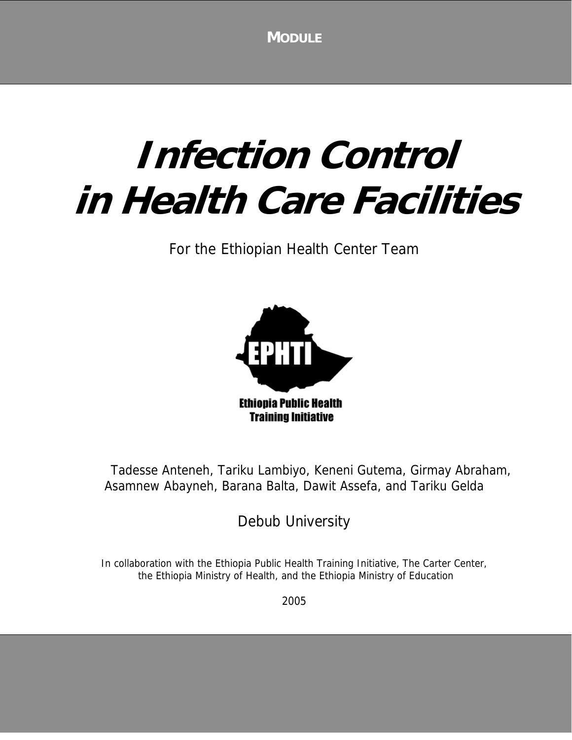**MODULE**

# **Infection Control in Health Care Facilities**

For the Ethiopian Health Center Team



Tadesse Anteneh, Tariku Lambiyo, Keneni Gutema, Girmay Abraham, Asamnew Abayneh, Barana Balta, Dawit Assefa, and Tariku Gelda

Debub University

In collaboration with the Ethiopia Public Health Training Initiative, The Carter Center, the Ethiopia Ministry of Health, and the Ethiopia Ministry of Education

2005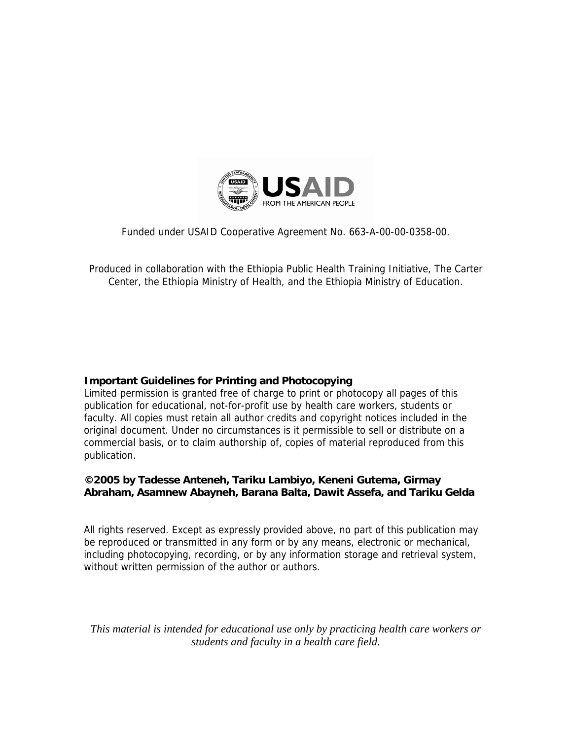

Funded under USAID Cooperative Agreement No. 663-A-00-00-0358-00.

Produced in collaboration with the Ethiopia Public Health Training Initiative, The Carter Center, the Ethiopia Ministry of Health, and the Ethiopia Ministry of Education.

#### **Important Guidelines for Printing and Photocopying**

Limited permission is granted free of charge to print or photocopy all pages of this publication for educational, not-for-profit use by health care workers, students or faculty. All copies must retain all author credits and copyright notices included in the original document. Under no circumstances is it permissible to sell or distribute on a commercial basis, or to claim authorship of, copies of material reproduced from this publication.

#### **©2005 by Tadesse Anteneh, Tariku Lambiyo, Keneni Gutema, Girmay Abraham, Asamnew Abayneh, Barana Balta, Dawit Assefa, and Tariku Gelda**

All rights reserved. Except as expressly provided above, no part of this publication may be reproduced or transmitted in any form or by any means, electronic or mechanical, including photocopying, recording, or by any information storage and retrieval system, without written permission of the author or authors.

*This material is intended for educational use only by practicing health care workers or students and faculty in a health care field.*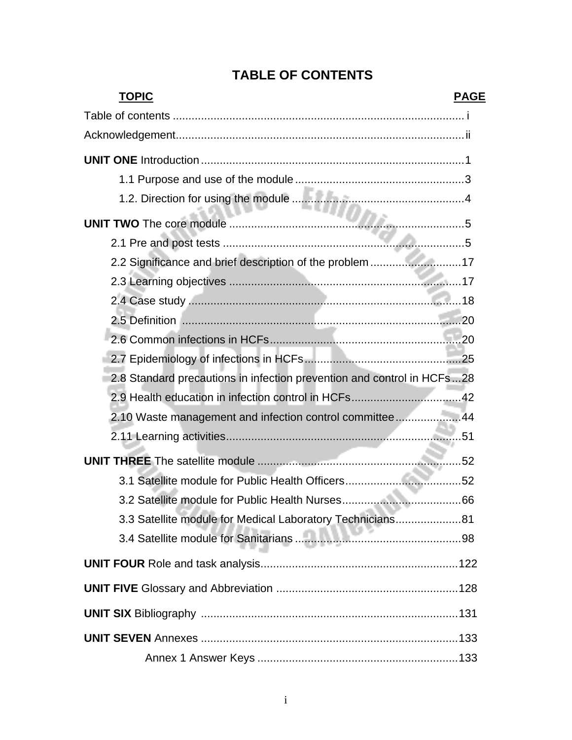| <b>TOPIC</b><br><b>PAGE</b>                                            |  |
|------------------------------------------------------------------------|--|
|                                                                        |  |
|                                                                        |  |
|                                                                        |  |
|                                                                        |  |
|                                                                        |  |
|                                                                        |  |
|                                                                        |  |
| 2.2 Significance and brief description of the problem 17               |  |
|                                                                        |  |
|                                                                        |  |
|                                                                        |  |
|                                                                        |  |
|                                                                        |  |
| 2.8 Standard precautions in infection prevention and control in HCFs28 |  |
|                                                                        |  |
| 2.10 Waste management and infection control committee44                |  |
|                                                                        |  |
|                                                                        |  |
|                                                                        |  |
|                                                                        |  |
| 3.3 Satellite module for Medical Laboratory Technicians81              |  |
|                                                                        |  |
|                                                                        |  |
|                                                                        |  |
|                                                                        |  |
|                                                                        |  |
|                                                                        |  |

## **TABLE OF CONTENTS**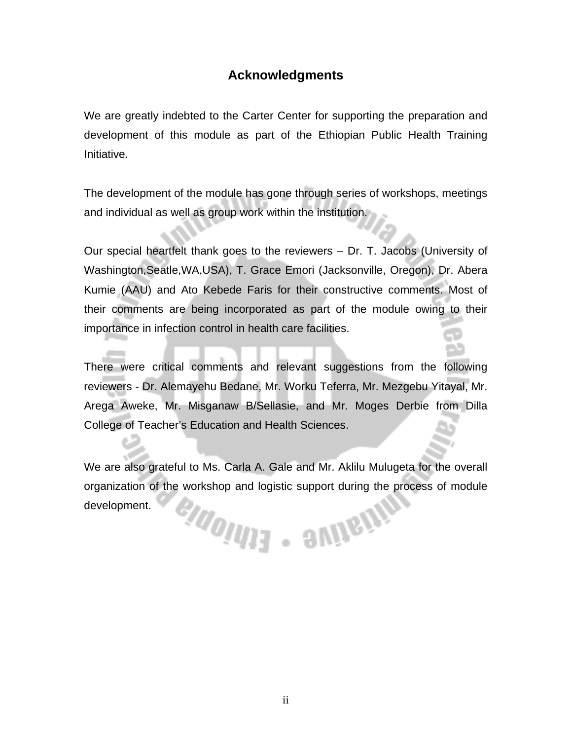#### **Acknowledgments**

We are greatly indebted to the Carter Center for supporting the preparation and development of this module as part of the Ethiopian Public Health Training Initiative.

The development of the module has gone through series of workshops, meetings and individual as well as group work within the institution.

Our special heartfelt thank goes to the reviewers – Dr. T. Jacobs (University of Washington,Seatle,WA,USA), T. Grace Emori (Jacksonville, Oregon), Dr. Abera Kumie (AAU) and Ato Kebede Faris for their constructive comments. Most of their comments are being incorporated as part of the module owing to their importance in infection control in health care facilities.

There were critical comments and relevant suggestions from the following reviewers - Dr. Alemayehu Bedane, Mr. Worku Teferra, Mr. Mezgebu Yitayal, Mr. Arega Aweke, Mr. Misganaw B/Sellasie, and Mr. Moges Derbie from Dilla College of Teacher's Education and Health Sciences.

We are also grateful to Ms. Carla A. Gale and Mr. Aklilu Mulugeta for the overall organization of the workshop and logistic support during the process of module eldolitis - aviteitr development.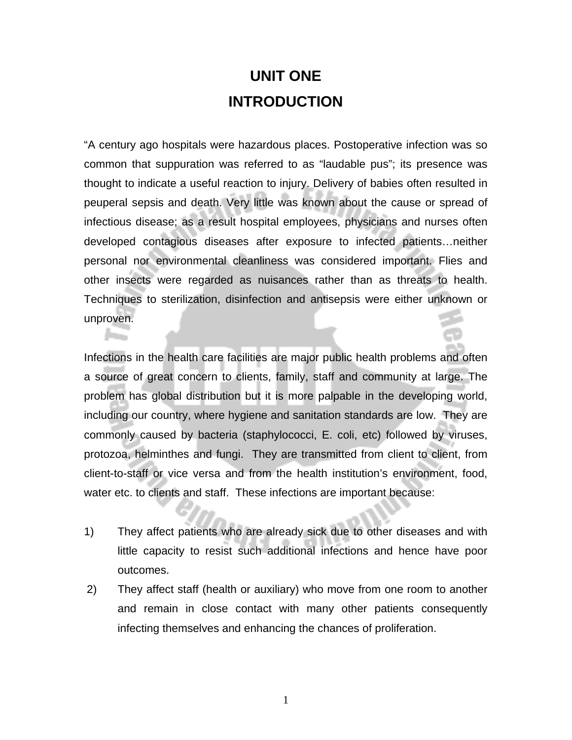## **UNIT ONE INTRODUCTION**

"A century ago hospitals were hazardous places. Postoperative infection was so common that suppuration was referred to as "laudable pus"; its presence was thought to indicate a useful reaction to injury. Delivery of babies often resulted in peuperal sepsis and death. Very little was known about the cause or spread of infectious disease; as a result hospital employees, physicians and nurses often developed contagious diseases after exposure to infected patients…neither personal nor environmental cleanliness was considered important. Flies and other insects were regarded as nuisances rather than as threats to health. Techniques to sterilization, disinfection and antisepsis were either unknown or unproven.

Infections in the health care facilities are major public health problems and often a source of great concern to clients, family, staff and community at large. The problem has global distribution but it is more palpable in the developing world, including our country, where hygiene and sanitation standards are low. They are commonly caused by bacteria (staphylococci, E. coli, etc) followed by viruses, protozoa, helminthes and fungi. They are transmitted from client to client, from client-to-staff or vice versa and from the health institution's environment, food, water etc. to clients and staff. These infections are important because:

- 1) They affect patients who are already sick due to other diseases and with little capacity to resist such additional infections and hence have poor outcomes.
- 2) They affect staff (health or auxiliary) who move from one room to another and remain in close contact with many other patients consequently infecting themselves and enhancing the chances of proliferation.

1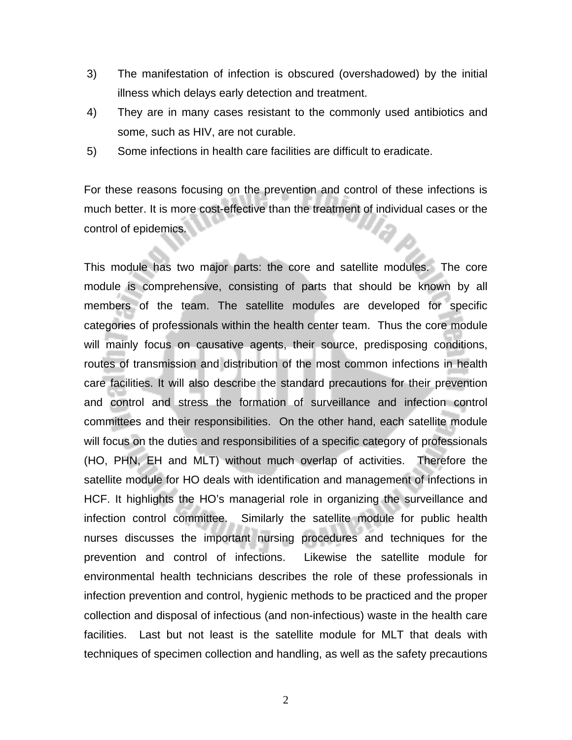- 3) The manifestation of infection is obscured (overshadowed) by the initial illness which delays early detection and treatment.
- 4) They are in many cases resistant to the commonly used antibiotics and some, such as HIV, are not curable.
- 5) Some infections in health care facilities are difficult to eradicate.

For these reasons focusing on the prevention and control of these infections is much better. It is more cost-effective than the treatment of individual cases or the control of epidemics.

This module has two major parts: the core and satellite modules. The core module is comprehensive, consisting of parts that should be known by all members of the team. The satellite modules are developed for specific categories of professionals within the health center team. Thus the core module will mainly focus on causative agents, their source, predisposing conditions, routes of transmission and distribution of the most common infections in health care facilities. It will also describe the standard precautions for their prevention and control and stress the formation of surveillance and infection control committees and their responsibilities. On the other hand, each satellite module will focus on the duties and responsibilities of a specific category of professionals (HO, PHN, EH and MLT) without much overlap of activities. Therefore the satellite module for HO deals with identification and management of infections in HCF. It highlights the HO's managerial role in organizing the surveillance and infection control committee. Similarly the satellite module for public health nurses discusses the important nursing procedures and techniques for the prevention and control of infections. Likewise the satellite module for environmental health technicians describes the role of these professionals in infection prevention and control, hygienic methods to be practiced and the proper collection and disposal of infectious (and non-infectious) waste in the health care facilities. Last but not least is the satellite module for MLT that deals with techniques of specimen collection and handling, as well as the safety precautions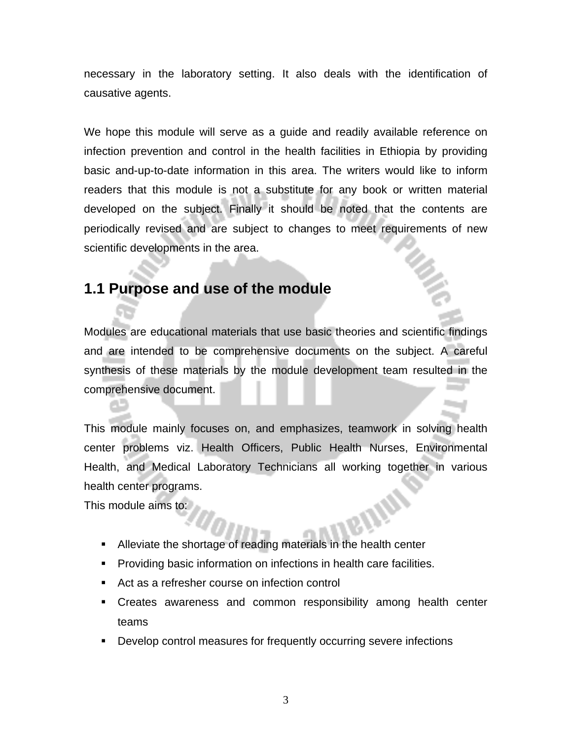necessary in the laboratory setting. It also deals with the identification of causative agents.

We hope this module will serve as a guide and readily available reference on infection prevention and control in the health facilities in Ethiopia by providing basic and-up-to-date information in this area. The writers would like to inform readers that this module is not a substitute for any book or written material developed on the subject. Finally it should be noted that the contents are periodically revised and are subject to changes to meet requirements of new scientific developments in the area.

## **1.1 Purpose and use of the module**

Modules are educational materials that use basic theories and scientific findings and are intended to be comprehensive documents on the subject. A careful synthesis of these materials by the module development team resulted in the comprehensive document.

This module mainly focuses on, and emphasizes, teamwork in solving health center problems viz. Health Officers, Public Health Nurses, Environmental Health, and Medical Laboratory Technicians all working together in various health center programs.

This module aims to:

- Alleviate the shortage of reading materials in the health center
- **Providing basic information on infections in health care facilities.**
- Act as a refresher course on infection control
- Creates awareness and common responsibility among health center teams
- Develop control measures for frequently occurring severe infections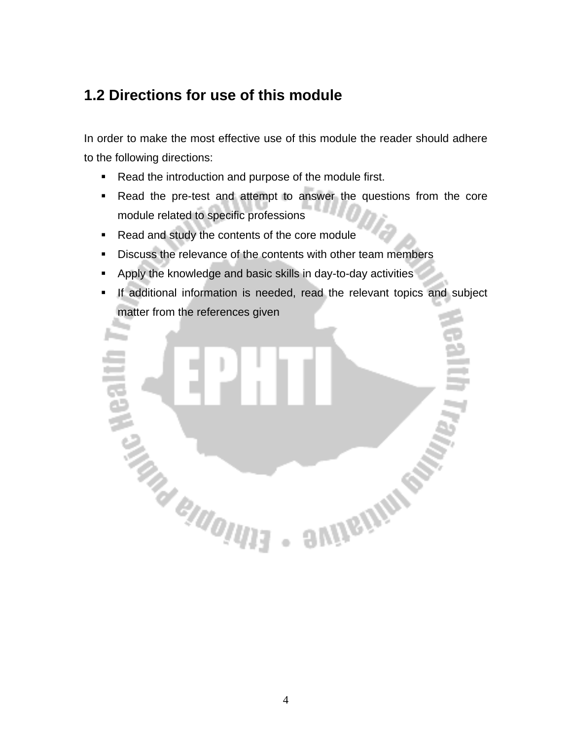## **1.2 Directions for use of this module**

In order to make the most effective use of this module the reader should adhere to the following directions:

- Read the introduction and purpose of the module first.
- Read the pre-test and attempt to answer the questions from the core module related to specific professions
- Read and study the contents of the core module
- Discuss the relevance of the contents with other team members
- Apply the knowledge and basic skills in day-to-day activities
- **If additional information is needed, read the relevant topics and subject** matter from the references given

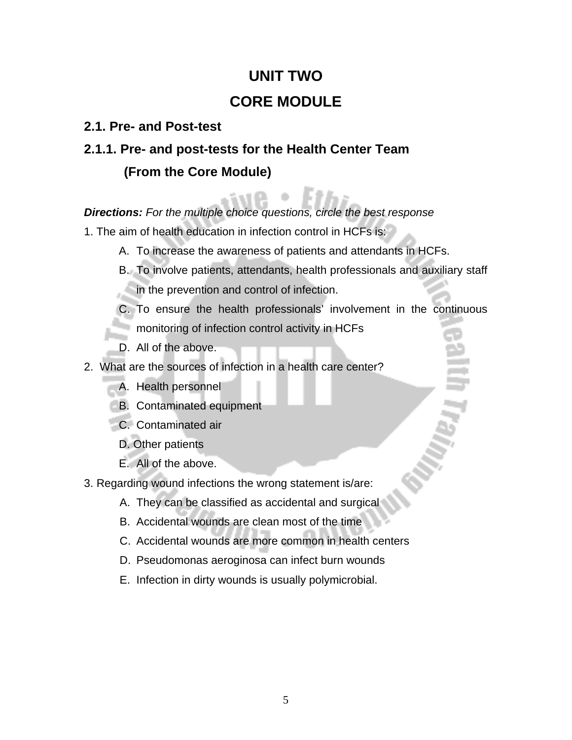## **UNIT TWO CORE MODULE**

#### **2.1. Pre- and Post-test**

## **2.1.1. Pre- and post-tests for the Health Center Team (From the Core Module)**

#### *Directions: For the multiple choice questions, circle the best response*

- 1. The aim of health education in infection control in HCFs is:
	- A. To increase the awareness of patients and attendants in HCFs.
	- B. To involve patients, attendants, health professionals and auxiliary staff in the prevention and control of infection.
	- C. To ensure the health professionals' involvement in the continuous **n** monitoring of infection control activity in HCFs
	- D. All of the above.
- 2. What are the sources of infection in a health care center?
	- A. Health personnel
	- B. Contaminated equipment
	- C. Contaminated air
	- D. Other patients
	- E. All of the above.
- 3. Regarding wound infections the wrong statement is/are:
	- A. They can be classified as accidental and surgical
	- B. Accidental wounds are clean most of the time
	- C. Accidental wounds are more common in health centers
	- D. Pseudomonas aeroginosa can infect burn wounds
	- E. Infection in dirty wounds is usually polymicrobial.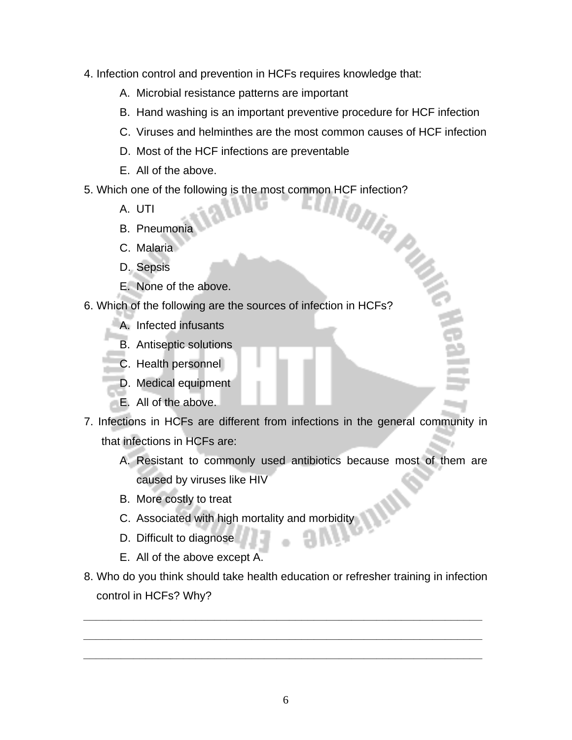- 4. Infection control and prevention in HCFs requires knowledge that:
	- A. Microbial resistance patterns are important
	- B. Hand washing is an important preventive procedure for HCF infection
	- C. Viruses and helminthes are the most common causes of HCF infection
	- D. Most of the HCF infections are preventable
	- E. All of the above.
- 5. Which one of the following is the most common HCF infection?<br>A. UTI<br>Pheumonia
	- A. UTI
	- B. Pneumonia
	- C. Malaria
	- D. Sepsis
	- E. None of the above.
- 6. Which of the following are the sources of infection in HCFs?
	- A. Infected infusants
	- B. Antiseptic solutions
	- C. Health personnel
	- D. Medical equipment
	- E. All of the above.
- 7. Infections in HCFs are different from infections in the general community in that infections in HCFs are:
	- A. Resistant to commonly used antibiotics because most of them are caused by viruses like HIV
	- B. More costly to treat
	- C. Associated with high mortality and morbidity
	- D. Difficult to diagnose
	- E. All of the above except A.
- 8. Who do you think should take health education or refresher training in infection control in HCFs? Why?

*\_\_\_\_\_\_\_\_\_\_\_\_\_\_\_\_\_\_\_\_\_\_\_\_\_\_\_\_\_\_\_\_\_\_\_\_\_\_\_\_\_\_\_\_\_\_\_\_\_\_\_\_\_\_\_\_\_\_\_\_\_\_\_\_*

*\_\_\_\_\_\_\_\_\_\_\_\_\_\_\_\_\_\_\_\_\_\_\_\_\_\_\_\_\_\_\_\_\_\_\_\_\_\_\_\_\_\_\_\_\_\_\_\_\_\_\_\_\_\_\_\_\_\_\_\_\_\_\_\_*

*\_\_\_\_\_\_\_\_\_\_\_\_\_\_\_\_\_\_\_\_\_\_\_\_\_\_\_\_\_\_\_\_\_\_\_\_\_\_\_\_\_\_\_\_\_\_\_\_\_\_\_\_\_\_\_\_\_\_\_\_\_\_\_\_*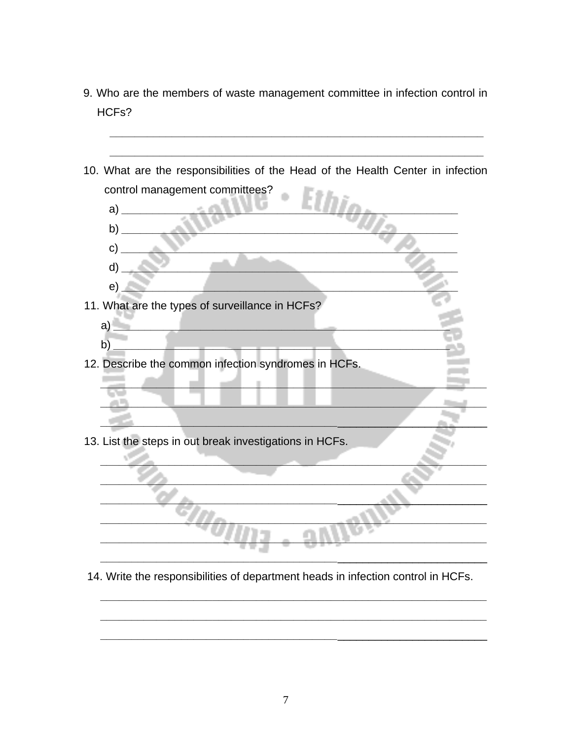- 9. Who are the members of waste management committee in infection control in HCFs?
- 10. What are the responsibilities of the Head of the Health Center in infection control management committees?  $\mathsf{b}$ )  $c)$  $\mathsf{d}$  $e)$ 11. What are the types of surveillance in HCFs?  $a)$ the control of the control of the control of  $b)$ 12. Describe the common infection syndromes in HCFs.  $\mathbb{R}^2$ 13. List the steps in out break investigations in HCFs.
- 14. Write the responsibilities of department heads in infection control in HCFs.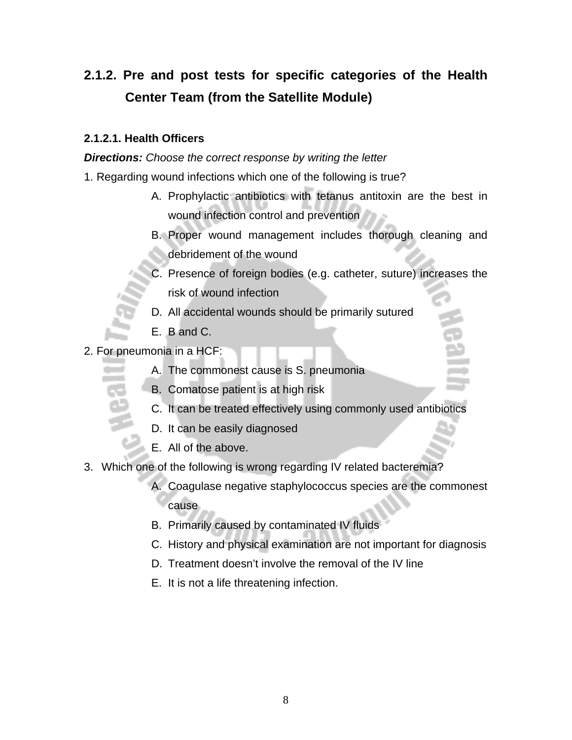## **2.1.2. Pre and post tests for specific categories of the Health Center Team (from the Satellite Module)**

#### **2.1.2.1. Health Officers**

*Directions: Choose the correct response by writing the letter*

- 1. Regarding wound infections which one of the following is true?
	- A. Prophylactic antibiotics with tetanus antitoxin are the best in wound infection control and prevention
	- B. Proper wound management includes thorough cleaning and debridement of the wound
	- C. Presence of foreign bodies (e.g. catheter, suture) increases the risk of wound infection
	- D. All accidental wounds should be primarily sutured
	- E. B and C.
- 2. For pneumonia in a HCF:
	- A. The commonest cause is S. pneumonia
	- B. Comatose patient is at high risk
	- C. It can be treated effectively using commonly used antibiotics
	- D. It can be easily diagnosed
	- E. All of the above.
- 3. Which one of the following is wrong regarding IV related bacteremia?
	- A. Coagulase negative staphylococcus species are the commonest cause
	- B. Primarily caused by contaminated IV fluids
	- C. History and physical examination are not important for diagnosis
	- D. Treatment doesn't involve the removal of the IV line
	- E. It is not a life threatening infection.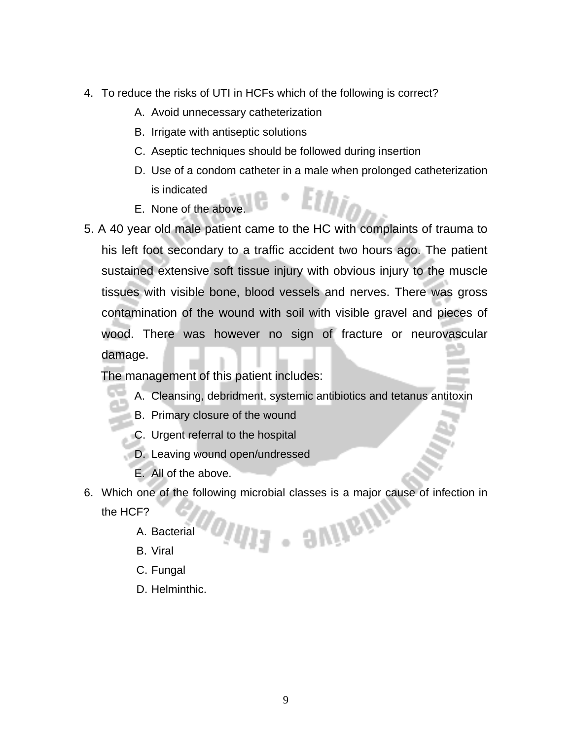- 4. To reduce the risks of UTI in HCFs which of the following is correct?
	- A. Avoid unnecessary catheterization
	- B. Irrigate with antiseptic solutions
	- C. Aseptic techniques should be followed during insertion
	- D. Use of a condom catheter in a male when prolonged catheterization is indicated
	- E. None of the above.
- 5. A 40 year old male patient came to the HC with complaints of trauma to his left foot secondary to a traffic accident two hours ago. The patient sustained extensive soft tissue injury with obvious injury to the muscle tissues with visible bone, blood vessels and nerves. There was gross contamination of the wound with soil with visible gravel and pieces of wood. There was however no sign of fracture or neurovascular damage.

The management of this patient includes:

- A. Cleansing, debridment, systemic antibiotics and tetanus antitoxin
- B. Primary closure of the wound
- C. Urgent referral to the hospital
- D. Leaving wound open/undressed
- E. All of the above.
- 6. Which one of the following microbial classes is a major cause of infection in - avnem the HCF?
	- A. Bacterial
	- B. Viral
	- C. Fungal
	- D. Helminthic.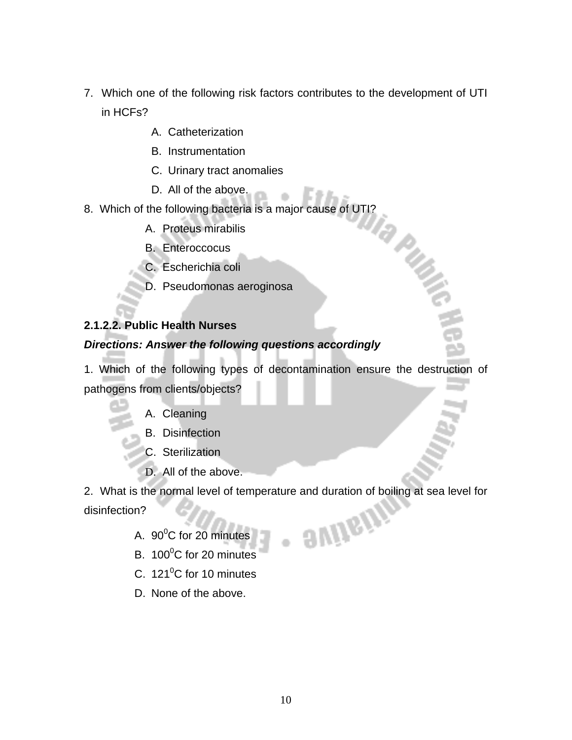- 7. Which one of the following risk factors contributes to the development of UTI in HCFs?
	- A. Catheterization
	- B. Instrumentation
	- C. Urinary tract anomalies
	- D. All of the above.
- 8. Which of the following bacteria is a major cause of UTI?
	- A. Proteus mirabilis
	- B. Enteroccocus
	- C. Escherichia coli
	- D. Pseudomonas aeroginosa

#### **2.1.2.2. Public Health Nurses**

#### *Directions: Answer the following questions accordingly*

1. Which of the following types of decontamination ensure the destruction of pathogens from clients/objects?

**PHATE** 

- A. Cleaning
- B. Disinfection
- C. Sterilization
- D. All of the above.

2. What is the normal level of temperature and duration of boiling at sea level for **SVIIGIN** disinfection?

- A.  $90^{\circ}$ C for 20 minutes
- B.  $100^{\circ}$ C for 20 minutes
- C.  $121^{\circ}$ C for 10 minutes
- D. None of the above.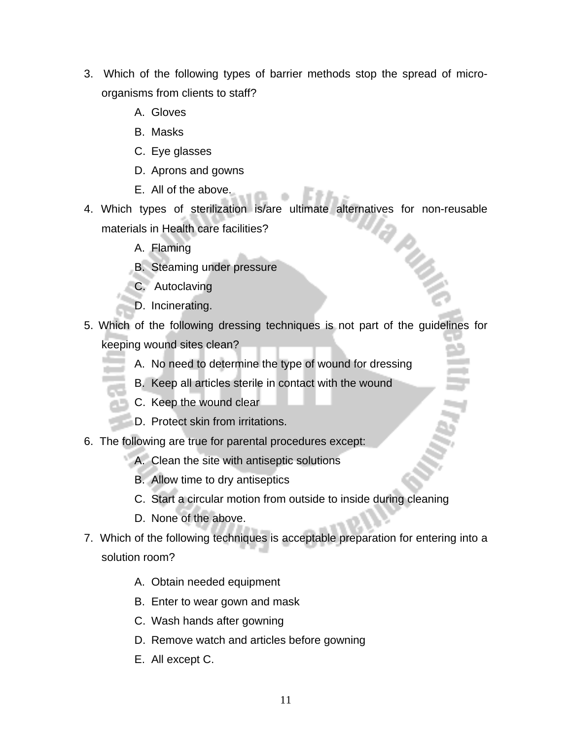- 3. Which of the following types of barrier methods stop the spread of microorganisms from clients to staff?
	- A. Gloves
	- B. Masks
	- C. Eye glasses
	- D. Aprons and gowns
	- E. All of the above.
- 4. Which types of sterilization is/are ultimate alternatives for non-reusable materials in Health care facilities? **PMB** 
	- A. Flaming
	- B. Steaming under pressure
	- C. Autoclaving
	- D. Incinerating.
- 5. Which of the following dressing techniques is not part of the guidelines for keeping wound sites clean?
	- A. No need to determine the type of wound for dressing
	- B. Keep all articles sterile in contact with the wound
	- C. Keep the wound clear
	- D. Protect skin from irritations.
- 6. The following are true for parental procedures except:
	- A. Clean the site with antiseptic solutions
		- B. Allow time to dry antiseptics
		- C. Start a circular motion from outside to inside during cleaning
		- D. None of the above.
- 7. Which of the following techniques is acceptable preparation for entering into a solution room?
	- A. Obtain needed equipment
	- B. Enter to wear gown and mask
	- C. Wash hands after gowning
	- D. Remove watch and articles before gowning
	- E. All except C.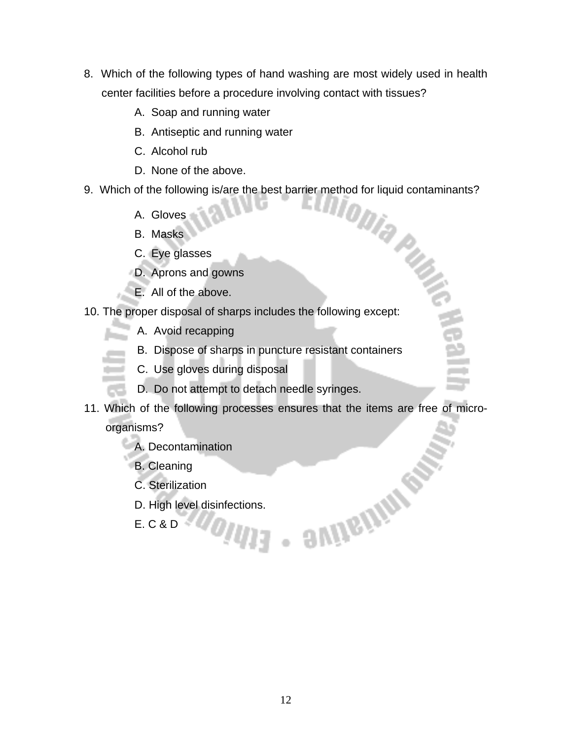- 8. Which of the following types of hand washing are most widely used in health center facilities before a procedure involving contact with tissues?
	- A. Soap and running water
	- B. Antiseptic and running water
	- C. Alcohol rub
	- D. None of the above.
- 9. Which of the following is/are the best barrier method for liquid contaminants?<br>A. Gloves<br>A. Gloves
	- A. Gloves
	- B. Masks
	- C. Eye glasses
	- D. Aprons and gowns
	- E. All of the above.
- 10. The proper disposal of sharps includes the following except:
	- A. Avoid recapping
	- B. Dispose of sharps in puncture resistant containers
	- C. Use gloves during disposal
	- D. Do not attempt to detach needle syringes.
- 11. Which of the following processes ensures that the items are free of microorganisms?

**SAIDENAMES** 

- A. Decontamination
- B. Cleaning
- C. Sterilization
- D. High level disinfections.
- E. C & D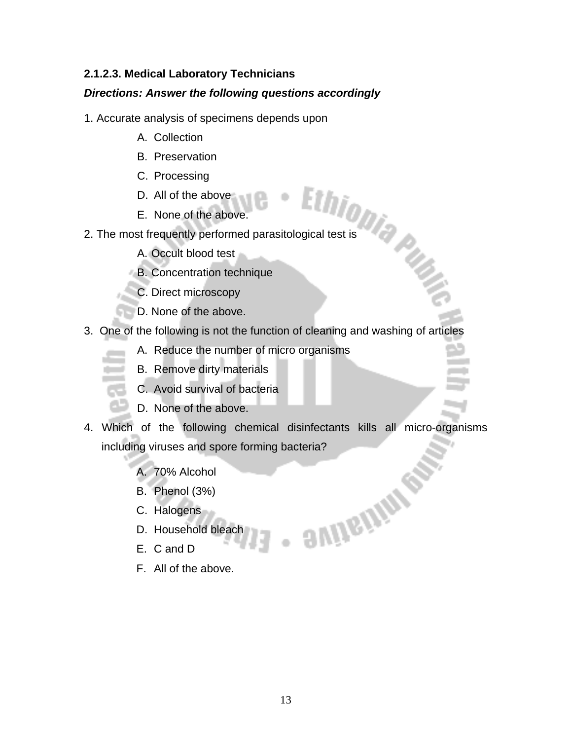#### **2.1.2.3. Medical Laboratory Technicians**

#### *Directions: Answer the following questions accordingly*

- 1. Accurate analysis of specimens depends upon
	- A. Collection
	- B. Preservation
	- C. Processing
	- D. All of the above
	- E. None of the above.
- 2. The most frequently performed parasitological test is<br>
2. The most frequently performed parasitological test is<br>
2. The most frequently performed parasitological test is
	- A. Occult blood test
	- B. Concentration technique
	- C. Direct microscopy
	- D. None of the above.
- 3. One of the following is not the function of cleaning and washing of articles
	- A. Reduce the number of micro organisms
	- B. Remove dirty materials
	- C. Avoid survival of bacteria
	- D. None of the above.
- 4. Which of the following chemical disinfectants kills all micro-organisms including viruses and spore forming bacteria?

**SVIDEININ** 

- A. 70% Alcohol
- B. Phenol (3%)
- C. Halogens
- D. Household bleach
- E. C and D
- F. All of the above.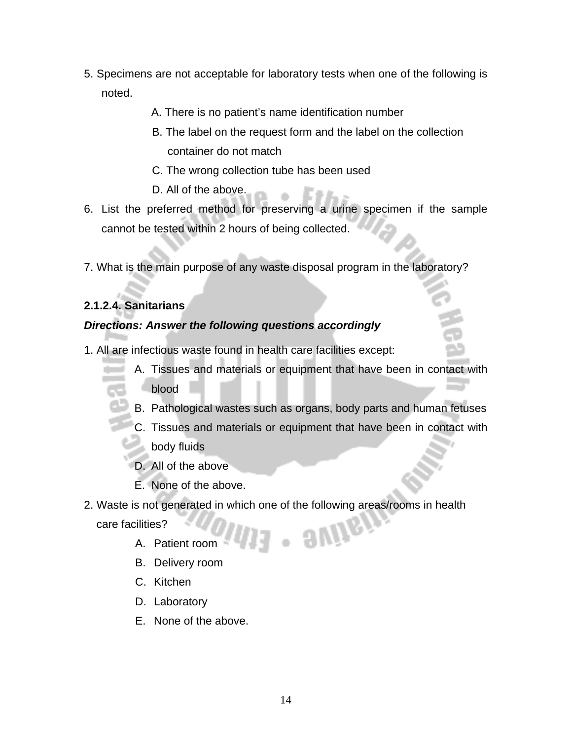- 5. Specimens are not acceptable for laboratory tests when one of the following is noted.
	- A. There is no patient's name identification number
	- B. The label on the request form and the label on the collection container do not match
	- C. The wrong collection tube has been used
	- D. All of the above.
- 6. List the preferred method for preserving a urine specimen if the sample cannot be tested within 2 hours of being collected.
- 7. What is the main purpose of any waste disposal program in the laboratory?

#### **2.1.2.4. Sanitarians**

#### *Directions: Answer the following questions accordingly*

- 1. All are infectious waste found in health care facilities except:
	- A. Tissues and materials or equipment that have been in contact with blood
	- B. Pathological wastes such as organs, body parts and human fetuses
	- C. Tissues and materials or equipment that have been in contact with
	- body fluids
	- D. All of the above
	- E. None of the above.
- 2. Waste is not generated in which one of the following areas/rooms in health . **SVIIG!** care facilities?
	- A. Patient room
	- B. Delivery room
	- C. Kitchen
	- D. Laboratory
	- E. None of the above.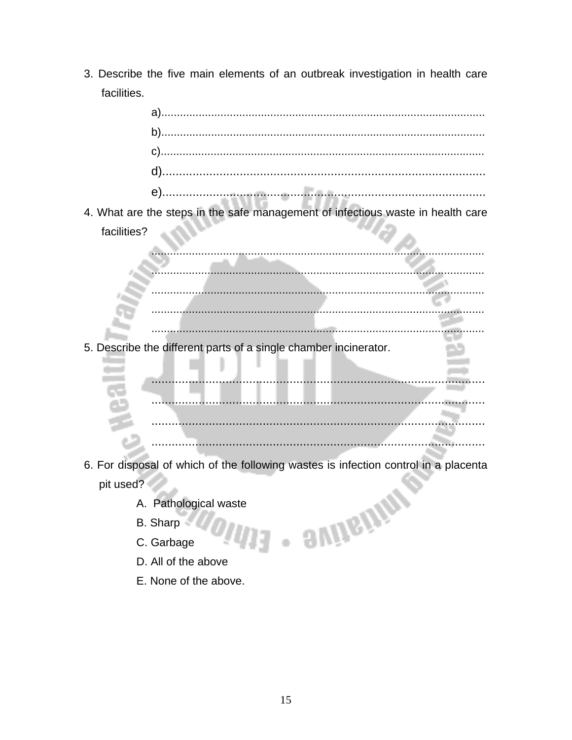3. Describe the five main elements of an outbreak investigation in health care facilities.

4. What are the steps in the safe management of infectious waste in health care facilities? a W والمر

5. Describe the different parts of a single chamber incinerator.

ш

Ш

- 6. For disposal of which of the following wastes is infection control in a placenta d - svijsijing pit used?
	- A. Pathological waste
	- B. Sharp
	- C. Garbage
	- D. All of the above
	- E. None of the above.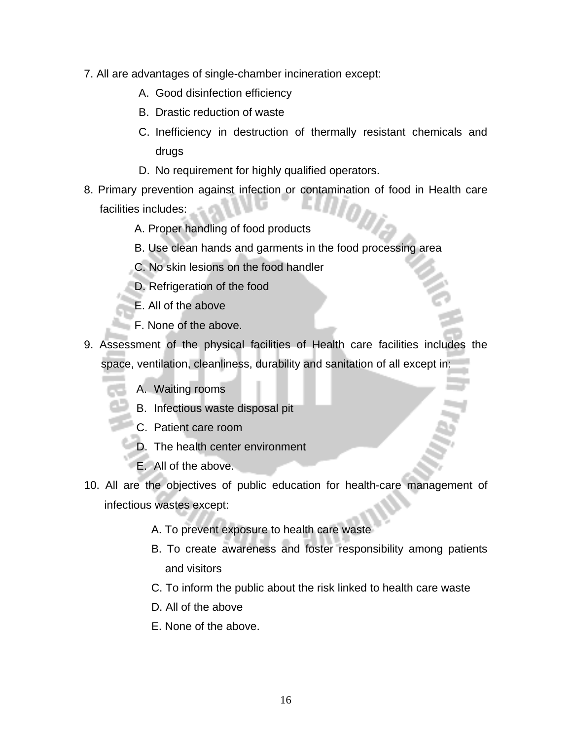- 7. All are advantages of single-chamber incineration except:
	- A. Good disinfection efficiency
	- B. Drastic reduction of waste
	- C. Inefficiency in destruction of thermally resistant chemicals and drugs
	- D. No requirement for highly qualified operators.
- 8. Primary prevention against infection or contamination of food in Health care facilities includes:
	- A. Proper handling of food products
	- B. Use clean hands and garments in the food processing area
	- C. No skin lesions on the food handler
	- D. Refrigeration of the food
	- E. All of the above
	- F. None of the above.
- 9. Assessment of the physical facilities of Health care facilities includes the space, ventilation, cleanliness, durability and sanitation of all except in:
	- A. Waiting rooms
	- B. Infectious waste disposal pit
	- C. Patient care room
	- D. The health center environment
	- E. All of the above.
- 10. All are the objectives of public education for health-care management of infectious wastes except:
	- A. To prevent exposure to health care waste
	- B. To create awareness and foster responsibility among patients and visitors
	- C. To inform the public about the risk linked to health care waste
	- D. All of the above
	- E. None of the above.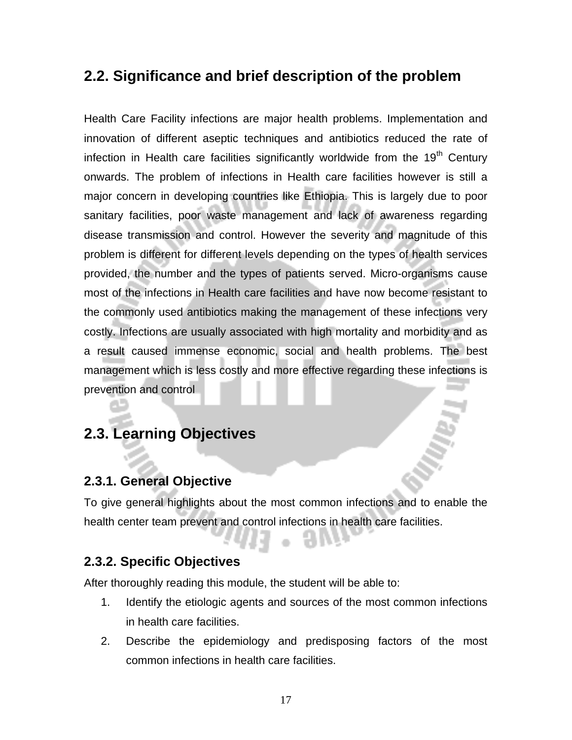## **2.2. Significance and brief description of the problem**

Health Care Facility infections are major health problems. Implementation and innovation of different aseptic techniques and antibiotics reduced the rate of infection in Health care facilities significantly worldwide from the 19<sup>th</sup> Century onwards. The problem of infections in Health care facilities however is still a major concern in developing countries like Ethiopia. This is largely due to poor sanitary facilities, poor waste management and lack of awareness regarding disease transmission and control. However the severity and magnitude of this problem is different for different levels depending on the types of health services provided, the number and the types of patients served. Micro-organisms cause most of the infections in Health care facilities and have now become resistant to the commonly used antibiotics making the management of these infections very costly. Infections are usually associated with high mortality and morbidity and as a result caused immense economic, social and health problems. The best management which is less costly and more effective regarding these infections is prevention and control

## **2.3. Learning Objectives**

#### **2.3.1. General Objective**

To give general highlights about the most common infections and to enable the health center team prevent and control infections in health care facilities.

#### **2.3.2. Specific Objectives**

After thoroughly reading this module, the student will be able to:

- 1. Identify the etiologic agents and sources of the most common infections in health care facilities.
- 2. Describe the epidemiology and predisposing factors of the most common infections in health care facilities.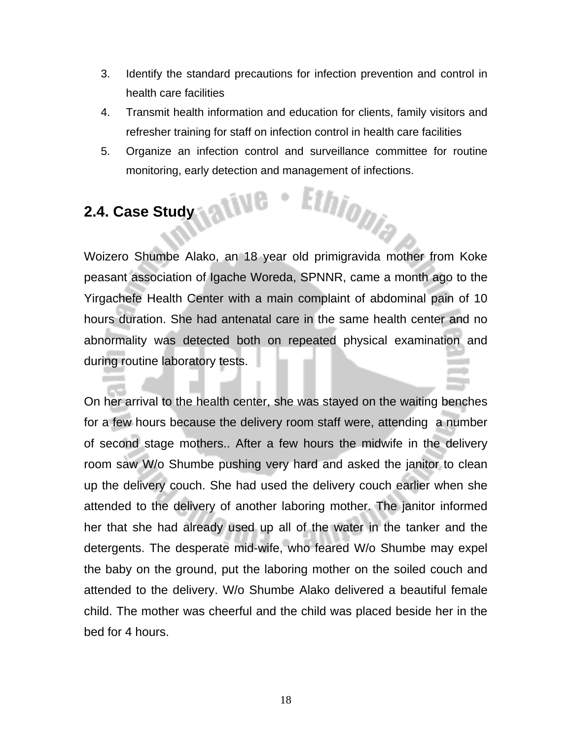- 3. Identify the standard precautions for infection prevention and control in health care facilities
- 4. Transmit health information and education for clients, family visitors and refresher training for staff on infection control in health care facilities
- 5. Organize an infection control and surveillance committee for routine monitoring, early detection and management of infections. Ethiopia

## **2.4. Case Study**

Woizero Shumbe Alako, an 18 year old primigravida mother from Koke peasant association of Igache Woreda, SPNNR, came a month ago to the Yirgachefe Health Center with a main complaint of abdominal pain of 10 hours duration. She had antenatal care in the same health center and no abnormality was detected both on repeated physical examination and during routine laboratory tests.

On her arrival to the health center, she was stayed on the waiting benches for a few hours because the delivery room staff were, attending a number of second stage mothers.. After a few hours the midwife in the delivery room saw W/o Shumbe pushing very hard and asked the janitor to clean up the delivery couch. She had used the delivery couch earlier when she attended to the delivery of another laboring mother. The janitor informed her that she had already used up all of the water in the tanker and the detergents. The desperate mid-wife, who feared W/o Shumbe may expel the baby on the ground, put the laboring mother on the soiled couch and attended to the delivery. W/o Shumbe Alako delivered a beautiful female child. The mother was cheerful and the child was placed beside her in the bed for 4 hours.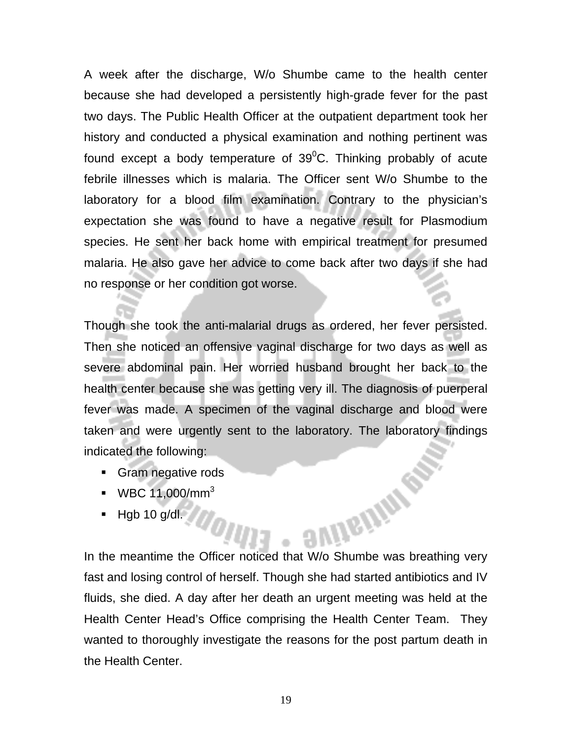A week after the discharge, W/o Shumbe came to the health center because she had developed a persistently high-grade fever for the past two days. The Public Health Officer at the outpatient department took her history and conducted a physical examination and nothing pertinent was found except a body temperature of  $39^0$ C. Thinking probably of acute febrile illnesses which is malaria. The Officer sent W/o Shumbe to the laboratory for a blood film examination. Contrary to the physician's expectation she was found to have a negative result for Plasmodium species. He sent her back home with empirical treatment for presumed malaria. He also gave her advice to come back after two days if she had no response or her condition got worse.

Though she took the anti-malarial drugs as ordered, her fever persisted. Then she noticed an offensive vaginal discharge for two days as well as severe abdominal pain. Her worried husband brought her back to the health center because she was getting very ill. The diagnosis of puerperal fever was made. A specimen of the vaginal discharge and blood were taken and were urgently sent to the laboratory. The laboratory findings indicated the following:

- **Gram negative rods**
- $WBC 11,000/mm^3$
- Hgb 10 g/dl.

In the meantime the Officer noticed that W/o Shumbe was breathing very fast and losing control of herself. Though she had started antibiotics and IV fluids, she died. A day after her death an urgent meeting was held at the Health Center Head's Office comprising the Health Center Team. They wanted to thoroughly investigate the reasons for the post partum death in the Health Center.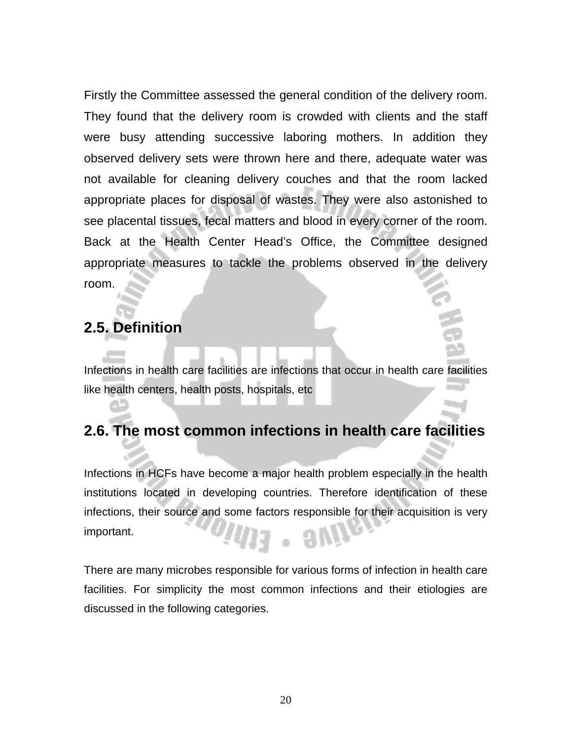Firstly the Committee assessed the general condition of the delivery room. They found that the delivery room is crowded with clients and the staff were busy attending successive laboring mothers. In addition they observed delivery sets were thrown here and there, adequate water was not available for cleaning delivery couches and that the room lacked appropriate places for disposal of wastes. They were also astonished to see placental tissues, fecal matters and blood in every corner of the room. Back at the Health Center Head's Office, the Committee designed appropriate measures to tackle the problems observed in the delivery room.

## **2.5. Definition**

Infections in health care facilities are infections that occur in health care facilities like health centers, health posts, hospitals, etc

## **2.6. The most common infections in health care facilities**

Infections in HCFs have become a major health problem especially in the health institutions located in developing countries. Therefore identification of these infections, their source and some factors responsible for their acquisition is very important.  $\cdot$  9 $m$ 

There are many microbes responsible for various forms of infection in health care facilities. For simplicity the most common infections and their etiologies are discussed in the following categories.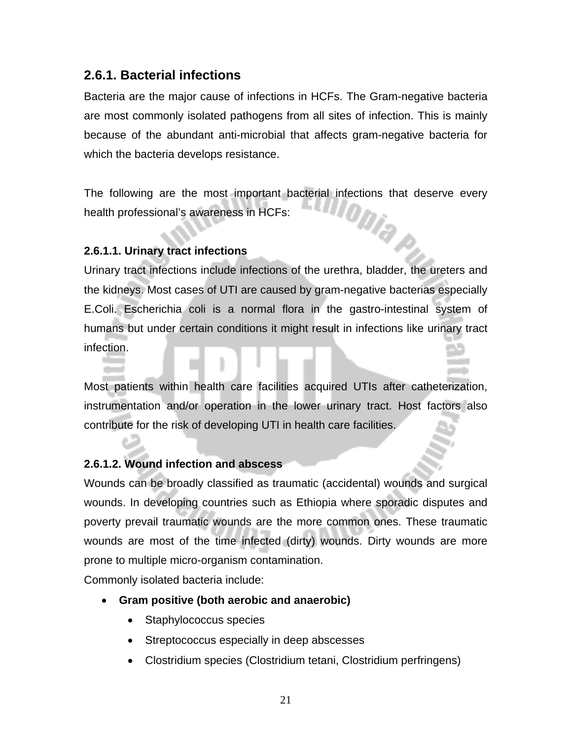#### **2.6.1. Bacterial infections**

Bacteria are the major cause of infections in HCFs. The Gram-negative bacteria are most commonly isolated pathogens from all sites of infection. This is mainly because of the abundant anti-microbial that affects gram-negative bacteria for which the bacteria develops resistance.

The following are the most important bacterial infections that deserve every<br>health professional's awareness in HCFs: health professional's awareness in HCFs:

#### **2.6.1.1. Urinary tract infections**

Urinary tract infections include infections of the urethra, bladder, the ureters and the kidneys. Most cases of UTI are caused by gram-negative bacterias especially E.Coli. Escherichia coli is a normal flora in the gastro-intestinal system of humans but under certain conditions it might result in infections like urinary tract infection.

Most patients within health care facilities acquired UTIs after catheterization, instrumentation and/or operation in the lower urinary tract. Host factors also contribute for the risk of developing UTI in health care facilities.

#### **2.6.1.2. Wound infection and abscess**

Wounds can be broadly classified as traumatic (accidental) wounds and surgical wounds. In developing countries such as Ethiopia where sporadic disputes and poverty prevail traumatic wounds are the more common ones. These traumatic wounds are most of the time infected (dirty) wounds. Dirty wounds are more prone to multiple micro-organism contamination.

Commonly isolated bacteria include:

- **Gram positive (both aerobic and anaerobic)** 
	- Staphylococcus species
	- Streptococcus especially in deep abscesses
	- Clostridium species (Clostridium tetani, Clostridium perfringens)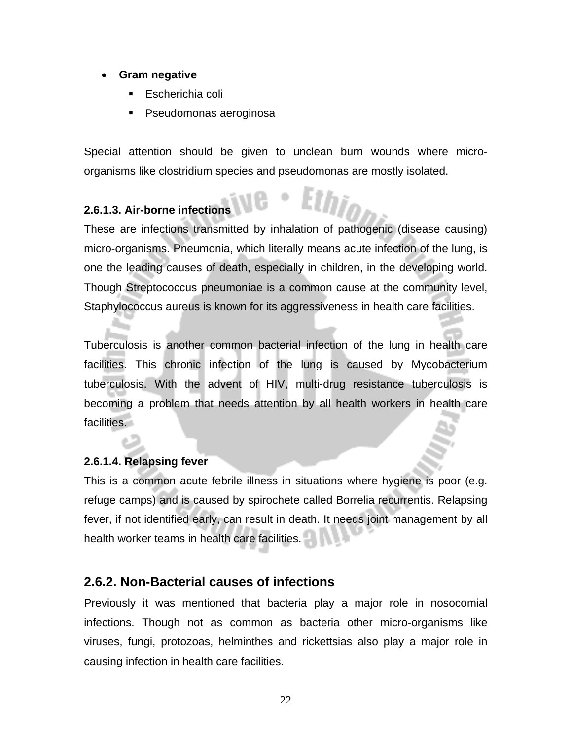#### • **Gram negative**

- Escherichia coli
- Pseudomonas aeroginosa

Special attention should be given to unclean burn wounds where microorganisms like clostridium species and pseudomonas are mostly isolated.

#### **2.6.1.3. Air-borne infections**

These are infections transmitted by inhalation of pathogenic (disease causing) micro-organisms. Pneumonia, which literally means acute infection of the lung, is one the leading causes of death, especially in children, in the developing world. Though Streptococcus pneumoniae is a common cause at the community level, Staphylococcus aureus is known for its aggressiveness in health care facilities.

Tuberculosis is another common bacterial infection of the lung in health care facilities. This chronic infection of the lung is caused by Mycobacterium tuberculosis. With the advent of HIV, multi-drug resistance tuberculosis is becoming a problem that needs attention by all health workers in health care facilities.

#### **2.6.1.4. Relapsing fever**

This is a common acute febrile illness in situations where hygiene is poor (e.g. refuge camps) and is caused by spirochete called Borrelia recurrentis. Relapsing fever, if not identified early, can result in death. It needs joint management by all health worker teams in health care facilities.

#### **2.6.2. Non-Bacterial causes of infections**

Previously it was mentioned that bacteria play a major role in nosocomial infections. Though not as common as bacteria other micro-organisms like viruses, fungi, protozoas, helminthes and rickettsias also play a major role in causing infection in health care facilities.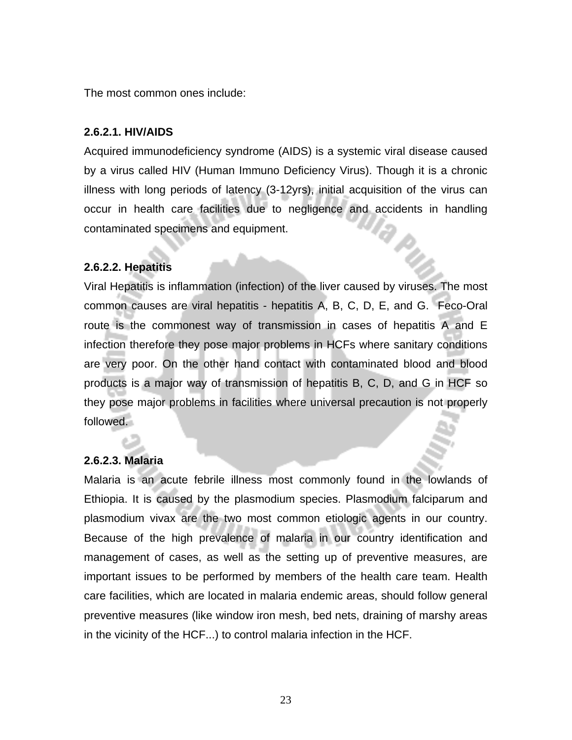The most common ones include:

#### **2.6.2.1. HIV/AIDS**

Acquired immunodeficiency syndrome (AIDS) is a systemic viral disease caused by a virus called HIV (Human Immuno Deficiency Virus). Though it is a chronic illness with long periods of latency (3-12yrs), initial acquisition of the virus can occur in health care facilities due to negligence and accidents in handling contaminated specimens and equipment.

#### **2.6.2.2. Hepatitis**

Viral Hepatitis is inflammation (infection) of the liver caused by viruses. The most common causes are viral hepatitis - hepatitis A, B, C, D, E, and G. Feco-Oral route is the commonest way of transmission in cases of hepatitis A and E infection therefore they pose major problems in HCFs where sanitary conditions are very poor. On the other hand contact with contaminated blood and blood products is a major way of transmission of hepatitis B, C, D, and G in HCF so they pose major problems in facilities where universal precaution is not properly followed.

#### **2.6.2.3. Malaria**

Malaria is an acute febrile illness most commonly found in the lowlands of Ethiopia. It is caused by the plasmodium species. Plasmodium falciparum and plasmodium vivax are the two most common etiologic agents in our country. Because of the high prevalence of malaria in our country identification and management of cases, as well as the setting up of preventive measures, are important issues to be performed by members of the health care team. Health care facilities, which are located in malaria endemic areas, should follow general preventive measures (like window iron mesh, bed nets, draining of marshy areas in the vicinity of the HCF...) to control malaria infection in the HCF.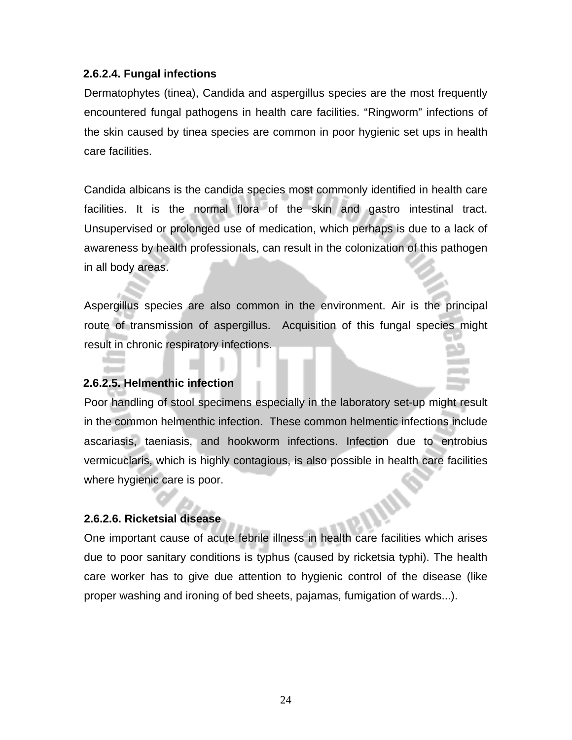#### **2.6.2.4. Fungal infections**

Dermatophytes (tinea), Candida and aspergillus species are the most frequently encountered fungal pathogens in health care facilities. "Ringworm" infections of the skin caused by tinea species are common in poor hygienic set ups in health care facilities.

Candida albicans is the candida species most commonly identified in health care facilities. It is the normal flora of the skin and gastro intestinal tract. Unsupervised or prolonged use of medication, which perhaps is due to a lack of awareness by health professionals, can result in the colonization of this pathogen in all body areas.

Aspergillus species are also common in the environment. Air is the principal route of transmission of aspergillus. Acquisition of this fungal species might result in chronic respiratory infections.

#### **2.6.2.5. Helmenthic infection**

Poor handling of stool specimens especially in the laboratory set-up might result in the common helmenthic infection. These common helmentic infections include ascariasis, taeniasis, and hookworm infections. Infection due to entrobius vermicuclaris, which is highly contagious, is also possible in health care facilities where hygienic care is poor.

#### **2.6.2.6. Ricketsial disease**

One important cause of acute febrile illness in health care facilities which arises due to poor sanitary conditions is typhus (caused by ricketsia typhi). The health care worker has to give due attention to hygienic control of the disease (like proper washing and ironing of bed sheets, pajamas, fumigation of wards...).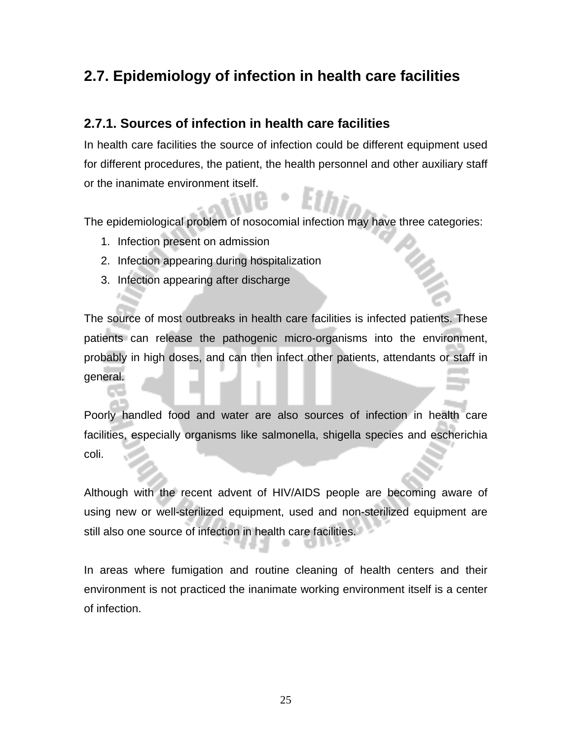## **2.7. Epidemiology of infection in health care facilities**

#### **2.7.1. Sources of infection in health care facilities**

In health care facilities the source of infection could be different equipment used for different procedures, the patient, the health personnel and other auxiliary staff or the inanimate environment itself.

The epidemiological problem of nosocomial infection may have three categories:

- 1. Infection present on admission
- 2. Infection appearing during hospitalization
- 3. Infection appearing after discharge

The source of most outbreaks in health care facilities is infected patients. These patients can release the pathogenic micro-organisms into the environment, probably in high doses, and can then infect other patients, attendants or staff in general.

Poorly handled food and water are also sources of infection in health care facilities, especially organisms like salmonella, shigella species and escherichia coli.

Although with the recent advent of HIV/AIDS people are becoming aware of using new or well-sterilized equipment, used and non-sterilized equipment are still also one source of infection in health care facilities.

In areas where fumigation and routine cleaning of health centers and their environment is not practiced the inanimate working environment itself is a center of infection.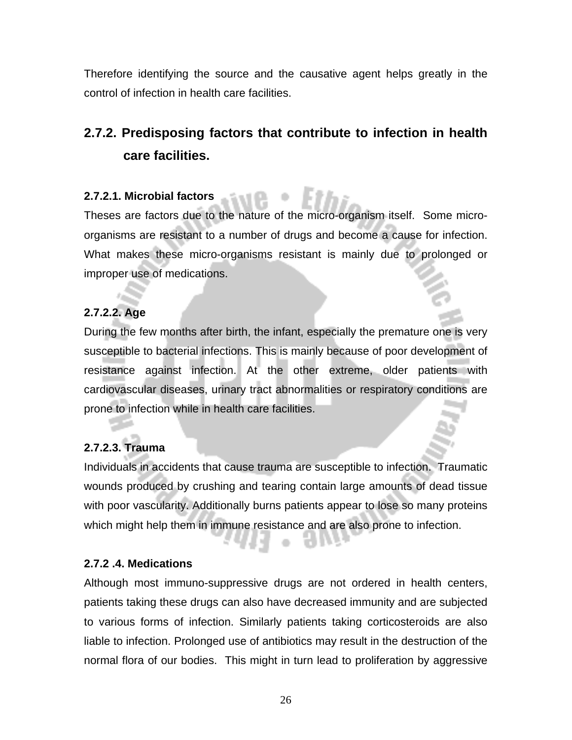Therefore identifying the source and the causative agent helps greatly in the control of infection in health care facilities.

## **2.7.2. Predisposing factors that contribute to infection in health care facilities.**

#### **2.7.2.1. Microbial factors**

Theses are factors due to the nature of the micro-organism itself. Some microorganisms are resistant to a number of drugs and become a cause for infection. What makes these micro-organisms resistant is mainly due to prolonged or improper use of medications.

#### **2.7.2.2. Age**

During the few months after birth, the infant, especially the premature one is very susceptible to bacterial infections. This is mainly because of poor development of resistance against infection. At the other extreme, older patients with cardiovascular diseases, urinary tract abnormalities or respiratory conditions are prone to infection while in health care facilities.

#### **2.7.2.3. Trauma**

Individuals in accidents that cause trauma are susceptible to infection. Traumatic wounds produced by crushing and tearing contain large amounts of dead tissue with poor vascularity. Additionally burns patients appear to lose so many proteins which might help them in immune resistance and are also prone to infection.

#### **2.7.2 .4. Medications**

Although most immuno-suppressive drugs are not ordered in health centers, patients taking these drugs can also have decreased immunity and are subjected to various forms of infection. Similarly patients taking corticosteroids are also liable to infection. Prolonged use of antibiotics may result in the destruction of the normal flora of our bodies. This might in turn lead to proliferation by aggressive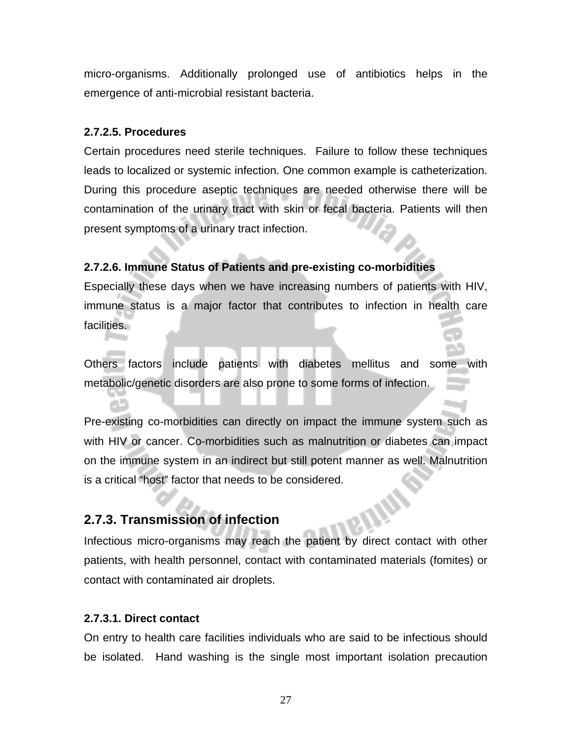micro-organisms. Additionally prolonged use of antibiotics helps in the emergence of anti-microbial resistant bacteria.

#### **2.7.2.5. Procedures**

Certain procedures need sterile techniques. Failure to follow these techniques leads to localized or systemic infection. One common example is catheterization. During this procedure aseptic techniques are needed otherwise there will be contamination of the urinary tract with skin or fecal bacteria. Patients will then present symptoms of a urinary tract infection.

#### **2.7.2.6. Immune Status of Patients and pre-existing co-morbidities**

Especially these days when we have increasing numbers of patients with HIV, immune status is a major factor that contributes to infection in health care facilities.

Others factors include patients with diabetes mellitus and some with metabolic/genetic disorders are also prone to some forms of infection.

Pre-existing co-morbidities can directly on impact the immune system such as with HIV or cancer. Co-morbidities such as malnutrition or diabetes can impact on the immune system in an indirect but still potent manner as well. Malnutrition is a critical "host" factor that needs to be considered.

#### **2.7.3. Transmission of infection**

Infectious micro-organisms may reach the patient by direct contact with other patients, with health personnel, contact with contaminated materials (fomites) or contact with contaminated air droplets.

#### **2.7.3.1. Direct contact**

On entry to health care facilities individuals who are said to be infectious should be isolated. Hand washing is the single most important isolation precaution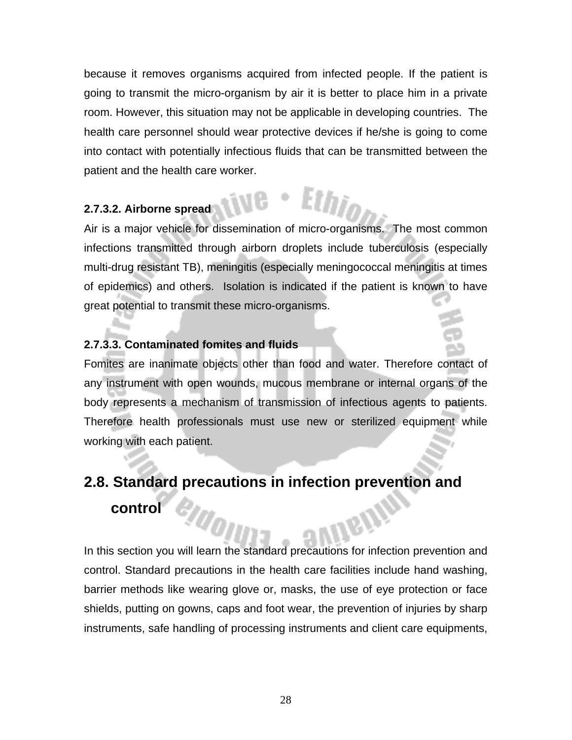because it removes organisms acquired from infected people. If the patient is going to transmit the micro-organism by air it is better to place him in a private room. However, this situation may not be applicable in developing countries. The health care personnel should wear protective devices if he/she is going to come into contact with potentially infectious fluids that can be transmitted between the patient and the health care worker.

#### **2.7.3.2. Airborne spread**

Air is a major vehicle for dissemination of micro-organisms. The most common infections transmitted through airborn droplets include tuberculosis (especially multi-drug resistant TB), meningitis (especially meningococcal meningitis at times of epidemics) and others. Isolation is indicated if the patient is known to have great potential to transmit these micro-organisms.

#### **2.7.3.3. Contaminated fomites and fluids**

Fomites are inanimate objects other than food and water. Therefore contact of any instrument with open wounds, mucous membrane or internal organs of the body represents a mechanism of transmission of infectious agents to patients. Therefore health professionals must use new or sterilized equipment while working with each patient.

## **2.8. Standard precautions in infection prevention and control**

In this section you will learn the standard precautions for infection prevention and control. Standard precautions in the health care facilities include hand washing, barrier methods like wearing glove or, masks, the use of eye protection or face shields, putting on gowns, caps and foot wear, the prevention of injuries by sharp instruments, safe handling of processing instruments and client care equipments,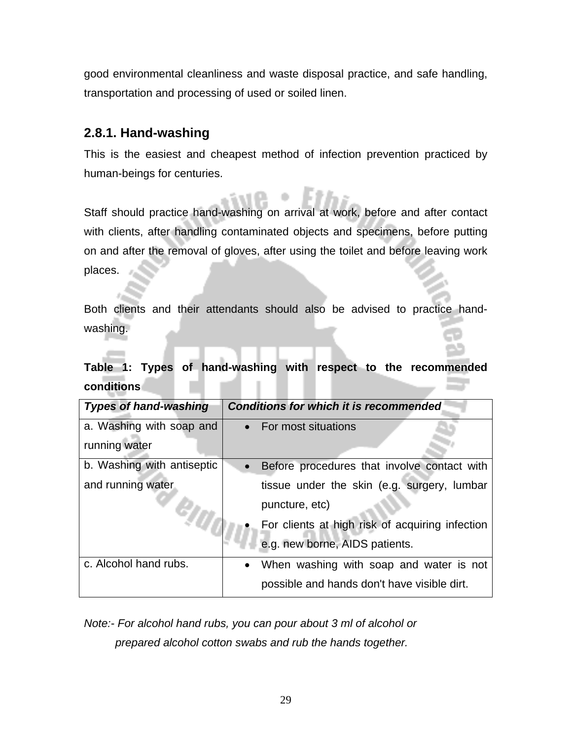good environmental cleanliness and waste disposal practice, and safe handling, transportation and processing of used or soiled linen.

#### **2.8.1. Hand-washing**

This is the easiest and cheapest method of infection prevention practiced by human-beings for centuries.

Staff should practice hand-washing on arrival at work, before and after contact with clients, after handling contaminated objects and specimens, before putting on and after the removal of gloves, after using the toilet and before leaving work places.

Both clients and their attendants should also be advised to practice handwashing.

**Table 1: Types of hand-washing with respect to the recommended conditions** 

| <b>Types of hand-washing</b> | <b>Conditions for which it is recommended</b>            |
|------------------------------|----------------------------------------------------------|
| a. Washing with soap and     | • For most situations                                    |
| running water                |                                                          |
| b. Washing with antiseptic   | Before procedures that involve contact with<br>$\bullet$ |
| and running water            | tissue under the skin (e.g. surgery, lumbar              |
|                              | puncture, etc)                                           |
|                              | For clients at high risk of acquiring infection          |
|                              | e.g. new borne, AIDS patients.                           |
| c. Alcohol hand rubs.        | When washing with soap and water is not<br>$\bullet$     |
|                              | possible and hands don't have visible dirt.              |

*Note:- For alcohol hand rubs, you can pour about 3 ml of alcohol or prepared alcohol cotton swabs and rub the hands together.*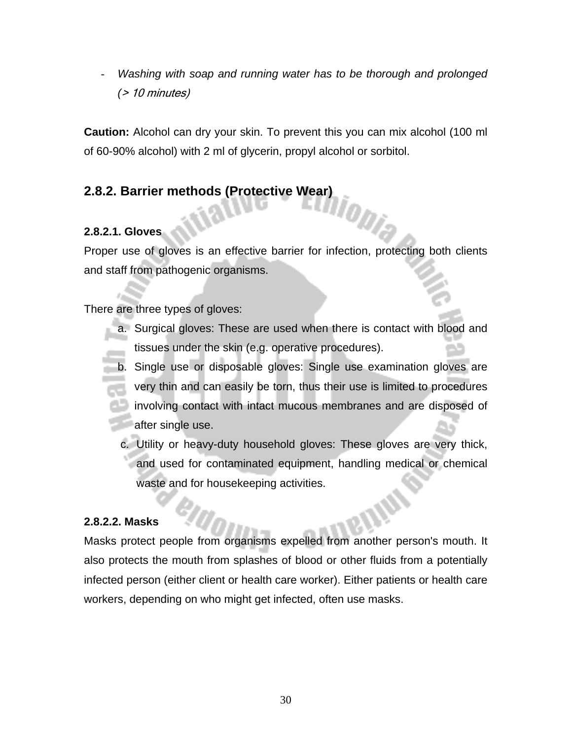- *Washing with soap and running water has to be thorough and prolonged (*> 10 minutes)

**Caution:** Alcohol can dry your skin. To prevent this you can mix alcohol (100 ml of 60-90% alcohol) with 2 ml of glycerin, propyl alcohol or sorbitol.

# **2.8.2. Barrier methods (Protective Wear)**

#### **2.8.2.1. Gloves**

Proper use of gloves is an effective barrier for infection, protecting both clients and staff from pathogenic organisms.

There are three types of gloves:

- a. Surgical gloves: These are used when there is contact with blood and tissues under the skin (e.g. operative procedures).
- b. Single use or disposable gloves: Single use examination gloves are very thin and can easily be torn, thus their use is limited to procedures involving contact with intact mucous membranes and are disposed of **after single use.** 
	- c. Utility or heavy-duty household gloves: These gloves are very thick, and used for contaminated equipment, handling medical or chemical waste and for housekeeping activities.

#### **2.8.2.2. Masks**

Masks protect people from organisms expelled from another person's mouth. It also protects the mouth from splashes of blood or other fluids from a potentially infected person (either client or health care worker). Either patients or health care workers, depending on who might get infected, often use masks.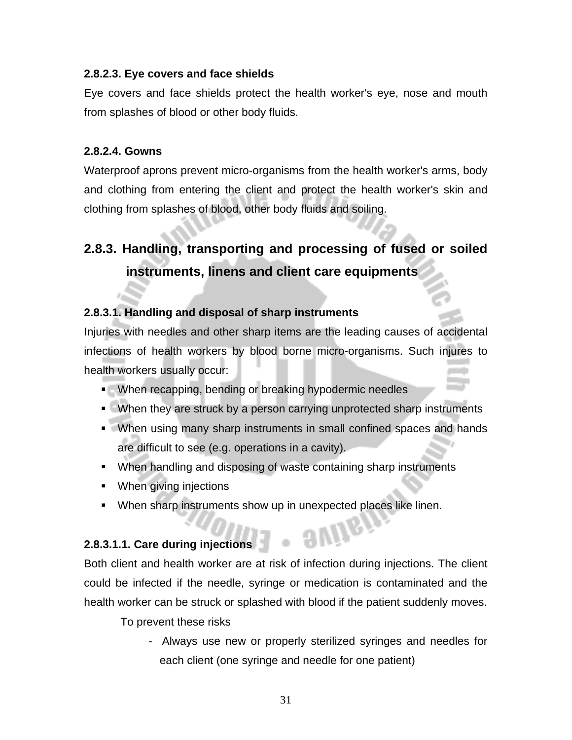#### **2.8.2.3. Eye covers and face shields**

Eye covers and face shields protect the health worker's eye, nose and mouth from splashes of blood or other body fluids.

#### **2.8.2.4. Gowns**

Waterproof aprons prevent micro-organisms from the health worker's arms, body and clothing from entering the client and protect the health worker's skin and clothing from splashes of blood, other body fluids and soiling.

## **2.8.3. Handling, transporting and processing of fused or soiled instruments, linens and client care equipments**

#### **2.8.3.1. Handling and disposal of sharp instruments**

Injuries with needles and other sharp items are the leading causes of accidental infections of health workers by blood borne micro-organisms. Such injures to health workers usually occur:

- When recapping, bending or breaking hypodermic needles
- **When they are struck by a person carrying unprotected sharp instruments**
- When using many sharp instruments in small confined spaces and hands are difficult to see (e.g. operations in a cavity).
- When handling and disposing of waste containing sharp instruments
- **When giving injections**
- **When sharp instruments show up in unexpected places like linen.**

#### **2.8.3.1.1. Care during injections**

Both client and health worker are at risk of infection during injections. The client could be infected if the needle, syringe or medication is contaminated and the health worker can be struck or splashed with blood if the patient suddenly moves.

To prevent these risks

 - Always use new or properly sterilized syringes and needles for each client (one syringe and needle for one patient)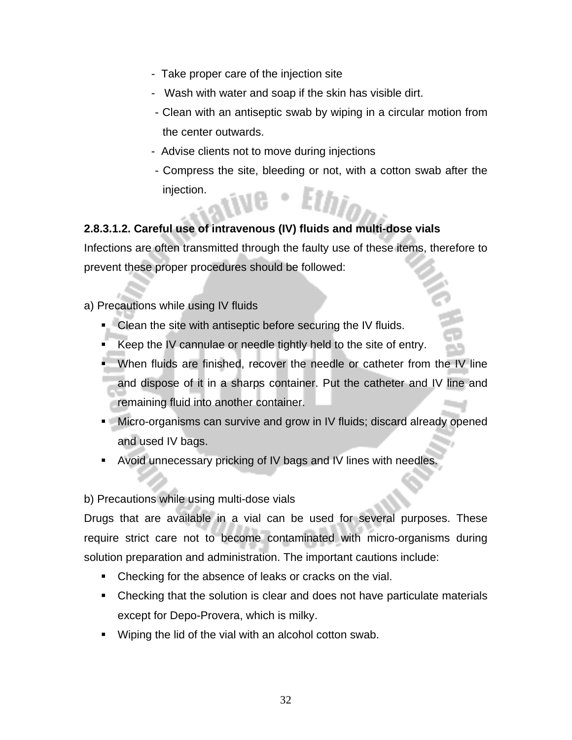- Take proper care of the injection site
- Wash with water and soap if the skin has visible dirt.
- Clean with an antiseptic swab by wiping in a circular motion from the center outwards.
- Advise clients not to move during injections
- Compress the site, bleeding or not, with a cotton swab after the injection.

#### **2.8.3.1.2. Careful use of intravenous (IV) fluids and multi-dose vials**

Infections are often transmitted through the faulty use of these items, therefore to prevent these proper procedures should be followed:

- a) Precautions while using IV fluids
	- **Clean the site with antiseptic before securing the IV fluids.**
	- Keep the IV cannulae or needle tightly held to the site of entry.
	- **When fluids are finished, recover the needle or catheter from the IV line** and dispose of it in a sharps container. Put the catheter and IV line and remaining fluid into another container.
	- **Micro-organisms can survive and grow in IV fluids; discard already opened** and used IV bags.
	- Avoid unnecessary pricking of IV bags and IV lines with needles.

#### b) Precautions while using multi-dose vials

Drugs that are available in a vial can be used for several purposes. These require strict care not to become contaminated with micro-organisms during solution preparation and administration. The important cautions include:

- Checking for the absence of leaks or cracks on the vial.
- Checking that the solution is clear and does not have particulate materials except for Depo-Provera, which is milky.
- **Wiping the lid of the vial with an alcohol cotton swab.**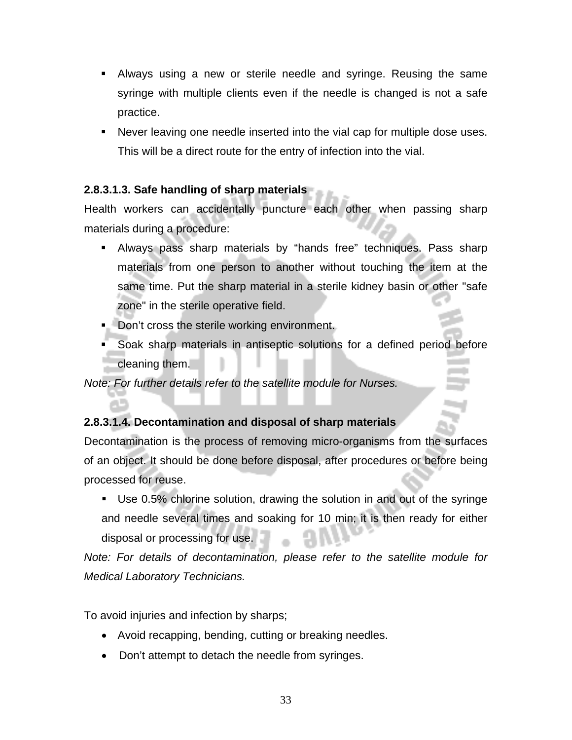- Always using a new or sterile needle and syringe. Reusing the same syringe with multiple clients even if the needle is changed is not a safe practice.
- Never leaving one needle inserted into the vial cap for multiple dose uses. This will be a direct route for the entry of infection into the vial.

### **2.8.3.1.3. Safe handling of sharp materials**

Health workers can accidentally puncture each other when passing sharp materials during a procedure:

- Always pass sharp materials by "hands free" techniques. Pass sharp materials from one person to another without touching the item at the same time. Put the sharp material in a sterile kidney basin or other "safe zone" in the sterile operative field.
- Don't cross the sterile working environment.
- Soak sharp materials in antiseptic solutions for a defined period before cleaning them.

*Note: For further details refer to the satellite module for Nurses.* 

### **2.8.3.1.4. Decontamination and disposal of sharp materials**

Decontamination is the process of removing micro-organisms from the surfaces of an object. It should be done before disposal, after procedures or before being processed for reuse.

 Use 0.5% chlorine solution, drawing the solution in and out of the syringe and needle several times and soaking for 10 min; it is then ready for either disposal or processing for use.

*Note: For details of decontamination, please refer to the satellite module for Medical Laboratory Technicians.* 

To avoid injuries and infection by sharps;

- Avoid recapping, bending, cutting or breaking needles.
- Don't attempt to detach the needle from syringes.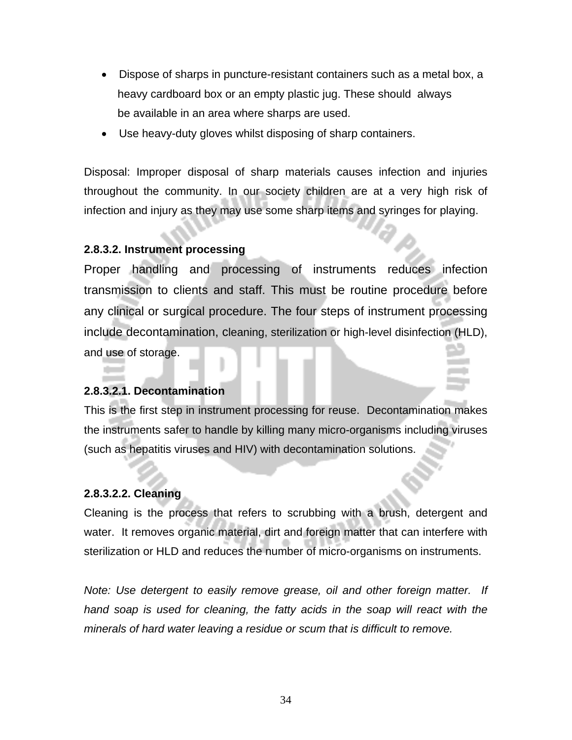- Dispose of sharps in puncture-resistant containers such as a metal box, a heavy cardboard box or an empty plastic jug. These should always be available in an area where sharps are used.
- Use heavy-duty gloves whilst disposing of sharp containers.

Disposal: Improper disposal of sharp materials causes infection and injuries throughout the community. In our society children are at a very high risk of infection and injury as they may use some sharp items and syringes for playing.

### **2.8.3.2. Instrument processing**

Proper handling and processing of instruments reduces infection transmission to clients and staff. This must be routine procedure before any clinical or surgical procedure. The four steps of instrument processing include decontamination, cleaning, sterilization or high-level disinfection (HLD), and use of storage.

### **2.8.3.2.1. Decontamination**

This is the first step in instrument processing for reuse. Decontamination makes the instruments safer to handle by killing many micro-organisms including viruses (such as hepatitis viruses and HIV) with decontamination solutions.

### **2.8.3.2.2. Cleaning**

Cleaning is the process that refers to scrubbing with a brush, detergent and water. It removes organic material, dirt and foreign matter that can interfere with sterilization or HLD and reduces the number of micro-organisms on instruments.

*Note: Use detergent to easily remove grease, oil and other foreign matter. If hand soap is used for cleaning, the fatty acids in the soap will react with the minerals of hard water leaving a residue or scum that is difficult to remove.*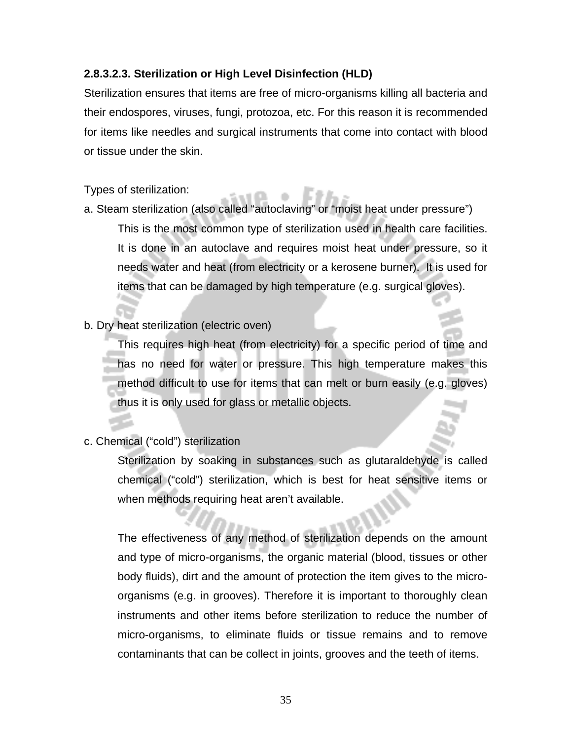### **2.8.3.2.3. Sterilization or High Level Disinfection (HLD)**

Sterilization ensures that items are free of micro-organisms killing all bacteria and their endospores, viruses, fungi, protozoa, etc. For this reason it is recommended for items like needles and surgical instruments that come into contact with blood or tissue under the skin.

Types of sterilization:

- a. Steam sterilization (also called "autoclaving" or "moist heat under pressure") This is the most common type of sterilization used in health care facilities. It is done in an autoclave and requires moist heat under pressure, so it needs water and heat (from electricity or a kerosene burner). It is used for items that can be damaged by high temperature (e.g. surgical gloves).
- b. Dry heat sterilization (electric oven)

This requires high heat (from electricity) for a specific period of time and has no need for water or pressure. This high temperature makes this method difficult to use for items that can melt or burn easily (e.g. gloves) thus it is only used for glass or metallic objects.

c. Chemical ("cold") sterilization

Sterilization by soaking in substances such as glutaraldehyde is called chemical ("cold") sterilization, which is best for heat sensitive items or when methods requiring heat aren't available.

The effectiveness of any method of sterilization depends on the amount and type of micro-organisms, the organic material (blood, tissues or other body fluids), dirt and the amount of protection the item gives to the microorganisms (e.g. in grooves). Therefore it is important to thoroughly clean instruments and other items before sterilization to reduce the number of micro-organisms, to eliminate fluids or tissue remains and to remove contaminants that can be collect in joints, grooves and the teeth of items.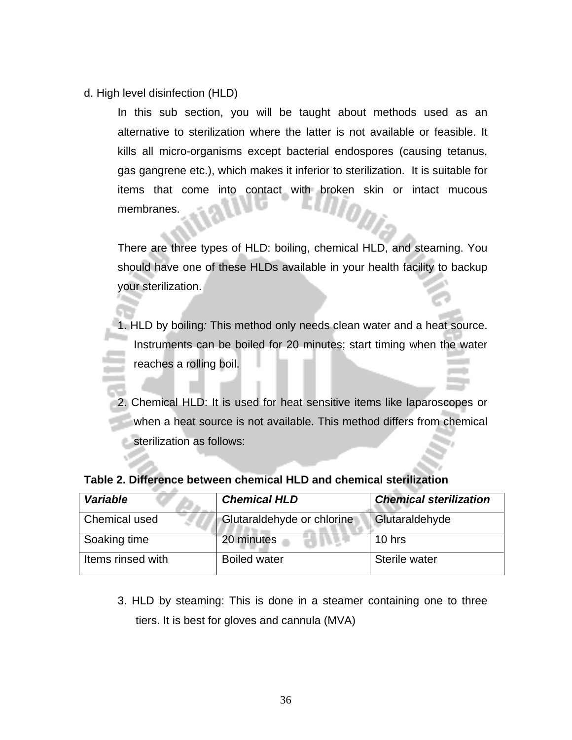d. High level disinfection (HLD)

In this sub section, you will be taught about methods used as an alternative to sterilization where the latter is not available or feasible. It kills all micro-organisms except bacterial endospores (causing tetanus, gas gangrene etc.), which makes it inferior to sterilization. It is suitable for items that come into contact with broken skin or intact mucous membranes.

There are three types of HLD: boiling, chemical HLD, and steaming. You should have one of these HLDs available in your health facility to backup your sterilization.

1. HLD by boiling*:* This method only needs clean water and a heat source. Instruments can be boiled for 20 minutes; start timing when the water reaches a rolling boil.

2. Chemical HLD: It is used for heat sensitive items like laparoscopes or when a heat source is not available. This method differs from chemical **Sterilization as follows:** 

| <b>Variable</b>   | <b>Chemical HLD</b>        | <b>Chemical sterilization</b> |  |
|-------------------|----------------------------|-------------------------------|--|
| Chemical used     | Glutaraldehyde or chlorine | Glutaraldehyde                |  |
| Soaking time      | 20 minutes                 | $10$ hrs                      |  |
| Items rinsed with | <b>Boiled water</b>        | Sterile water                 |  |

### **Table 2. Difference between chemical HLD and chemical sterilization**

3. HLD by steaming: This is done in a steamer containing one to three tiers. It is best for gloves and cannula (MVA)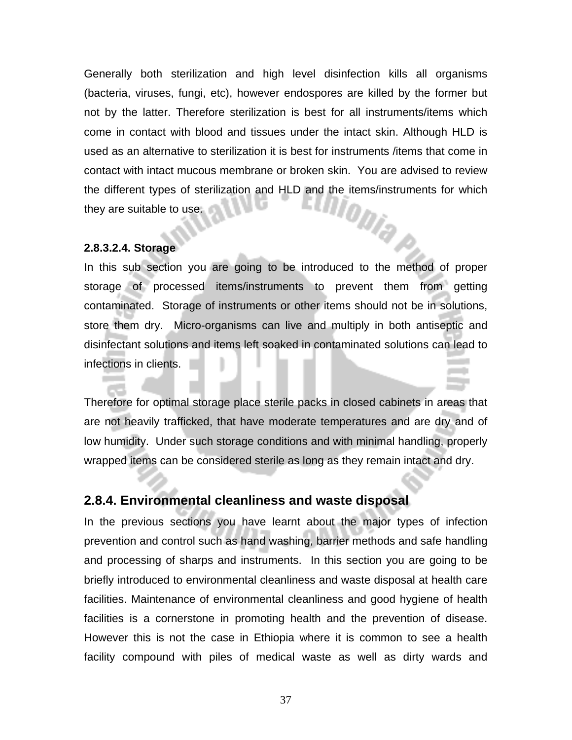Generally both sterilization and high level disinfection kills all organisms (bacteria, viruses, fungi, etc), however endospores are killed by the former but not by the latter. Therefore sterilization is best for all instruments/items which come in contact with blood and tissues under the intact skin. Although HLD is used as an alternative to sterilization it is best for instruments /items that come in contact with intact mucous membrane or broken skin. You are advised to review the different types of sterilization and HLD and the items/instruments for which<br>they are suitable to use. they are suitable to use.

#### **2.8.3.2.4. Storage**

In this sub section you are going to be introduced to the method of proper storage of processed items/instruments to prevent them from getting contaminated. Storage of instruments or other items should not be in solutions, store them dry. Micro-organisms can live and multiply in both antiseptic and disinfectant solutions and items left soaked in contaminated solutions can lead to infections in clients.

Therefore for optimal storage place sterile packs in closed cabinets in areas that are not heavily trafficked, that have moderate temperatures and are dry and of low humidity. Under such storage conditions and with minimal handling, properly wrapped items can be considered sterile as long as they remain intact and dry.

### **2.8.4. Environmental cleanliness and waste disposal**

In the previous sections you have learnt about the major types of infection prevention and control such as hand washing, barrier methods and safe handling and processing of sharps and instruments. In this section you are going to be briefly introduced to environmental cleanliness and waste disposal at health care facilities. Maintenance of environmental cleanliness and good hygiene of health facilities is a cornerstone in promoting health and the prevention of disease. However this is not the case in Ethiopia where it is common to see a health facility compound with piles of medical waste as well as dirty wards and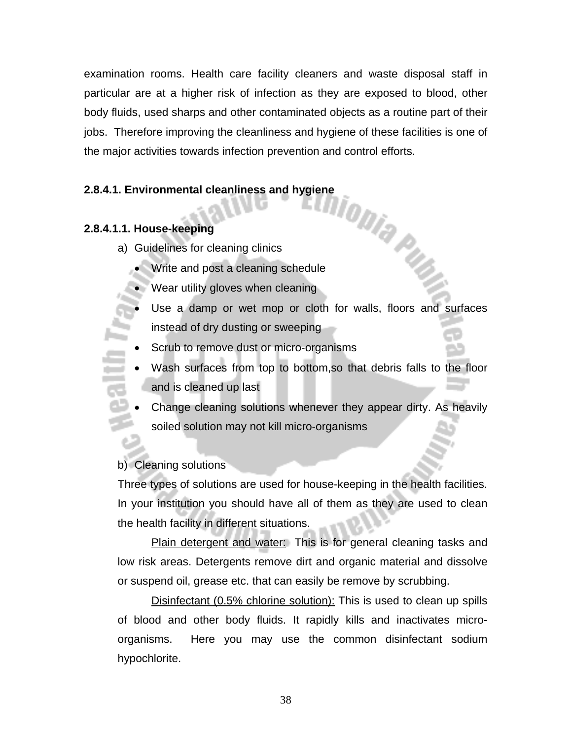examination rooms. Health care facility cleaners and waste disposal staff in particular are at a higher risk of infection as they are exposed to blood, other body fluids, used sharps and other contaminated objects as a routine part of their jobs. Therefore improving the cleanliness and hygiene of these facilities is one of the major activities towards infection prevention and control efforts.

# **2.8.4.1. Environmental cleanliness and hygiene**<br> **2.8.4.1.** Environmental cleanliness and hygiene<br> **2.8.4.1.** Environmental cleanliness and hygiene<br> **2.8.4.1.** Environmental cleanliness and hygiene<br> **2.8.4.1.** Environment

### **2.8.4.1.1. House-keeping**

- a) Guidelines for cleaning clinics
	- Write and post a cleaning schedule
	- Wear utility gloves when cleaning
	- Use a damp or wet mop or cloth for walls, floors and surfaces instead of dry dusting or sweeping
	- Scrub to remove dust or micro-organisms
	- Wash surfaces from top to bottom, so that debris falls to the floor and is cleaned up last
	- Change cleaning solutions whenever they appear dirty. As heavily soiled solution may not kill micro-organisms

### b) Cleaning solutions

Three types of solutions are used for house-keeping in the health facilities. In your institution you should have all of them as they are used to clean the health facility in different situations.

Plain detergent and water:This is for general cleaning tasks and low risk areas. Detergents remove dirt and organic material and dissolve or suspend oil, grease etc. that can easily be remove by scrubbing.

Disinfectant (0.5% chlorine solution): This is used to clean up spills of blood and other body fluids. It rapidly kills and inactivates microorganisms. Here you may use the common disinfectant sodium hypochlorite.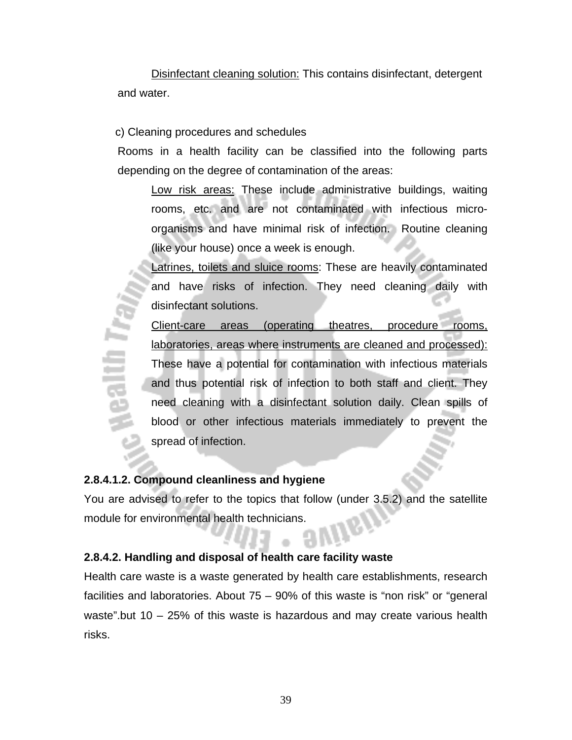Disinfectant cleaning solution: This contains disinfectant, detergent and water.

c) Cleaning procedures and schedules

Rooms in a health facility can be classified into the following parts depending on the degree of contamination of the areas:

Low risk areas: These include administrative buildings, waiting rooms, etc. and are not contaminated with infectious microorganisms and have minimal risk of infection. Routine cleaning (like your house) once a week is enough.

Latrines, toilets and sluice rooms: These are heavily contaminated and have risks of infection. They need cleaning daily with disinfectant solutions.

Client-care areas (operating theatres, procedure rooms, laboratories, areas where instruments are cleaned and processed): These have a potential for contamination with infectious materials and thus potential risk of infection to both staff and client. They need cleaning with a disinfectant solution daily. Clean spills of blood or other infectious materials immediately to prevent the spread of infection.

### **2.8.4.1.2. Compound cleanliness and hygiene**

itin Ty

You are advised to refer to the topics that follow (under 3.5.2) and the satellite module for environmental health technicians.

### **2.8.4.2. Handling and disposal of health care facility waste**

Health care waste is a waste generated by health care establishments, research facilities and laboratories. About 75 – 90% of this waste is "non risk" or "general waste".but 10 – 25% of this waste is hazardous and may create various health risks.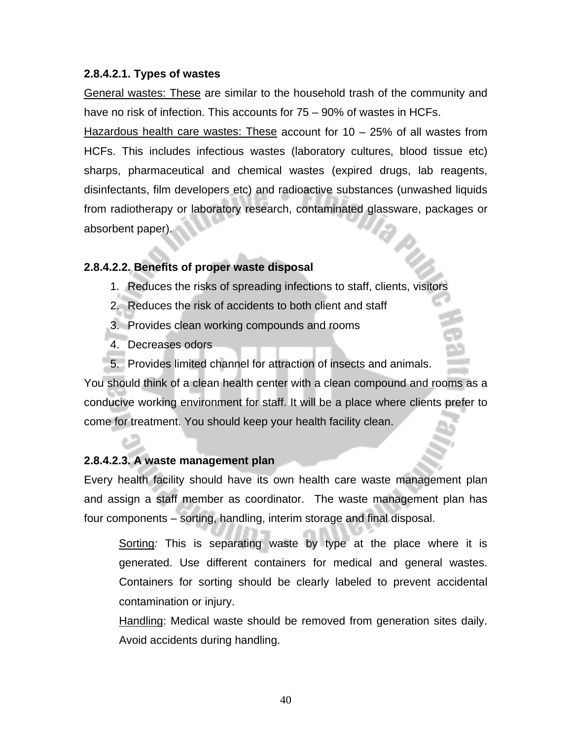### **2.8.4.2.1. Types of wastes**

General wastes: These are similar to the household trash of the community and have no risk of infection. This accounts for 75 – 90% of wastes in HCFs.

Hazardous health care wastes: These account for 10 – 25% of all wastes from HCFs. This includes infectious wastes (laboratory cultures, blood tissue etc) sharps, pharmaceutical and chemical wastes (expired drugs, lab reagents, disinfectants, film developers etc) and radioactive substances (unwashed liquids from radiotherapy or laboratory research, contaminated glassware, packages or absorbent paper).

### **2.8.4.2.2. Benefits of proper waste disposal**

- 1. Reduces the risks of spreading infections to staff, clients, visitors
- 2. Reduces the risk of accidents to both client and staff
- 3. Provides clean working compounds and rooms
- 4. Decreases odors
- 5. Provides limited channel for attraction of insects and animals.

You should think of a clean health center with a clean compound and rooms as a conducive working environment for staff. It will be a place where clients prefer to come for treatment. You should keep your health facility clean.

### **2.8.4.2.3. A waste management plan**

Every health facility should have its own health care waste management plan and assign a staff member as coordinator. The waste management plan has four components – sorting, handling, interim storage and final disposal.

Sorting*:* This is separating waste by type at the place where it is generated. Use different containers for medical and general wastes. Containers for sorting should be clearly labeled to prevent accidental contamination or injury.

Handling: Medical waste should be removed from generation sites daily. Avoid accidents during handling.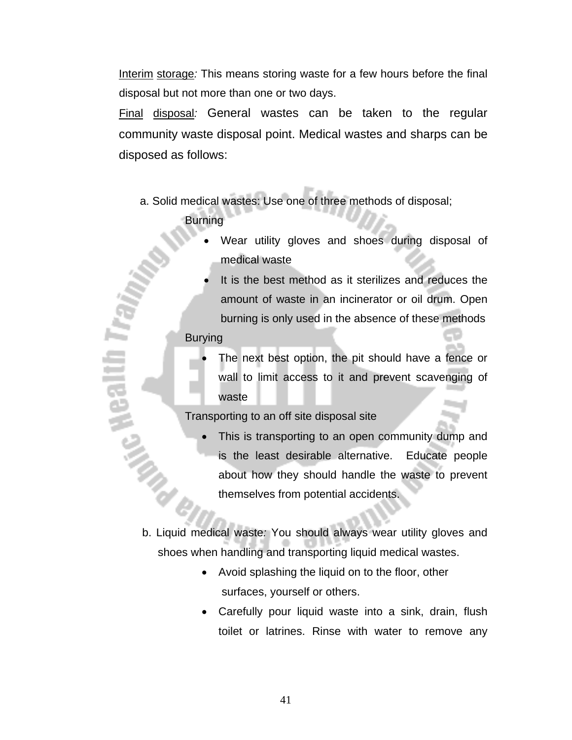Interim storage*:* This means storing waste for a few hours before the final disposal but not more than one or two days.

Final disposal*:* General wastes can be taken to the regular community waste disposal point. Medical wastes and sharps can be disposed as follows:

a. Solid medical wastes: Use one of three methods of disposal;

**Burning** 

- Wear utility gloves and shoes during disposal of medical waste
- It is the best method as it sterilizes and reduces the amount of waste in an incinerator or oil drum. Open burning is only used in the absence of these methods

Burying

Nealth

• The next best option, the pit should have a fence or wall to limit access to it and prevent scavenging of waste

Transporting to an off site disposal site

This is transporting to an open community dump and is the least desirable alternative. Educate people about how they should handle the waste to prevent themselves from potential accidents.

b. Liquid medical waste*:* You should always wear utility gloves and shoes when handling and transporting liquid medical wastes.

- Avoid splashing the liquid on to the floor, other surfaces, yourself or others.
- Carefully pour liquid waste into a sink, drain, flush toilet or latrines. Rinse with water to remove any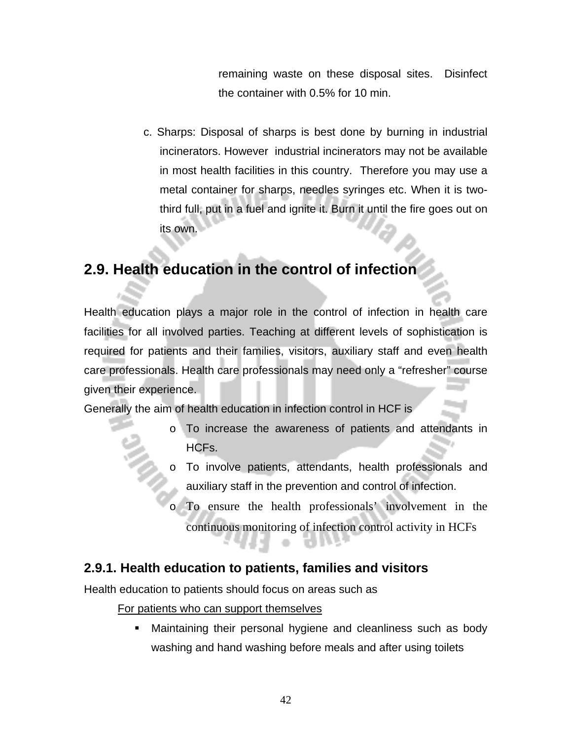remaining waste on these disposal sites. Disinfect the container with 0.5% for 10 min.

c. Sharps: Disposal of sharps is best done by burning in industrial incinerators. However industrial incinerators may not be available in most health facilities in this country. Therefore you may use a metal container for sharps, needles syringes etc. When it is twothird full, put in a fuel and ignite it. Burn it until the fire goes out on its own.

# **2.9. Health education in the control of infection**

Health education plays a major role in the control of infection in health care facilities for all involved parties. Teaching at different levels of sophistication is required for patients and their families, visitors, auxiliary staff and even health care professionals. Health care professionals may need only a "refresher" course given their experience.

Generally the aim of health education in infection control in HCF is

- o To increase the awareness of patients and attendants in HCFs.
- o To involve patients, attendants, health professionals and auxiliary staff in the prevention and control of infection.
	- To ensure the health professionals' involvement in the continuous monitoring of infection control activity in HCFs

### **2.9.1. Health education to patients, families and visitors**

Health education to patients should focus on areas such as

For patients who can support themselves

 Maintaining their personal hygiene and cleanliness such as body washing and hand washing before meals and after using toilets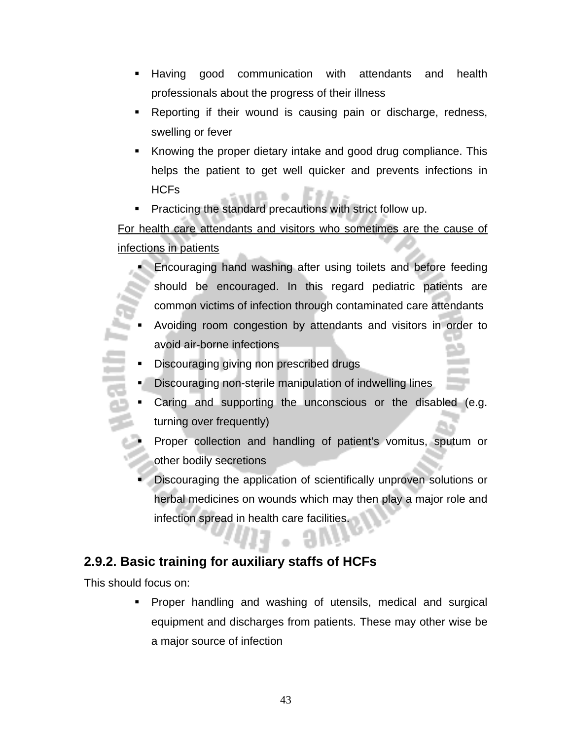- Having good communication with attendants and health professionals about the progress of their illness
- Reporting if their wound is causing pain or discharge, redness, swelling or fever
- Knowing the proper dietary intake and good drug compliance. This helps the patient to get well quicker and prevents infections in HCFs
- Practicing the standard precautions with strict follow up.

# For health care attendants and visitors who sometimes are the cause of infections in patients

- Encouraging hand washing after using toilets and before feeding should be encouraged. In this regard pediatric patients are common victims of infection through contaminated care attendants
- Avoiding room congestion by attendants and visitors in order to avoid air-borne infections
- Discouraging giving non prescribed drugs
- Discouraging non-sterile manipulation of indwelling lines
- Caring and supporting the unconscious or the disabled (e.g. turning over frequently)
- Proper collection and handling of patient's vomitus, sputum or other bodily secretions
- Discouraging the application of scientifically unproven solutions or herbal medicines on wounds which may then play a major role and infection spread in health care facilities.

# **2.9.2. Basic training for auxiliary staffs of HCFs**

This should focus on:

 Proper handling and washing of utensils, medical and surgical equipment and discharges from patients. These may other wise be a major source of infection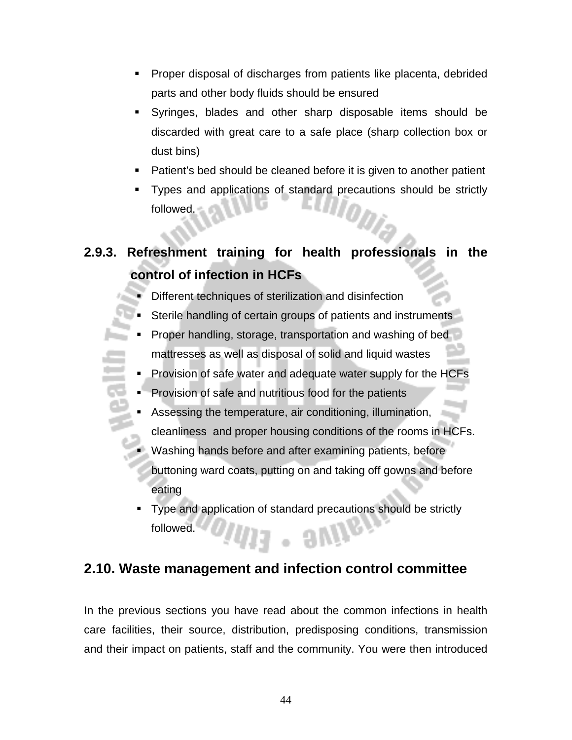- Proper disposal of discharges from patients like placenta, debrided parts and other body fluids should be ensured
- Syringes, blades and other sharp disposable items should be discarded with great care to a safe place (sharp collection box or dust bins)
- Patient's bed should be cleaned before it is given to another patient
- Types and applications of standard precautions should be strictly followed. followed.

# **2.9.3. Refreshment training for health professionals in the control of infection in HCFs**

- Different techniques of sterilization and disinfection
- Sterile handling of certain groups of patients and instruments
- Proper handling, storage, transportation and washing of bed mattresses as well as disposal of solid and liquid wastes
- Provision of safe water and adequate water supply for the HCFs
- Provision of safe and nutritious food for the patients
- Assessing the temperature, air conditioning, illumination, cleanliness and proper housing conditions of the rooms in HCFs.
- Washing hands before and after examining patients, before buttoning ward coats, putting on and taking off gowns and before eating
- Type and application of standard precautions should be strictly followed.  $-$  9 $W$

# **2.10. Waste management and infection control committee**

In the previous sections you have read about the common infections in health care facilities, their source, distribution, predisposing conditions, transmission and their impact on patients, staff and the community. You were then introduced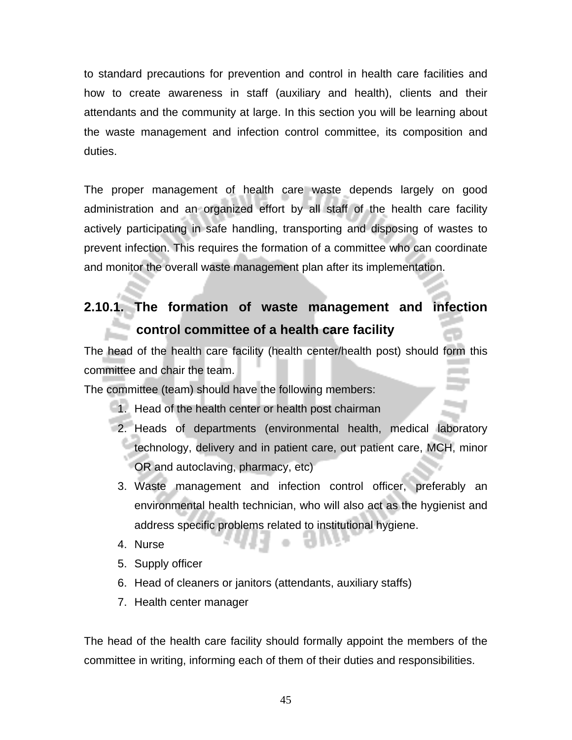to standard precautions for prevention and control in health care facilities and how to create awareness in staff (auxiliary and health), clients and their attendants and the community at large. In this section you will be learning about the waste management and infection control committee, its composition and duties.

The proper management of health care waste depends largely on good administration and an organized effort by all staff of the health care facility actively participating in safe handling, transporting and disposing of wastes to prevent infection. This requires the formation of a committee who can coordinate and monitor the overall waste management plan after its implementation.

# **2.10.1. The formation of waste management and infection control committee of a health care facility**

The head of the health care facility (health center/health post) should form this committee and chair the team.

The committee (team) should have the following members:

- 1. Head of the health center or health post chairman
- 2. Heads of departments (environmental health, medical laboratory technology, delivery and in patient care, out patient care, MCH, minor OR and autoclaving, pharmacy, etc)
- 3. Waste management and infection control officer, preferably an environmental health technician, who will also act as the hygienist and address specific problems related to institutional hygiene.
- 4. Nurse
- 5. Supply officer
- 6. Head of cleaners or janitors (attendants, auxiliary staffs)
- 7. Health center manager

The head of the health care facility should formally appoint the members of the committee in writing, informing each of them of their duties and responsibilities.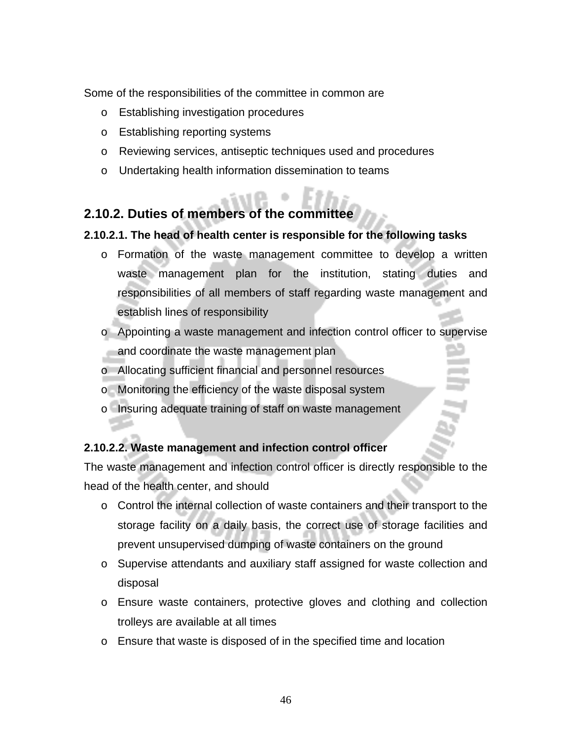Some of the responsibilities of the committee in common are

- o Establishing investigation procedures
- o Establishing reporting systems
- o Reviewing services, antiseptic techniques used and procedures
- o Undertaking health information dissemination to teams

# **2.10.2. Duties of members of the committee**

### **2.10.2.1. The head of health center is responsible for the following tasks**

- o Formation of the waste management committee to develop a written waste management plan for the institution, stating duties and responsibilities of all members of staff regarding waste management and establish lines of responsibility
- o Appointing a waste management and infection control officer to supervise and coordinate the waste management plan
- o Allocating sufficient financial and personnel resources
- o Monitoring the efficiency of the waste disposal system
- o Insuring adequate training of staff on waste management

### **2.10.2.2. Waste management and infection control officer**

The waste management and infection control officer is directly responsible to the head of the health center, and should

- o Control the internal collection of waste containers and their transport to the storage facility on a daily basis, the correct use of storage facilities and prevent unsupervised dumping of waste containers on the ground
- o Supervise attendants and auxiliary staff assigned for waste collection and disposal
- o Ensure waste containers, protective gloves and clothing and collection trolleys are available at all times
- o Ensure that waste is disposed of in the specified time and location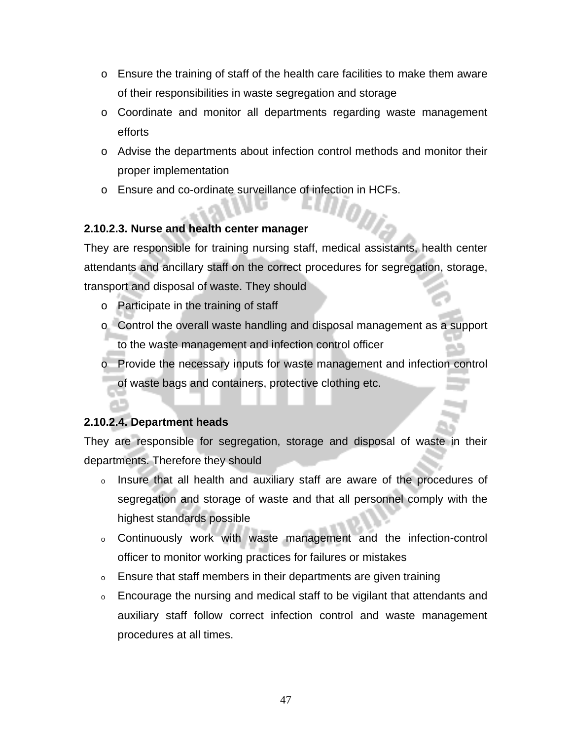- $\circ$  Ensure the training of staff of the health care facilities to make them aware of their responsibilities in waste segregation and storage
- o Coordinate and monitor all departments regarding waste management efforts
- o Advise the departments about infection control methods and monitor their proper implementation
- o Ensure and co-ordinate surveillance of infection in HCFs.

### **2.10.2.3. Nurse and health center manager**

They are responsible for training nursing staff, medical assistants, health center attendants and ancillary staff on the correct procedures for segregation, storage, transport and disposal of waste. They should

- o Participate in the training of staff
- o Control the overall waste handling and disposal management as a support to the waste management and infection control officer
- o Provide the necessary inputs for waste management and infection control of waste bags and containers, protective clothing etc.

### **2.10.2.4. Department heads**

They are responsible for segregation, storage and disposal of waste in their departments. Therefore they should

- <sup>o</sup> Insure that all health and auxiliary staff are aware of the procedures of segregation and storage of waste and that all personnel comply with the highest standards possible
- <sup>o</sup> Continuously work with waste management and the infection-control officer to monitor working practices for failures or mistakes
- <sup>o</sup> Ensure that staff members in their departments are given training
- <sup>o</sup> Encourage the nursing and medical staff to be vigilant that attendants and auxiliary staff follow correct infection control and waste management procedures at all times.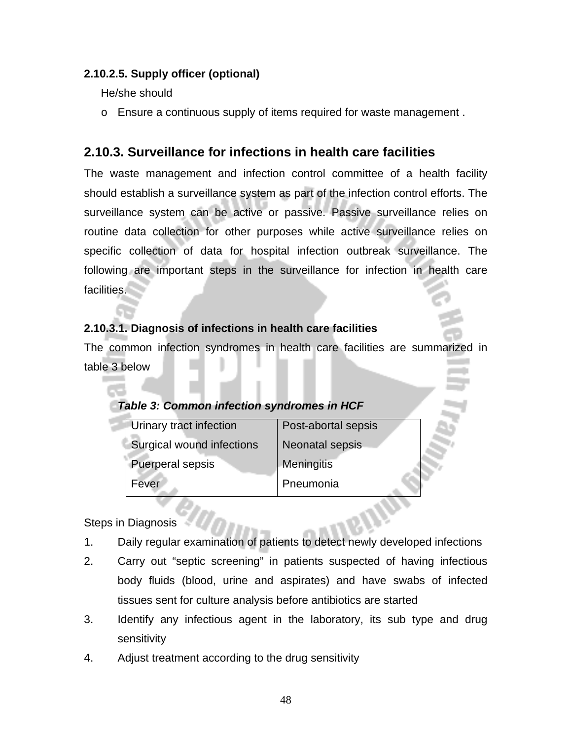### **2.10.2.5. Supply officer (optional)**

He/she should

o Ensure a continuous supply of items required for waste management .

### **2.10.3. Surveillance for infections in health care facilities**

The waste management and infection control committee of a health facility should establish a surveillance system as part of the infection control efforts. The surveillance system can be active or passive. Passive surveillance relies on routine data collection for other purposes while active surveillance relies on specific collection of data for hospital infection outbreak surveillance. The following are important steps in the surveillance for infection in health care facilities.

### **2.10.3.1. Diagnosis of infections in health care facilities**

The common infection syndromes in health care facilities are summarized in table 3 below

| Urinary tract infection   | Post-abortal sepsis |
|---------------------------|---------------------|
| Surgical wound infections | Neonatal sepsis     |
| <b>Puerperal sepsis</b>   | Meningitis          |
| Fever                     | Pneumonia           |

Steps in Diagnosis

- 1. Daily regular examination of patients to detect newly developed infections
- 2. Carry out "septic screening" in patients suspected of having infectious body fluids (blood, urine and aspirates) and have swabs of infected tissues sent for culture analysis before antibiotics are started
- 3. Identify any infectious agent in the laboratory, its sub type and drug sensitivity
- 4. Adjust treatment according to the drug sensitivity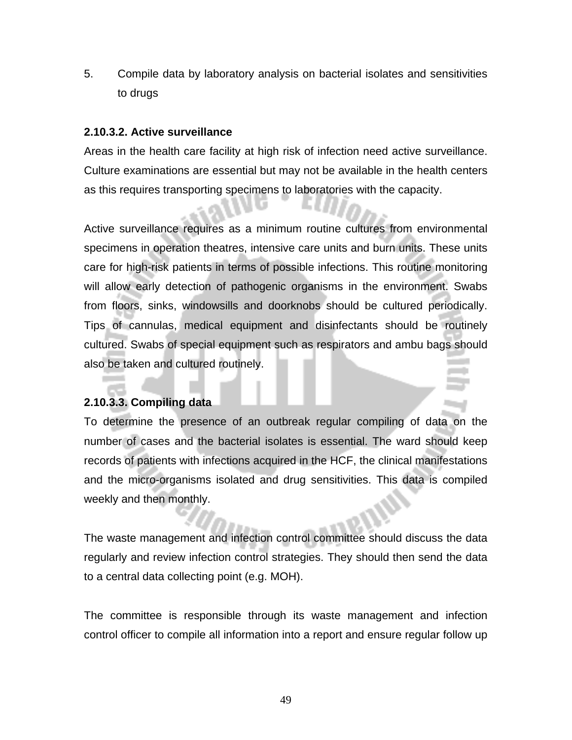5. Compile data by laboratory analysis on bacterial isolates and sensitivities to drugs

### **2.10.3.2. Active surveillance**

Areas in the health care facility at high risk of infection need active surveillance. Culture examinations are essential but may not be available in the health centers as this requires transporting specimens to laboratories with the capacity.

Active surveillance requires as a minimum routine cultures from environmental specimens in operation theatres, intensive care units and burn units. These units care for high-risk patients in terms of possible infections. This routine monitoring will allow early detection of pathogenic organisms in the environment. Swabs from floors, sinks, windowsills and doorknobs should be cultured periodically. Tips of cannulas, medical equipment and disinfectants should be routinely cultured. Swabs of special equipment such as respirators and ambu bags should also be taken and cultured routinely.

### **2.10.3.3. Compiling data**

To determine the presence of an outbreak regular compiling of data on the number of cases and the bacterial isolates is essential. The ward should keep records of patients with infections acquired in the HCF, the clinical manifestations and the micro-organisms isolated and drug sensitivities. This data is compiled weekly and then monthly.

The waste management and infection control committee should discuss the data regularly and review infection control strategies. They should then send the data to a central data collecting point (e.g. MOH).

The committee is responsible through its waste management and infection control officer to compile all information into a report and ensure regular follow up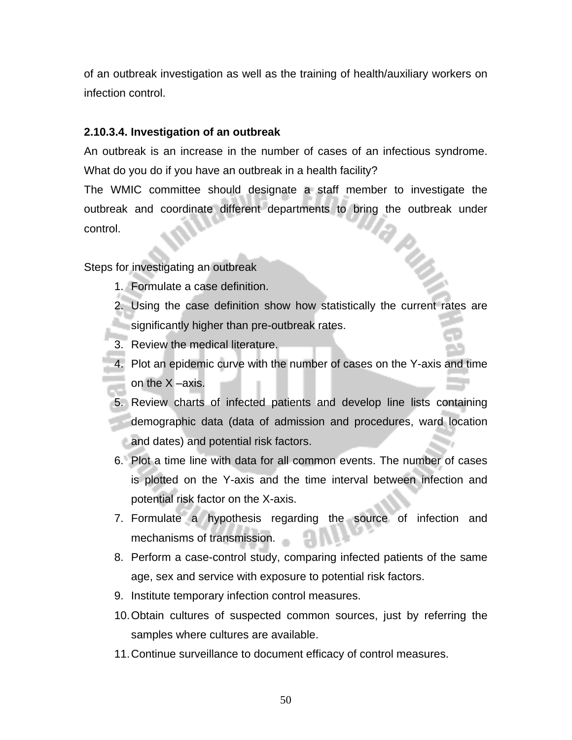of an outbreak investigation as well as the training of health/auxiliary workers on infection control.

### **2.10.3.4. Investigation of an outbreak**

An outbreak is an increase in the number of cases of an infectious syndrome. What do you do if you have an outbreak in a health facility?

The WMIC committee should designate a staff member to investigate the outbreak and coordinate different departments to bring the outbreak under control. R.

Steps for investigating an outbreak

- 1. Formulate a case definition.
- 2. Using the case definition show how statistically the current rates are significantly higher than pre-outbreak rates.
- 3. Review the medical literature.
- 4. Plot an epidemic curve with the number of cases on the Y-axis and time on the X –axis.
- 5. Review charts of infected patients and develop line lists containing demographic data (data of admission and procedures, ward location and dates) and potential risk factors.
- 6. Plot a time line with data for all common events. The number of cases is plotted on the Y-axis and the time interval between infection and potential risk factor on the X-axis.
- 7. Formulate a hypothesis regarding the source of infection and mechanisms of transmission.
- 8. Perform a case-control study, comparing infected patients of the same age, sex and service with exposure to potential risk factors.
- 9. Institute temporary infection control measures.
- 10. Obtain cultures of suspected common sources, just by referring the samples where cultures are available.
- 11. Continue surveillance to document efficacy of control measures.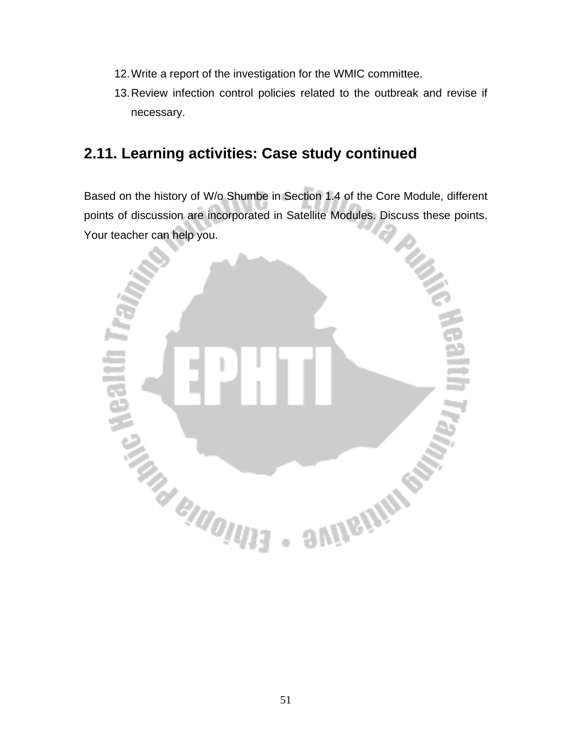- 12. Write a report of the investigation for the WMIC committee.
- 13. Review infection control policies related to the outbreak and revise if necessary.

# **2.11. Learning activities: Case study continued**

Based on the history of W/o Shumbe in Section 1.4 of the Core Module, different points of discussion are incorporated in Satellite Modules. Discuss these points. Your teacher can help you.

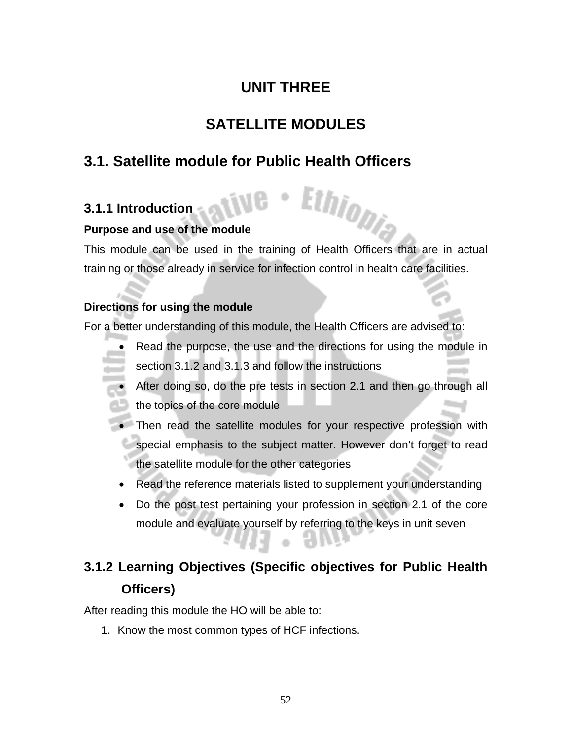# **UNIT THREE**

# **SATELLITE MODULES**

# **3.1. Satellite module for Public Health Officers**

# **3.1.1 Introduction**

### **Purpose and use of the module**

This module can be used in the training of Health Officers that are in actual training or those already in service for infection control in health care facilities.

Ethiopia

### **Directions for using the module**

For a better understanding of this module, the Health Officers are advised to:

- Read the purpose, the use and the directions for using the module in section 3.1.2 and 3.1.3 and follow the instructions
- After doing so, do the pre tests in section 2.1 and then go through all the topics of the core module
- Then read the satellite modules for your respective profession with special emphasis to the subject matter. However don't forget to read the satellite module for the other categories
- Read the reference materials listed to supplement your understanding
- Do the post test pertaining your profession in section 2.1 of the core module and evaluate yourself by referring to the keys in unit seven

7 H W

# **3.1.2 Learning Objectives (Specific objectives for Public Health Officers)**

 $\langle \cdot \rangle$ 

After reading this module the HO will be able to:

1. Know the most common types of HCF infections.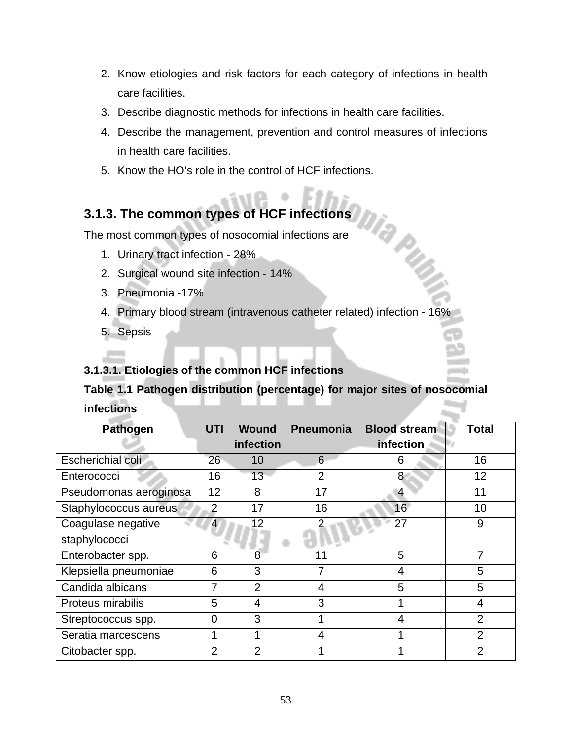- 2. Know etiologies and risk factors for each category of infections in health care facilities.
- 3. Describe diagnostic methods for infections in health care facilities.
- 4. Describe the management, prevention and control measures of infections in health care facilities.

Ma pup

5. Know the HO's role in the control of HCF infections.

# **3.1.3. The common types of HCF infections**

The most common types of nosocomial infections are

- 1. Urinary tract infection 28%
- 2. Surgical wound site infection 14%
- 3. Pneumonia -17%
- 4. Primary blood stream (intravenous catheter related) infection 16%

5. Sepsis

### **3.1.3.1. Etiologies of the common HCF infections**

# **Table 1.1 Pathogen distribution (percentage) for major sites of nosocomial infections**

| <b>Pathogen</b>        | UTI            | <b>Wound</b>   | Pneumonia      | <b>Blood stream</b> | <b>Total</b>   |
|------------------------|----------------|----------------|----------------|---------------------|----------------|
|                        |                | infection      |                | infection           |                |
| Escherichial coli      | 26             | 10             | 6              | 6                   | 16             |
| Enterococci            | 16             | 13             | $\overline{2}$ | 8                   | 12             |
| Pseudomonas aeroginosa | 12             | 8              | 17             | 4                   | 11             |
| Staphylococcus aureus  | $\overline{2}$ | 17             | 16             | 16                  | 10             |
| Coagulase negative     | $\overline{4}$ | 12             |                | 27                  | 9              |
| staphylococci          |                |                |                |                     |                |
| Enterobacter spp.      | 6              | 8              | 11             | 5                   |                |
| Klepsiella pneumoniae  | 6              | 3              |                | 4                   | 5              |
| Candida albicans       | 7              | $\overline{2}$ | 4              | 5                   | 5              |
| Proteus mirabilis      | 5              | 4              | 3              |                     | 4              |
| Streptococcus spp.     | $\overline{0}$ | 3              |                | $\overline{4}$      | $\overline{2}$ |
| Seratia marcescens     | 1              | 4              | 4              |                     | $\overline{2}$ |
| Citobacter spp.        | $\overline{2}$ | $\overline{2}$ |                |                     | $\overline{2}$ |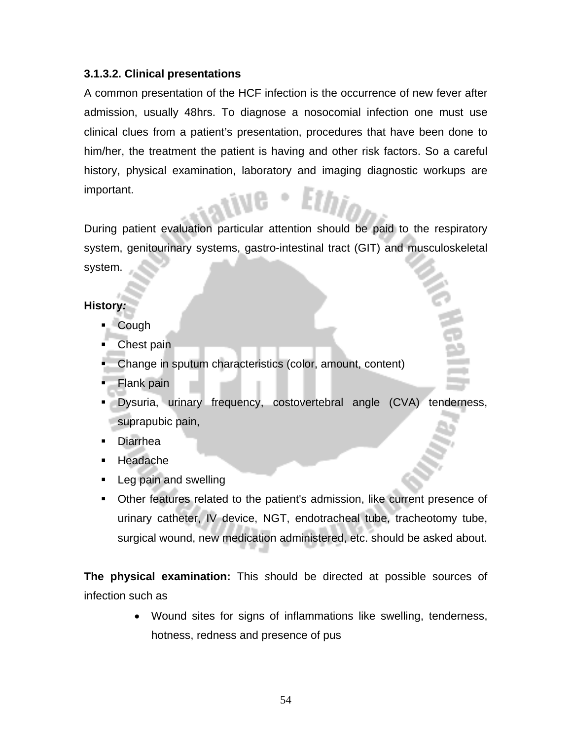### **3.1.3.2. Clinical presentations**

A common presentation of the HCF infection is the occurrence of new fever after admission, usually 48hrs. To diagnose a nosocomial infection one must use clinical clues from a patient's presentation, procedures that have been done to him/her, the treatment the patient is having and other risk factors. So a careful history, physical examination, laboratory and imaging diagnostic workups are important.

During patient evaluation particular attention should be paid to the respiratory system, genitourinary systems, gastro-intestinal tract (GIT) and musculoskeletal system.

### **History***:*

- Cough
- Chest pain
- Change in sputum characteristics (color, amount, content)
- Flank pain
- Dysuria, urinary frequency, costovertebral angle (CVA) tenderness, suprapubic pain,
- Diarrhea
- **Headache**
- **Leg pain and swelling**
- Other features related to the patient's admission, like current presence of urinary catheter, IV device, NGT, endotracheal tube, tracheotomy tube, surgical wound, new medication administered, etc. should be asked about.

**The physical examination:** This *s*hould be directed at possible sources of infection such as

> • Wound sites for signs of inflammations like swelling, tenderness, hotness, redness and presence of pus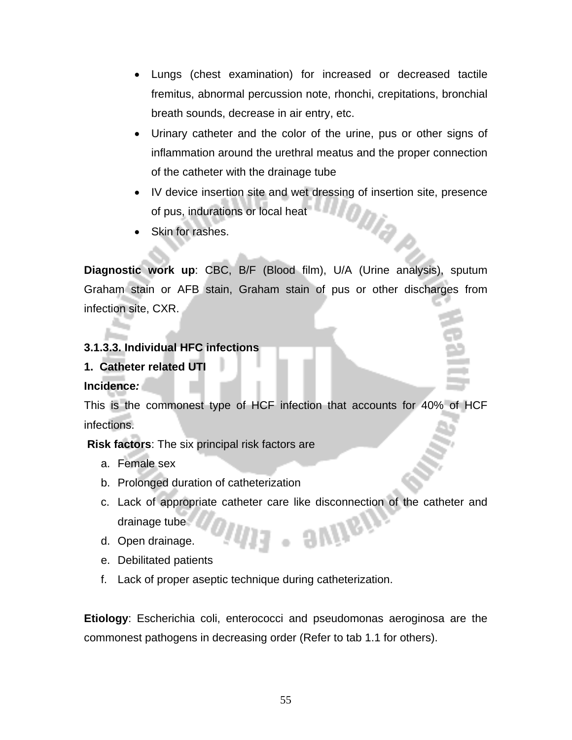- Lungs (chest examination) for increased or decreased tactile fremitus, abnormal percussion note, rhonchi, crepitations, bronchial breath sounds, decrease in air entry, etc.
- Urinary catheter and the color of the urine, pus or other signs of inflammation around the urethral meatus and the proper connection of the catheter with the drainage tube
- IV device insertion site and wet dressing of insertion site, presence of pus, indurations or local heat of pus, indurations or local heat
- Skin for rashes.

**Diagnostic work up**: CBC, B/F (Blood film), U/A (Urine analysis), sputum Graham stain or AFB stain, Graham stain of pus or other discharges from infection site, CXR.

### **3.1.3.3. Individual HFC infections**

### **1. Catheter related UTI**

### **Incidence***:*

This is the commonest type of HCF infection that accounts for 40% of HCF infections.

**Risk factors**: The six principal risk factors are

- a. Female sex
- b. Prolonged duration of catheterization
- c. Lack of appropriate catheter care like disconnection of the catheter and . aving drainage tube
- d. Open drainage.
- e. Debilitated patients
- f. Lack of proper aseptic technique during catheterization.

**Etiology**: Escherichia coli, enterococci and pseudomonas aeroginosa are the commonest pathogens in decreasing order (Refer to tab 1.1 for others).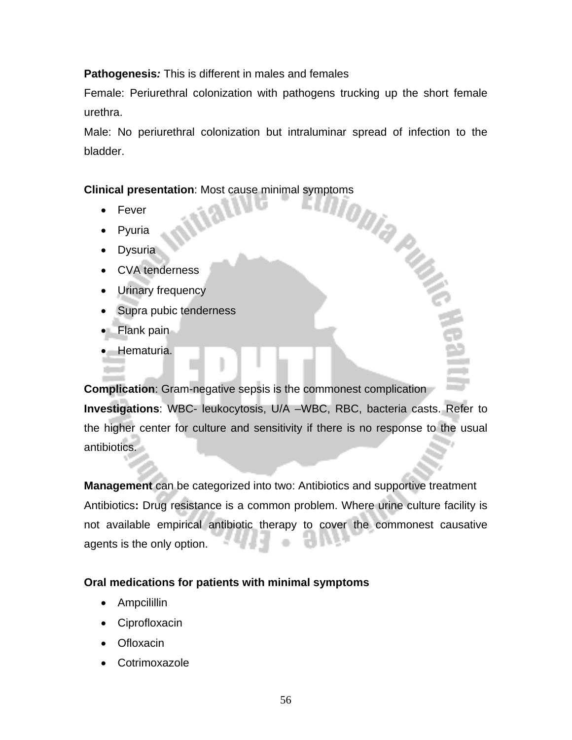### **Pathogenesis***:* This is different in males and females

Female: Periurethral colonization with pathogens trucking up the short female urethra.

Male: No periurethral colonization but intraluminar spread of infection to the bladder.

# Clinical presentation: Most cause minimal symptoms<br>
• Fever<br> **Exploring the contract of the contract of the contract of the contract of the contract of the contract of the contract of the contract of the contract of the co**

- **Fever**
- **Pyuria**
- **Dysuria**
- CVA tenderness
- Urinary frequency
- Supra pubic tenderness
- Flank pain
- Hematuria.

**Complication**: Gram-negative sepsis is the commonest complication **Investigations**: WBC- leukocytosis, U/A –WBC, RBC, bacteria casts. Refer to the higher center for culture and sensitivity if there is no response to the usual antibiotics.

**Management** can be categorized into two: Antibiotics and supportive treatment Antibiotics**:** Drug resistance is a common problem. Where urine culture facility is not available empirical antibiotic therapy to cover the commonest causative agents is the only option.

### **Oral medications for patients with minimal symptoms**

- Ampcilillin
- **Ciprofloxacin**
- **Ofloxacin**
- **Cotrimoxazole**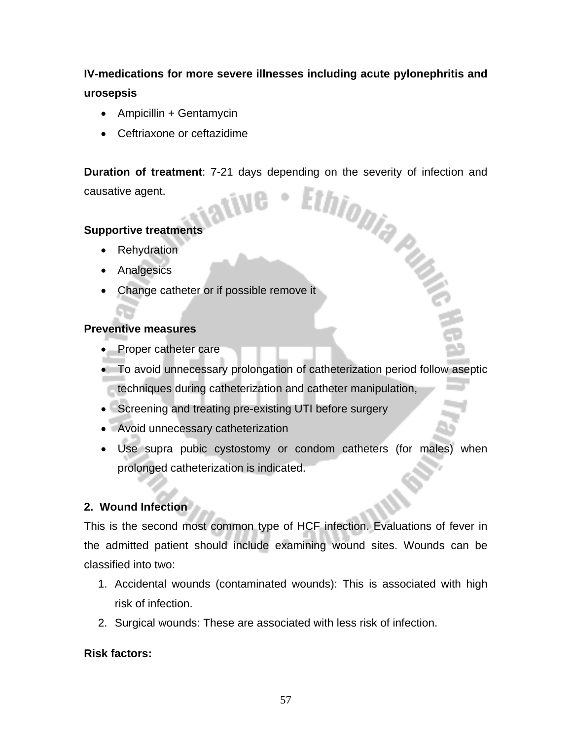# **IV-medications for more severe illnesses including acute pylonephritis and urosepsis**

- Ampicillin + Gentamycin
- Ceftriaxone or ceftazidime

**Duration of treatment:** 7-21 days depending on the severity of infection and causative agent. causative agent.

### **Supportive treatments**

- Rehydration
- **Analgesics**
- Change catheter or if possible remove it

### **Preventive measures**

- Proper catheter care
- To avoid unnecessary prolongation of catheterization period follow aseptic techniques during catheterization and catheter manipulation,
- Screening and treating pre-existing UTI before surgery
- Avoid unnecessary catheterization
- Use supra pubic cystostomy or condom catheters (for males) when prolonged catheterization is indicated.

### **2. Wound Infection**

This is the second most common type of HCF infection. Evaluations of fever in the admitted patient should include examining wound sites. Wounds can be classified into two:

- 1. Accidental wounds (contaminated wounds): This is associated with high risk of infection.
- 2. Surgical wounds: These are associated with less risk of infection.

### **Risk factors:**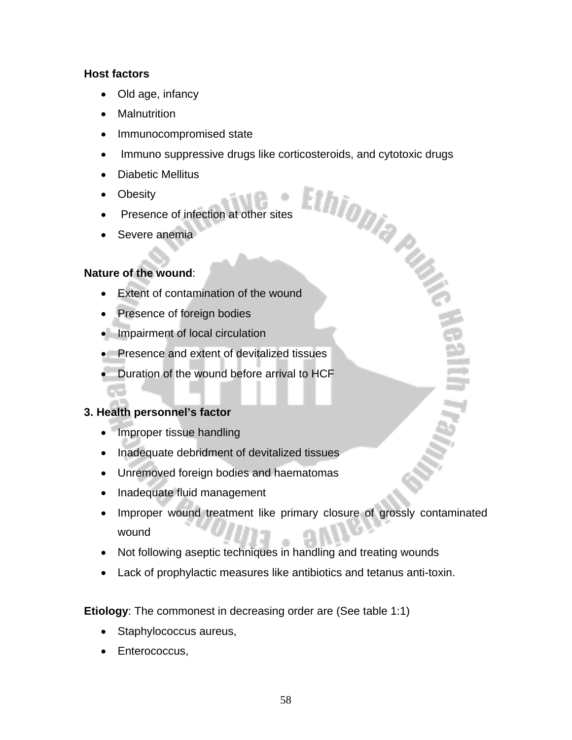### **Host factors**

- Old age, infancy
- Malnutrition
- Immunocompromised state
- Immuno suppressive drugs like corticosteroids, and cytotoxic drugs<br>• Diabetic Mellitus<br>• Obesity<br>• Presence of infection at other sites
- Diabetic Mellitus
- Obesity
- Presence of infection at other sites
- Severe anemia

### **Nature of the wound**:

- Extent of contamination of the wound
- Presence of foreign bodies
- Impairment of local circulation
- Presence and extent of devitalized tissues
- Duration of the wound before arrival to HCF

### **3. Health personnel's factor**

- Improper tissue handling
- Inadequate debridment of devitalized tissues
- Unremoved foreign bodies and haematomas
- Inadequate fluid management
- Improper wound treatment like primary closure of grossly contaminated wound
- Not following aseptic techniques in handling and treating wounds
- Lack of prophylactic measures like antibiotics and tetanus anti-toxin.

**Etiology**: The commonest in decreasing order are (See table 1:1)

- Staphylococcus aureus,
- Enterococcus,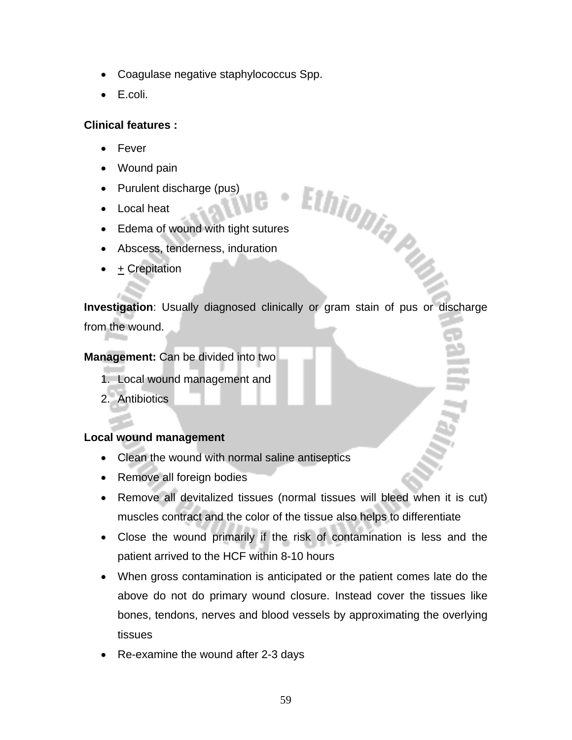- Coagulase negative staphylococcus Spp.
- E.coli.

### **Clinical features :**

- Fever
- Wound pain
- Purulent discharge (pus)
- Local heat
- Edema of wound with tight sutures
- Abscess, tenderness, induration
- $+$  Crepitation

**Investigation**: Usually diagnosed clinically or gram stain of pus or discharge from the wound.

Ethiopia Pub

### **Management:** Can be divided into two

- 1. Local wound management and
- 2. Antibiotics

### **Local wound management**

- Clean the wound with normal saline antiseptics
- Remove all foreign bodies
- Remove all devitalized tissues (normal tissues will bleed when it is cut) muscles contract and the color of the tissue also helps to differentiate
- Close the wound primarily if the risk of contamination is less and the patient arrived to the HCF within 8-10 hours
- When gross contamination is anticipated or the patient comes late do the above do not do primary wound closure. Instead cover the tissues like bones, tendons, nerves and blood vessels by approximating the overlying tissues
- Re-examine the wound after 2-3 days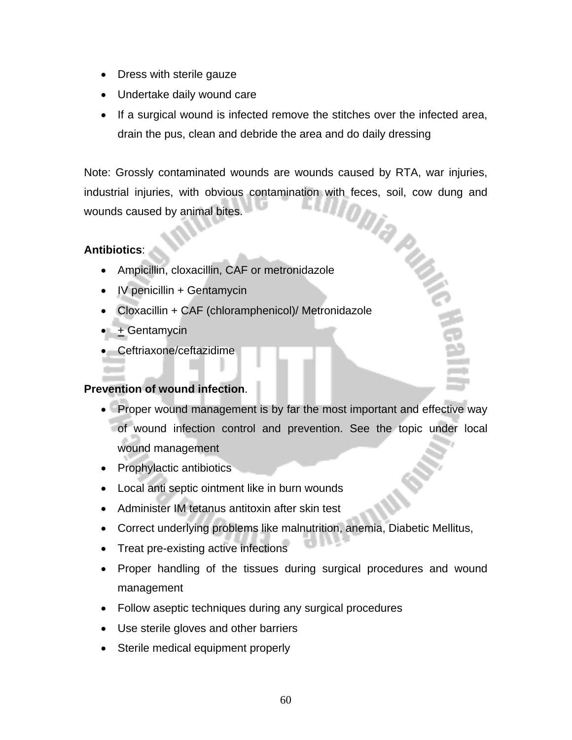- Dress with sterile gauze
- Undertake daily wound care
- If a surgical wound is infected remove the stitches over the infected area, drain the pus, clean and debride the area and do daily dressing

Note: Grossly contaminated wounds are wounds caused by RTA, war injuries,<br>industrial injuries, with obvious contamination with feces, soil, cow dung and<br>wounds caused by animal bites. industrial injuries, with obvious contamination with feces, soil, cow dung and wounds caused by animal bites.

### **Antibiotics**:

- Ampicillin, cloxacillin, CAF or metronidazole
- IV penicillin + Gentamycin
- Cloxacillin + CAF (chloramphenicol)/ Metronidazole
- + Gentamycin
- Ceftriaxone/ceftazidime

### **Prevention of wound infection**.

- Proper wound management is by far the most important and effective way of wound infection control and prevention. See the topic under local wound management
- Prophylactic antibiotics
- Local anti septic ointment like in burn wounds
- Administer IM tetanus antitoxin after skin test
- Correct underlying problems like malnutrition, anemia, Diabetic Mellitus,
- Treat pre-existing active infections
- Proper handling of the tissues during surgical procedures and wound management
- Follow aseptic techniques during any surgical procedures
- Use sterile gloves and other barriers
- Sterile medical equipment properly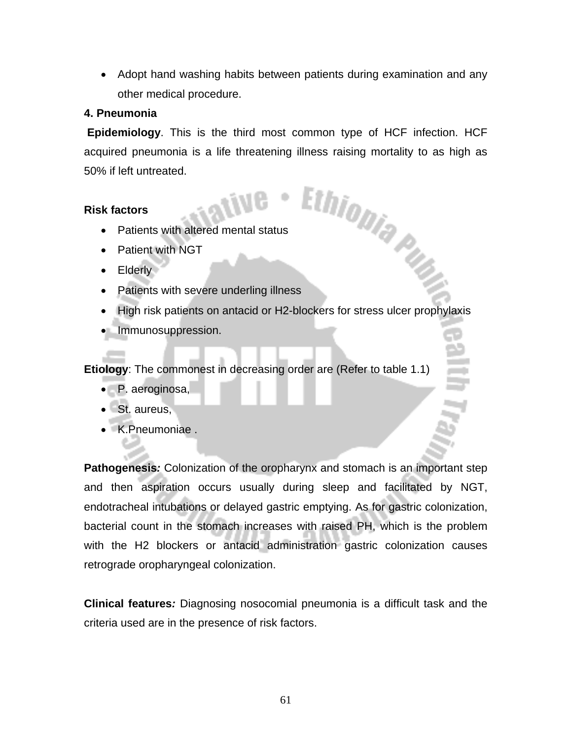• Adopt hand washing habits between patients during examination and any other medical procedure.

### **4. Pneumonia**

 **Epidemiology**. This is the third most common type of HCF infection. HCF acquired pneumonia is a life threatening illness raising mortality to as high as 50% if left untreated. Factors<br>
Factors<br>
Patients with altered mental status<br>
Patient with NGT<br>
Elderly<br>
Patients with severe underling illness

### **Risk factors**

- Patients with altered mental status
- Patient with NGT
- Elderly
- 
- High risk patients on antacid or H2-blockers for stress ulcer prophylaxis
- Immunosuppression.

**Etiology**: The commonest in decreasing order are (Refer to table 1.1)

- P. aeroginosa,
- St. aureus,
- K.Pneumoniae .

**Pathogenesis***:* Colonization of the oropharynx and stomach is an important step and then aspiration occurs usually during sleep and facilitated by NGT, endotracheal intubations or delayed gastric emptying. As for gastric colonization, bacterial count in the stomach increases with raised PH, which is the problem with the H2 blockers or antacid administration gastric colonization causes retrograde oropharyngeal colonization.

**Clinical features***:* Diagnosing nosocomial pneumonia is a difficult task and the criteria used are in the presence of risk factors.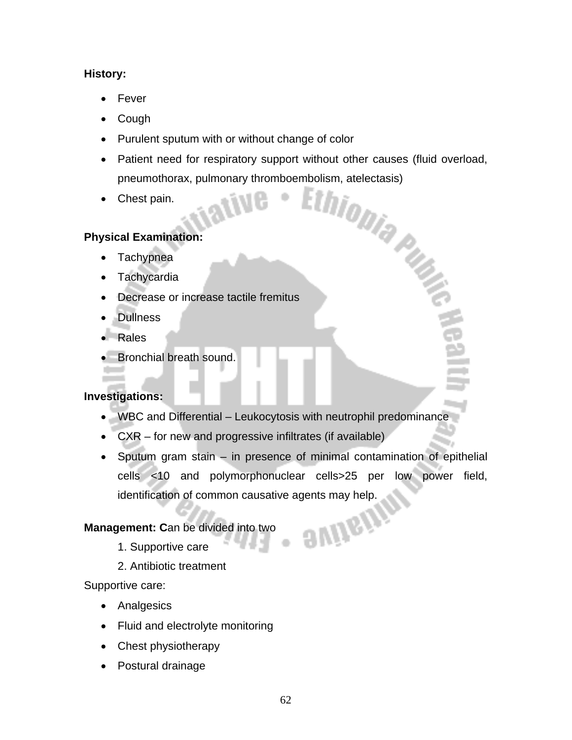### **History:**

- Fever
- Cough
- Purulent sputum with or without change of color
- Patient need for respiratory support without other causes (fluid overload, pneumothorax, pulmonary thromboembolism, atelectasis)<br>• Chest pain. pneumothorax, pulmonary thromboembolism, atelectasis)
- Chest pain.

### **Physical Examination:**

- Tachypnea
- **Tachycardia**
- Decrease or increase tactile fremitus
- Dullness
- Rales
- Bronchial breath sound.

### **Investigations:**

- WBC and Differential Leukocytosis with neutrophil predominance
- CXR for new and progressive infiltrates (if available)
- Sputum gram stain in presence of minimal contamination of epithelial cells <10 and polymorphonuclear cells>25 per low power field, identification of common causative agents may help.

**avinging** 

### **Management: C**an be divided into two

- 1. Supportive care
- 2. Antibiotic treatment

Supportive care:

- Analgesics
- Fluid and electrolyte monitoring
- Chest physiotherapy
- Postural drainage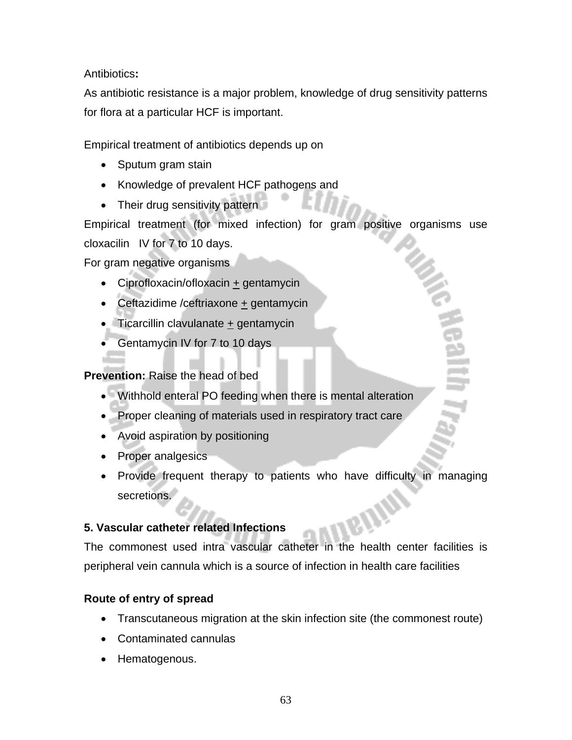Antibiotics**:** 

As antibiotic resistance is a major problem, knowledge of drug sensitivity patterns for flora at a particular HCF is important.

Empirical treatment of antibiotics depends up on

- Sputum gram stain
- Knowledge of prevalent HCF pathogens and
- Their drug sensitivity pattern

Empirical treatment (for mixed infection) for gram positive organisms use cloxacilin IV for 7 to 10 days.

For gram negative organisms

- Ciprofloxacin/ofloxacin + gentamycin
- Ceftazidime /ceftriaxone + gentamycin
- Ticarcillin clavulanate  $+$  gentamycin
- Gentamycin IV for 7 to 10 days

### **Prevention:** Raise the head of bed

- Withhold enteral PO feeding when there is mental alteration
- Proper cleaning of materials used in respiratory tract care
- Avoid aspiration by positioning
- Proper analgesics
- Provide frequent therapy to patients who have difficulty in managing secretions.

### **5. Vascular catheter related Infections**

The commonest used intra vascular catheter in the health center facilities is peripheral vein cannula which is a source of infection in health care facilities

### **Route of entry of spread**

- Transcutaneous migration at the skin infection site (the commonest route)
- Contaminated cannulas
- Hematogenous.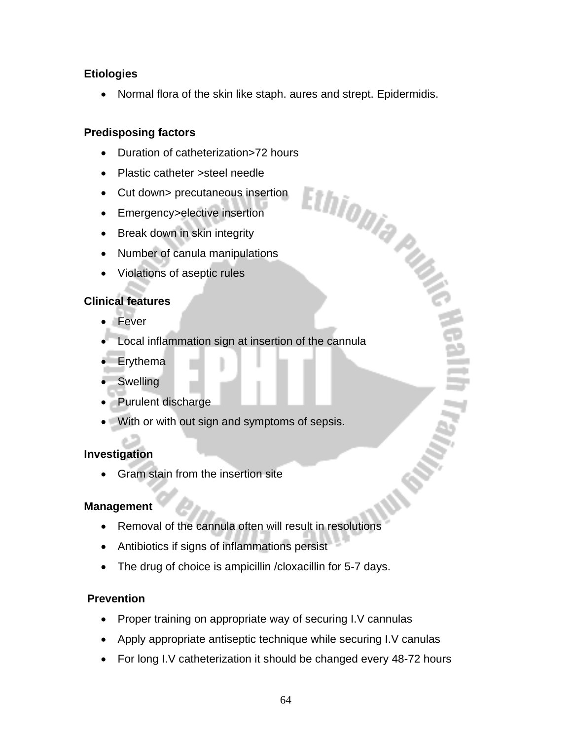### **Etiologies**

• Normal flora of the skin like staph. aures and strept. Epidermidis.

### **Predisposing factors**

- 
- Plastic catheter >steel needle
- Duration of catheterization>72 hours<br>
 Plastic catheter >steel needle<br>
 Cut down> precutaneous insertion<br>
 Emergency>elective insertion<br>
 in skin integrity<br>
 vilations • Cut down> precutaneous insertion
- Emergency>elective insertion
- Break down in skin integrity
- Number of canula manipulations
- Violations of aseptic rules

### **Clinical features**

- Fever
- Local inflammation sign at insertion of the cannula
- Erythema
- Swelling
- Purulent discharge
- With or with out sign and symptoms of sepsis.

### **Investigation**

• Gram stain from the insertion site

### **Management**

- Removal of the cannula often will result in resolutions
- Antibiotics if signs of inflammations persist
- The drug of choice is ampicillin / cloxacillin for 5-7 days.

### **Prevention**

- Proper training on appropriate way of securing I.V cannulas
- Apply appropriate antiseptic technique while securing I.V canulas
- For long I.V catheterization it should be changed every 48-72 hours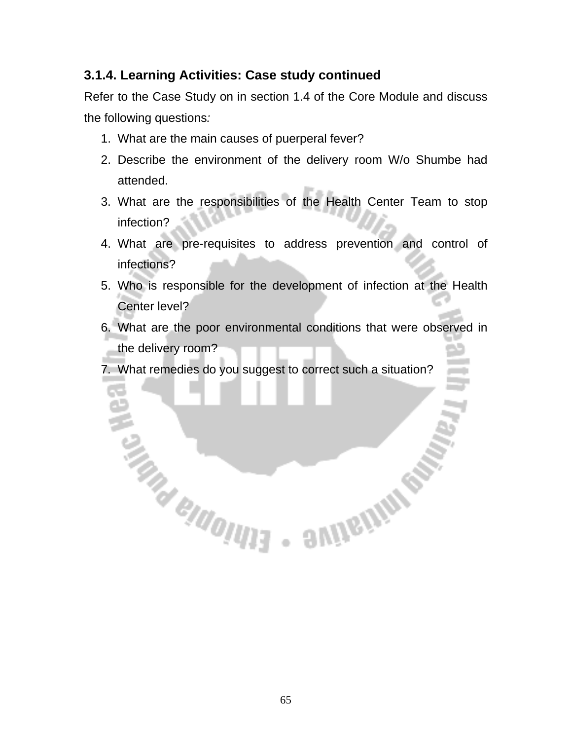# **3.1.4. Learning Activities: Case study continued**

Refer to the Case Study on in section 1.4 of the Core Module and discuss the following questions*:* 

- 1. What are the main causes of puerperal fever?
- 2. Describe the environment of the delivery room W/o Shumbe had attended.
- 3. What are the responsibilities of the Health Center Team to stop infection?
- 4. What are pre-requisites to address prevention and control of infections?
- 5. Who is responsible for the development of infection at the Health Center level?
- 6. What are the poor environmental conditions that were observed in the delivery room?

7. What remedies do you suggest to correct such a situation?

**THAN AND REAL AND REAL AND REAL AND**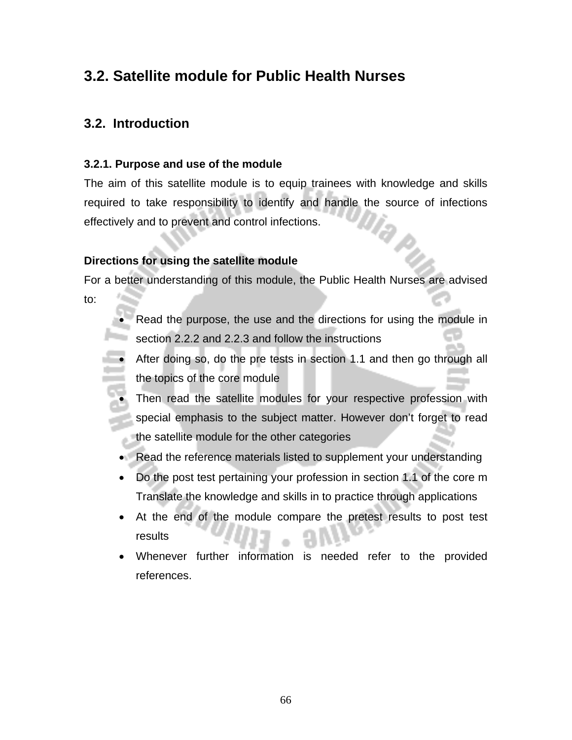# **3.2. Satellite module for Public Health Nurses**

## **3.2. Introduction**

### **3.2.1. Purpose and use of the module**

The aim of this satellite module is to equip trainees with knowledge and skills required to take responsibility to identify and handle the source of infections effectively and to prevent and control infections.

### **Directions for using the satellite module**

For a better understanding of this module, the Public Health Nurses are advised to:

- Read the purpose, the use and the directions for using the module in section 2.2.2 and 2.2.3 and follow the instructions
- After doing so, do the pre tests in section 1.1 and then go through all the topics of the core module
	- Then read the satellite modules for your respective profession with special emphasis to the subject matter. However don't forget to read the satellite module for the other categories
	- Read the reference materials listed to supplement your understanding
- Do the post test pertaining your profession in section 1.1 of the core m Translate the knowledge and skills in to practice through applications
- At the end of the module compare the pretest results to post test results
- Whenever further information is needed refer to the provided references.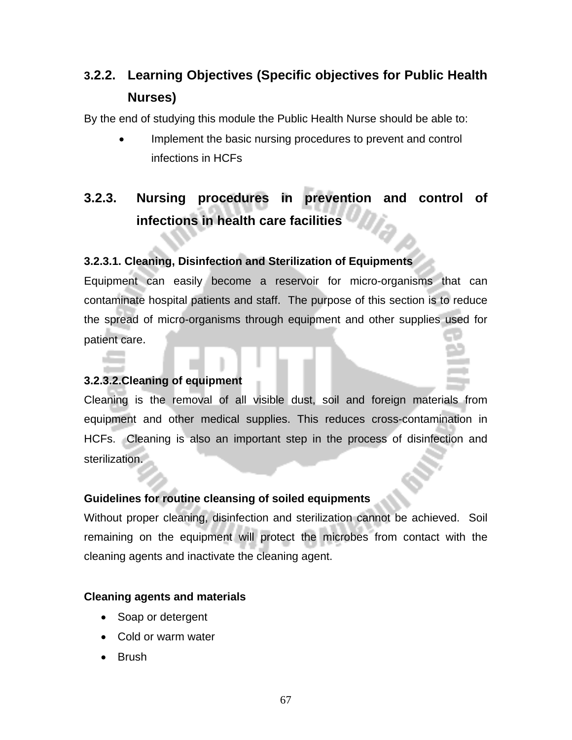# **3.2.2. Learning Objectives (Specific objectives for Public Health Nurses)**

By the end of studying this module the Public Health Nurse should be able to:

Implement the basic nursing procedures to prevent and control infections in HCFs

# **3.2.3. Nursing procedures in prevention and control of infections in health care facilities**

### **3.2.3.1. Cleaning, Disinfection and Sterilization of Equipments**

Equipment can easily become a reservoir for micro-organisms that can contaminate hospital patients and staff. The purpose of this section is to reduce the spread of micro-organisms through equipment and other supplies used for patient care.

### **3.2.3.2.Cleaning of equipment**

Cleaning is the removal of all visible dust, soil and foreign materials from equipment and other medical supplies. This reduces cross-contamination in HCFs. Cleaning is also an important step in the process of disinfection and sterilization.

### **Guidelines for routine cleansing of soiled equipments**

Without proper cleaning, disinfection and sterilization cannot be achieved. Soil remaining on the equipment will protect the microbes from contact with the cleaning agents and inactivate the cleaning agent.

### **Cleaning agents and materials**

- Soap or detergent
- Cold or warm water
- Brush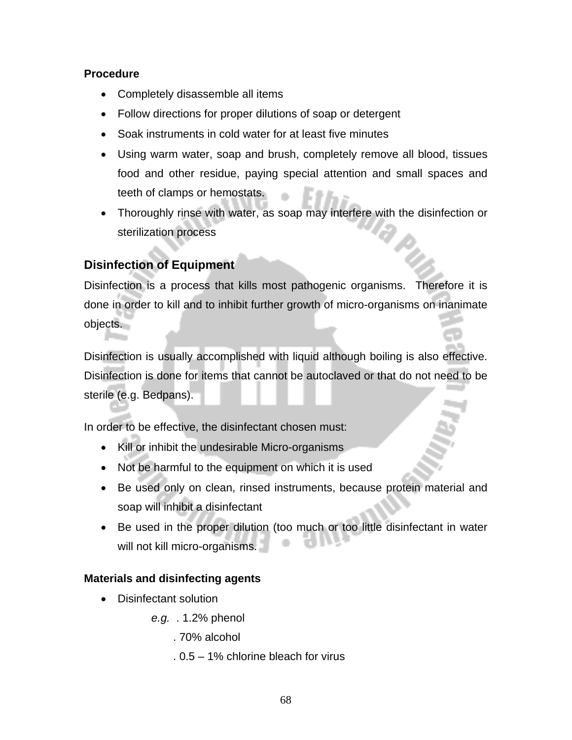### **Procedure**

- Completely disassemble all items
- Follow directions for proper dilutions of soap or detergent
- Soak instruments in cold water for at least five minutes
- Using warm water, soap and brush, completely remove all blood, tissues food and other residue, paying special attention and small spaces and teeth of clamps or hemostats.
- Thoroughly rinse with water, as soap may interfere with the disinfection or sterilization process

### **Disinfection of Equipment**

Disinfection is a process that kills most pathogenic organisms. Therefore it is done in order to kill and to inhibit further growth of micro-organisms on inanimate objects.

Disinfection is usually accomplished with liquid although boiling is also effective. Disinfection is done for items that cannot be autoclaved or that do not need to be sterile (e.g. Bedpans).

In order to be effective, the disinfectant chosen must:

- Kill or inhibit the undesirable Micro-organisms
- Not be harmful to the equipment on which it is used
- Be used only on clean, rinsed instruments, because protein material and soap will inhibit a disinfectant
- Be used in the proper dilution (too much or too little disinfectant in water will not kill micro-organisms.

### **Materials and disinfecting agents**

- Disinfectant solution
	- *e.g.* . 1.2% phenol
		- . 70% alcohol
		- . 0.5 1% chlorine bleach for virus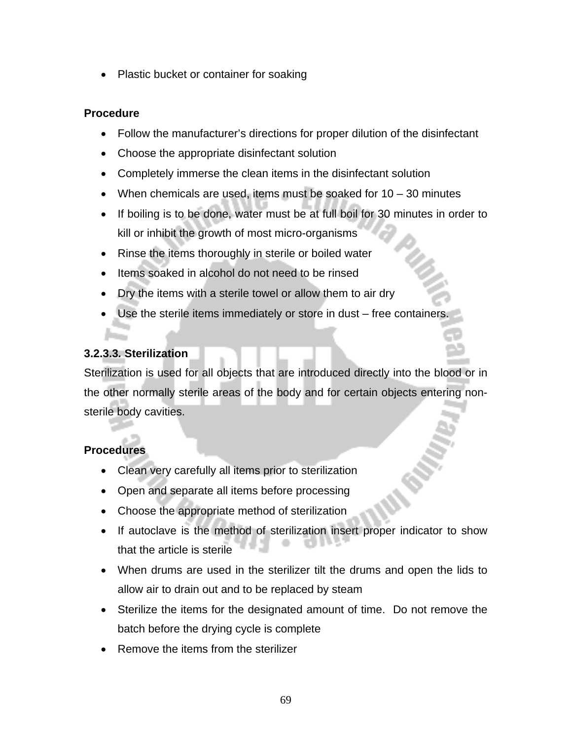• Plastic bucket or container for soaking

#### **Procedure**

- Follow the manufacturer's directions for proper dilution of the disinfectant
- Choose the appropriate disinfectant solution
- Completely immerse the clean items in the disinfectant solution
- When chemicals are used, items must be soaked for  $10 30$  minutes
- If boiling is to be done, water must be at full boil for 30 minutes in order to kill or inhibit the growth of most micro-organisms
- Rinse the items thoroughly in sterile or boiled water
- Items soaked in alcohol do not need to be rinsed
- Dry the items with a sterile towel or allow them to air dry
- Use the sterile items immediately or store in dust free containers.

#### **3.2.3.3***.* **Sterilization**

Sterilization is used for all objects that are introduced directly into the blood or in the other normally sterile areas of the body and for certain objects entering nonsterile body cavities.

#### **Procedures**

- Clean very carefully all items prior to sterilization
- Open and separate all items before processing
- Choose the appropriate method of sterilization
- If autoclave is the method of sterilization insert proper indicator to show that the article is sterile
- When drums are used in the sterilizer tilt the drums and open the lids to allow air to drain out and to be replaced by steam
- Sterilize the items for the designated amount of time. Do not remove the batch before the drying cycle is complete
- Remove the items from the sterilizer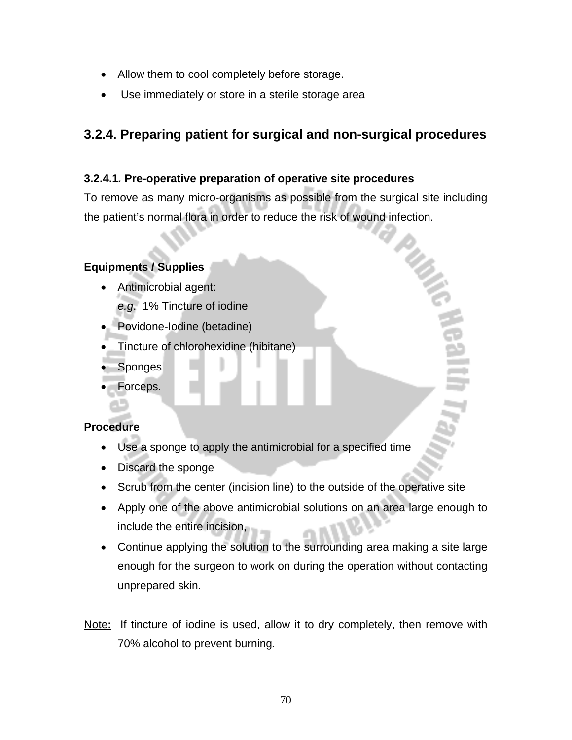- Allow them to cool completely before storage.
- Use immediately or store in a sterile storage area

# **3.2.4. Preparing patient for surgical and non-surgical procedures**

#### **3.2.4.1***.* **Pre-operative preparation of operative site procedures**

To remove as many micro-organisms as possible from the surgical site including the patient's normal flora in order to reduce the risk of wound infection.

#### **Equipments / Supplies**

• Antimicrobial agent:

*e.g*. 1% Tincture of iodine

- Povidone-Iodine (betadine)
- Tincture of chlorohexidine (hibitane)
- **Sponges**
- Forceps.

#### **Procedure**

- Use a sponge to apply the antimicrobial for a specified time
- Discard the sponge
- Scrub from the center (incision line) to the outside of the operative site
- Apply one of the above antimicrobial solutions on an area large enough to include the entire incision,
- Continue applying the solution to the surrounding area making a site large enough for the surgeon to work on during the operation without contacting unprepared skin.
- Note**:** If tincture of iodine is used, allow it to dry completely, then remove with 70% alcohol to prevent burning*.*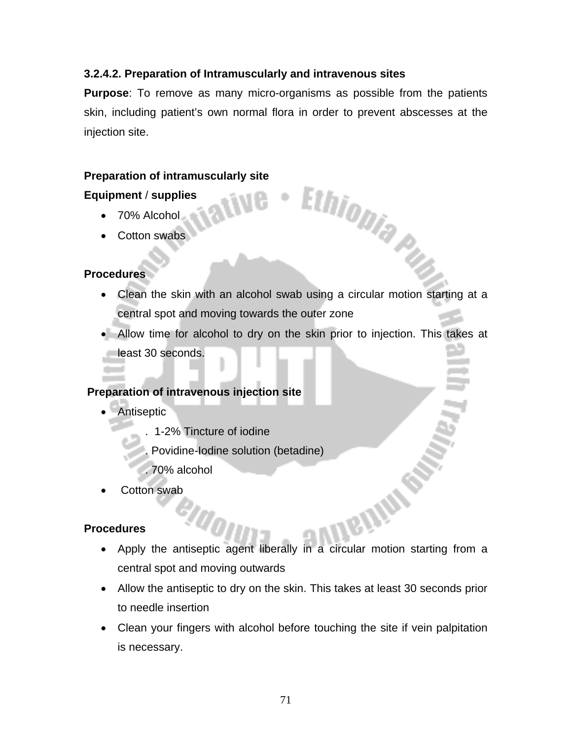#### **3.2.4.2. Preparation of Intramuscularly and intravenous sites**

**Purpose**: To remove as many micro-organisms as possible from the patients skin, including patient's own normal flora in order to prevent abscesses at the injection site.

#### **Preparation of intramuscularly site**

#### **Equipment** / **supplies**

- 70% Alcohol
- Cotton swabs

#### **Procedures**

• Clean the skin with an alcohol swab using a circular motion starting at a central spot and moving towards the outer zone

Ethiopia Pu

• Allow time for alcohol to dry on the skin prior to injection. This takes at least 30 seconds.

#### **Preparation of intravenous injection site**

- Antiseptic
	- . 1-2% Tincture of iodine
	- . Povidine-Iodine solution (betadine)
	- . 70% alcohol
- Cotton swab

#### **Procedures**

- Apply the antiseptic agent liberally in a circular motion starting from a central spot and moving outwards
- Allow the antiseptic to dry on the skin. This takes at least 30 seconds prior to needle insertion
- Clean your fingers with alcohol before touching the site if vein palpitation is necessary.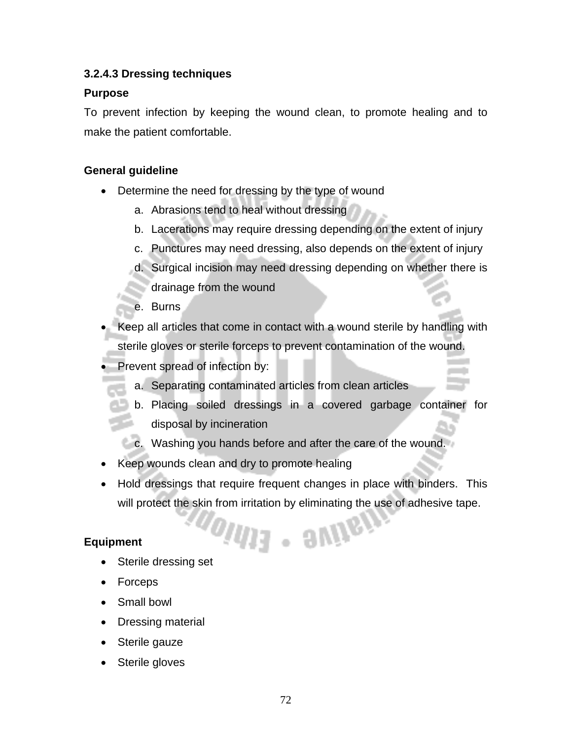#### **3.2.4.3 Dressing techniques**

#### **Purpose**

To prevent infection by keeping the wound clean, to promote healing and to make the patient comfortable.

#### **General guideline**

- Determine the need for dressing by the type of wound
	- a. Abrasions tend to heal without dressing
	- b. Lacerations may require dressing depending on the extent of injury
	- c. Punctures may need dressing, also depends on the extent of injury
	- d. Surgical incision may need dressing depending on whether there is drainage from the wound
	- e. Burns
- Keep all articles that come in contact with a wound sterile by handling with sterile gloves or sterile forceps to prevent contamination of the wound.
- Prevent spread of infection by:
	- a. Separating contaminated articles from clean articles
	- b. Placing soiled dressings in a covered garbage container for disposal by incineration
	- c. Washing you hands before and after the care of the wound.
- Keep wounds clean and dry to promote healing
- Hold dressings that require frequent changes in place with binders. This will protect the skin from irritation by eliminating the use of adhesive tape.

OIUI3 - SUIIGD

#### **Equipment**

- Sterile dressing set
- Forceps
- Small bowl
- Dressing material
- Sterile gauze
- Sterile gloves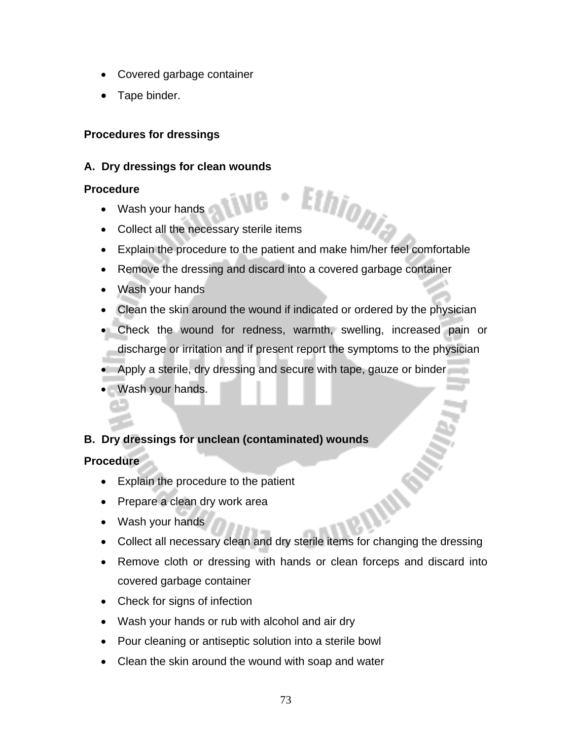- Covered garbage container
- Tape binder.

#### **Procedures for dressings**

#### **A. Dry dressings for clean wounds**

#### **Procedure**

- Wash your hands
- external variables was a property of the necessary sterile items of the state of the necessary sterile items
- Explain the procedure to the patient and make him/her feel comfortable
- Remove the dressing and discard into a covered garbage container
- Wash your hands
- Clean the skin around the wound if indicated or ordered by the physician
- Check the wound for redness, warmth, swelling, increased pain or discharge or irritation and if present report the symptoms to the physician
- Apply a sterile, dry dressing and secure with tape, gauze or binder
- Wash your hands.

#### **B. Dry dressings for unclean (contaminated) wounds**

#### **Procedure**

- Explain the procedure to the patient
- Prepare a clean dry work area
- Wash your hands
- Collect all necessary clean and dry sterile items for changing the dressing
- Remove cloth or dressing with hands or clean forceps and discard into covered garbage container
- Check for signs of infection
- Wash your hands or rub with alcohol and air dry
- Pour cleaning or antiseptic solution into a sterile bowl
- Clean the skin around the wound with soap and water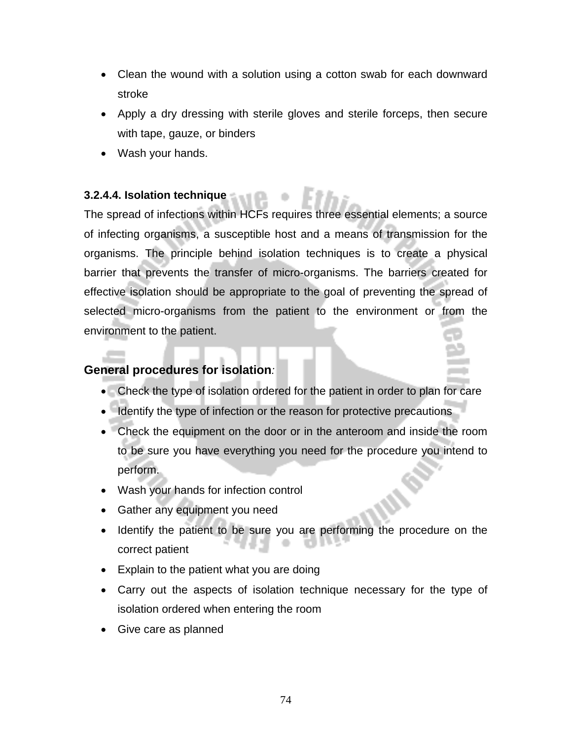- Clean the wound with a solution using a cotton swab for each downward stroke
- Apply a dry dressing with sterile gloves and sterile forceps, then secure with tape, gauze, or binders
- Wash your hands.

#### **3.2.4.4. Isolation technique**

The spread of infections within HCFs requires three essential elements; a source of infecting organisms, a susceptible host and a means of transmission for the organisms. The principle behind isolation techniques is to create a physical barrier that prevents the transfer of micro-organisms. The barriers created for effective isolation should be appropriate to the goal of preventing the spread of selected micro-organisms from the patient to the environment or from the environment to the patient.

#### **General procedures for isolation***:*

- Check the type of isolation ordered for the patient in order to plan for care
- Identify the type of infection or the reason for protective precautions
- Check the equipment on the door or in the anteroom and inside the room to be sure you have everything you need for the procedure you intend to perform.
- Wash your hands for infection control
- Gather any equipment you need
- Identify the patient to be sure you are performing the procedure on the correct patient
- Explain to the patient what you are doing
- Carry out the aspects of isolation technique necessary for the type of isolation ordered when entering the room
- Give care as planned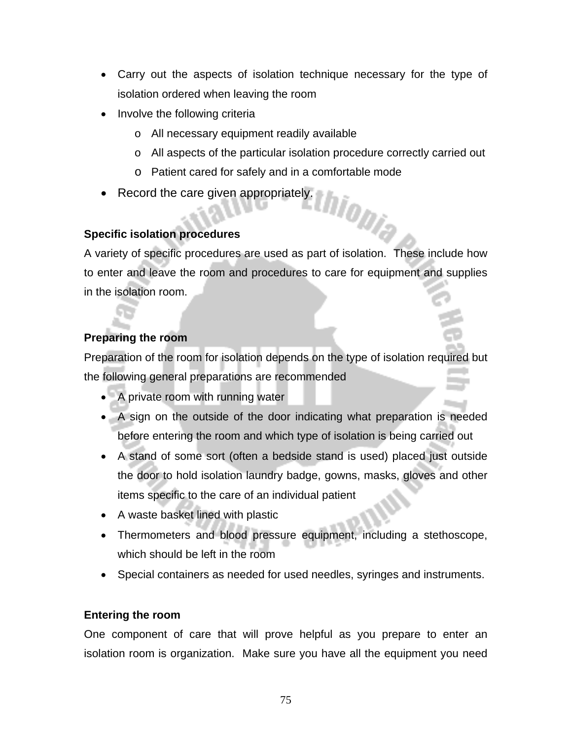- Carry out the aspects of isolation technique necessary for the type of isolation ordered when leaving the room
- Involve the following criteria
	- o All necessary equipment readily available
	- o All aspects of the particular isolation procedure correctly carried out

hio<sub>Dia</sub>

- o Patient cared for safely and in a comfortable mode
- Record the care given appropriately.

#### **Specific isolation procedures**

A variety of specific procedures are used as part of isolation. These include how to enter and leave the room and procedures to care for equipment and supplies in the isolation room.

#### **Preparing the room**

Preparation of the room for isolation depends on the type of isolation required but the following general preparations are recommended

- A private room with running water
- A sign on the outside of the door indicating what preparation is needed before entering the room and which type of isolation is being carried out
- A stand of some sort (often a bedside stand is used) placed just outside the door to hold isolation laundry badge, gowns, masks, gloves and other items specific to the care of an individual patient
- A waste basket lined with plastic
- Thermometers and blood pressure equipment, including a stethoscope, which should be left in the room
- Special containers as needed for used needles, syringes and instruments.

#### **Entering the room**

One component of care that will prove helpful as you prepare to enter an isolation room is organization. Make sure you have all the equipment you need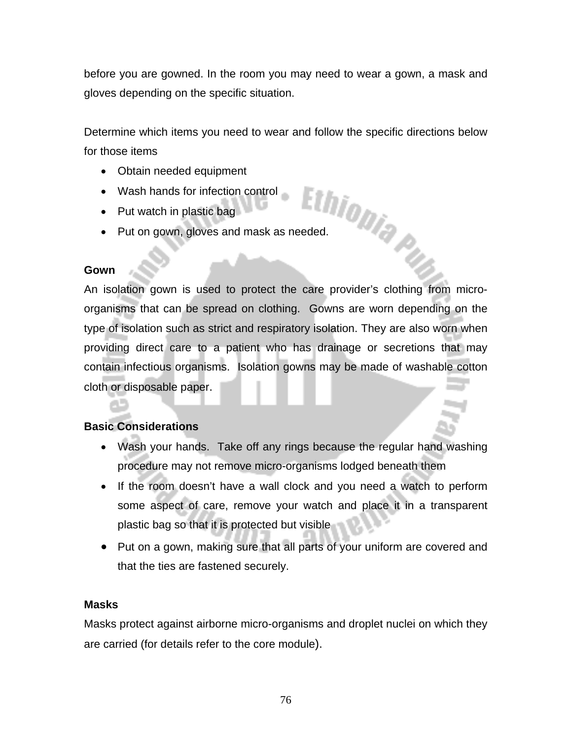before you are gowned. In the room you may need to wear a gown, a mask and gloves depending on the specific situation.

Determine which items you need to wear and follow the specific directions below for those items

- Obtain needed equipment
- Wash hands for infection control
- Put watch in plastic bag
- Wash hands for infective...<br>• Put watch in plastic bag<br>• Put on gown, gloves and mask as needed.

#### **Gown**

An isolation gown is used to protect the care provider's clothing from microorganisms that can be spread on clothing. Gowns are worn depending on the type of isolation such as strict and respiratory isolation. They are also worn when providing direct care to a patient who has drainage or secretions that may contain infectious organisms. Isolation gowns may be made of washable cotton cloth or disposable paper.

#### **Basic Considerations**

- Wash your hands. Take off any rings because the regular hand washing procedure may not remove micro-organisms lodged beneath them
- If the room doesn't have a wall clock and you need a watch to perform some aspect of care, remove your watch and place it in a transparent plastic bag so that it is protected but visible
- Put on a gown, making sure that all parts of your uniform are covered and that the ties are fastened securely.

#### **Masks**

Masks protect against airborne micro-organisms and droplet nuclei on which they are carried (for details refer to the core module).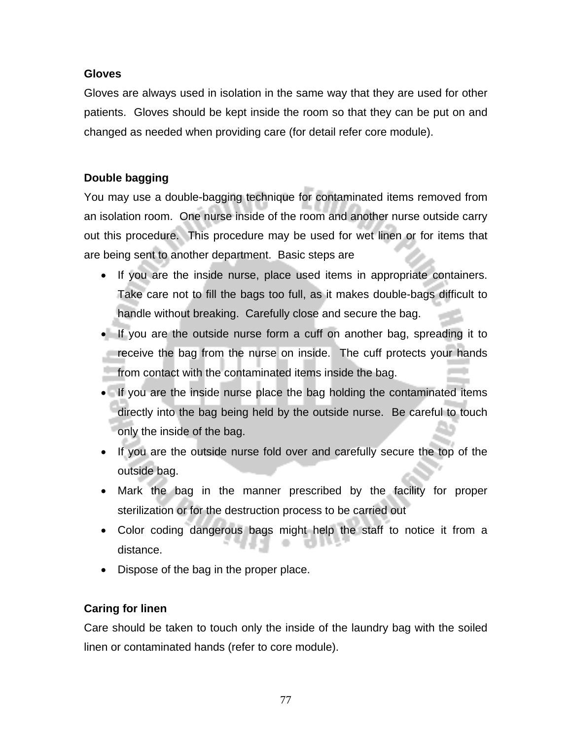#### **Gloves**

Gloves are always used in isolation in the same way that they are used for other patients. Gloves should be kept inside the room so that they can be put on and changed as needed when providing care (for detail refer core module).

#### **Double bagging**

You may use a double-bagging technique for contaminated items removed from an isolation room. One nurse inside of the room and another nurse outside carry out this procedure. This procedure may be used for wet linen or for items that are being sent to another department. Basic steps are

- If you are the inside nurse, place used items in appropriate containers. Take care not to fill the bags too full, as it makes double-bags difficult to handle without breaking. Carefully close and secure the bag.
- If you are the outside nurse form a cuff on another bag, spreading it to receive the bag from the nurse on inside. The cuff protects your hands from contact with the contaminated items inside the bag.
- If you are the inside nurse place the bag holding the contaminated items directly into the bag being held by the outside nurse. Be careful to touch only the inside of the bag.
- If you are the outside nurse fold over and carefully secure the top of the outside bag.
- Mark the bag in the manner prescribed by the facility for proper sterilization or for the destruction process to be carried out
- Color coding dangerous bags might help the staff to notice it from a distance.
- Dispose of the bag in the proper place.

#### **Caring for linen**

Care should be taken to touch only the inside of the laundry bag with the soiled linen or contaminated hands (refer to core module).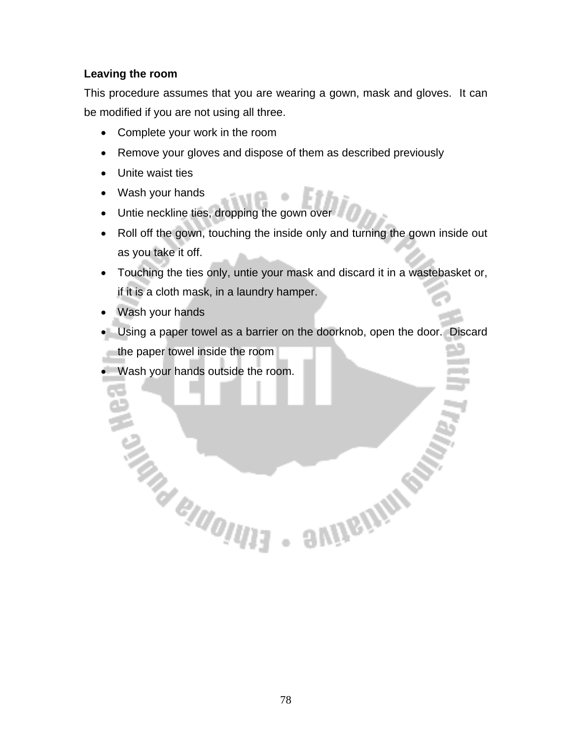#### **Leaving the room**

This procedure assumes that you are wearing a gown, mask and gloves. It can be modified if you are not using all three.

- Complete your work in the room
- Remove your gloves and dispose of them as described previously
- Unite waist ties
- Wash your hands
- Untie neckline ties, dropping the gown over
- Roll off the gown, touching the inside only and turning the gown inside out as you take it off.
- Touching the ties only, untie your mask and discard it in a wastebasket or, if it is a cloth mask, in a laundry hamper.
- Wash your hands
- Using a paper towel as a barrier on the doorknob, open the door. Discard the paper towel inside the room

**SAIDERMIN ROW** 

• Wash your hands outside the room.

**CAN BUGILITY**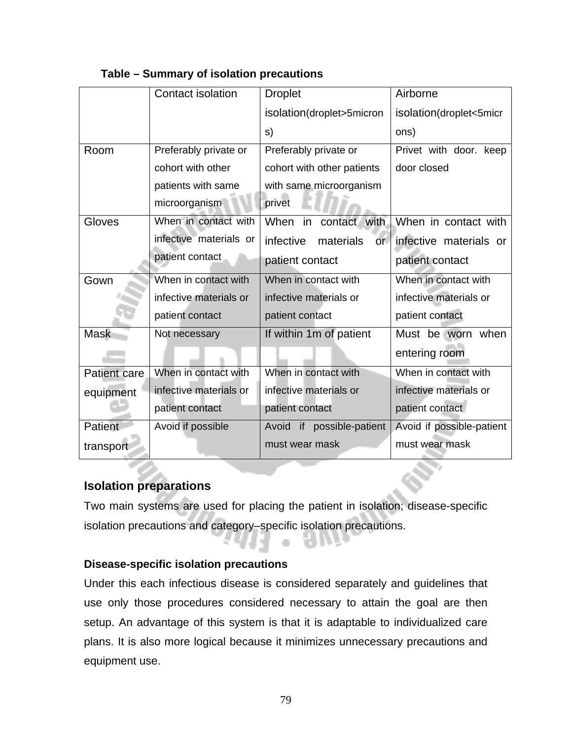|                     | Contact isolation      | <b>Droplet</b>                | Airborne                  |
|---------------------|------------------------|-------------------------------|---------------------------|
|                     |                        |                               |                           |
|                     |                        | isolation(droplet>5micron     | isolation(droplet<5micr   |
|                     |                        | s)                            | ons)                      |
| Room                | Preferably private or  | Preferably private or         | Privet with door. keep    |
|                     | cohort with other      | cohort with other patients    | door closed               |
|                     | patients with same     | with same microorganism       |                           |
|                     | microorganism          | privet                        |                           |
| Gloves              | When in contact with   | contact with<br>When<br>in    | When in contact with      |
|                     | infective materials or | infective<br>materials<br>or. | infective materials or    |
|                     | patient contact        | patient contact               | patient contact           |
| Gown                | When in contact with   | When in contact with          | When in contact with      |
|                     | infective materials or | infective materials or        | infective materials or    |
|                     | patient contact        | patient contact               | patient contact           |
| <b>Mask</b>         | Not necessary          | If within 1m of patient       | Must be worn when         |
|                     |                        |                               | entering room             |
| <b>Patient care</b> | When in contact with   | When in contact with          | When in contact with      |
| equipment           | infective materials or | infective materials or        | infective materials or    |
|                     | patient contact        | patient contact               | patient contact           |
| Patient             | Avoid if possible      | Avoid if possible-patient     | Avoid if possible-patient |
| transport           |                        | must wear mask                | must wear mask            |

#### **Table – Summary of isolation precautions**

#### **Isolation preparations**

Two main systems are used for placing the patient in isolation; disease-specific isolation precautions and category–specific isolation precautions.

m i

n Bart

#### **Disease-specific isolation precautions**

Under this each infectious disease is considered separately and guidelines that use only those procedures considered necessary to attain the goal are then setup. An advantage of this system is that it is adaptable to individualized care plans. It is also more logical because it minimizes unnecessary precautions and equipment use.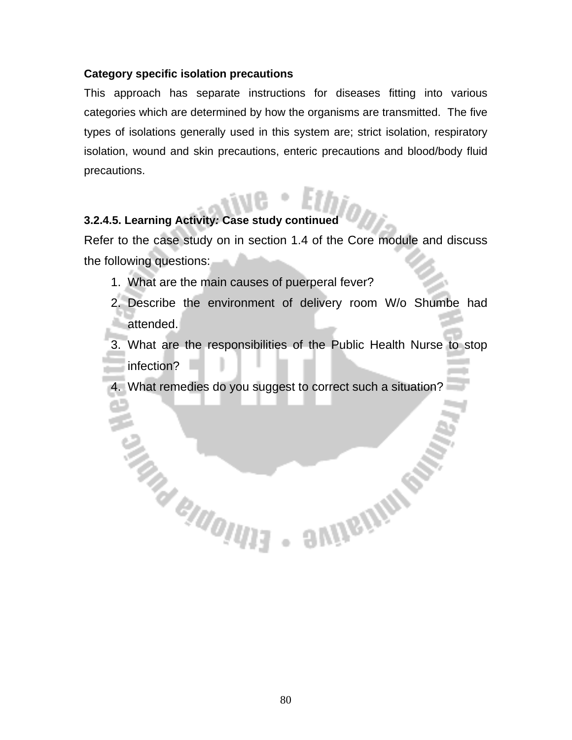#### **Category specific isolation precautions**

This approach has separate instructions for diseases fitting into various categories which are determined by how the organisms are transmitted. The five types of isolations generally used in this system are; strict isolation, respiratory isolation, wound and skin precautions, enteric precautions and blood/body fluid precautions.

# **3.2.4.5. Learning Activity***:* **Case study continued**

**CALL BRANCH CALL SEAS** 

Refer to the case study on in section 1.4 of the Core module and discuss the following questions:

- 1. What are the main causes of puerperal fever?
- 2. Describe the environment of delivery room W/o Shumbe had attended.

3. What are the responsibilities of the Public Health Nurse to stop infection?

**SUITEINING** 

4. What remedies do you suggest to correct such a situation?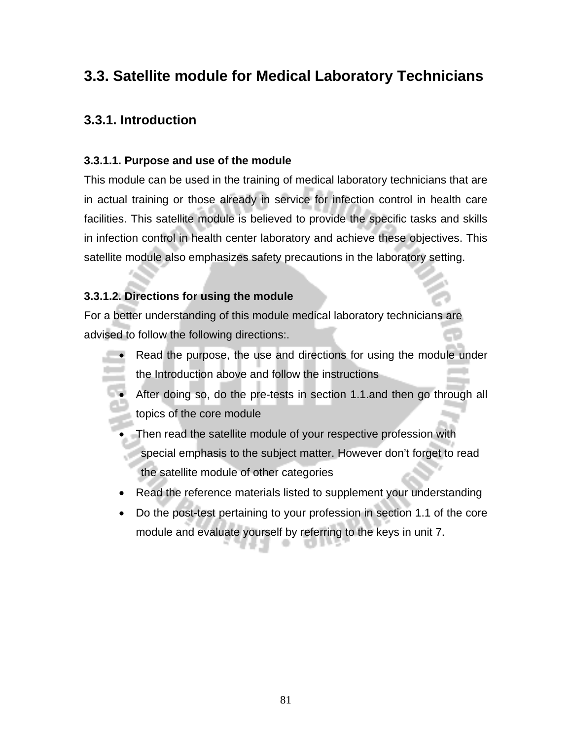# **3.3. Satellite module for Medical Laboratory Technicians**

# **3.3.1. Introduction**

#### **3.3.1.1. Purpose and use of the module**

This module can be used in the training of medical laboratory technicians that are in actual training or those already in service for infection control in health care facilities. This satellite module is believed to provide the specific tasks and skills in infection control in health center laboratory and achieve these objectives. This satellite module also emphasizes safety precautions in the laboratory setting.

#### **3.3.1.2. Directions for using the module**

For a better understanding of this module medical laboratory technicians are advised to follow the following directions:.

- Read the purpose, the use and directions for using the module under the Introduction above and follow the instructions
- After doing so, do the pre-tests in section 1.1.and then go through all topics of the core module
- Then read the satellite module of your respective profession with special emphasis to the subject matter. However don't forget to read the satellite module of other categories
- Read the reference materials listed to supplement your understanding
- Do the post-test pertaining to your profession in section 1.1 of the core module and evaluate yourself by referring to the keys in unit 7.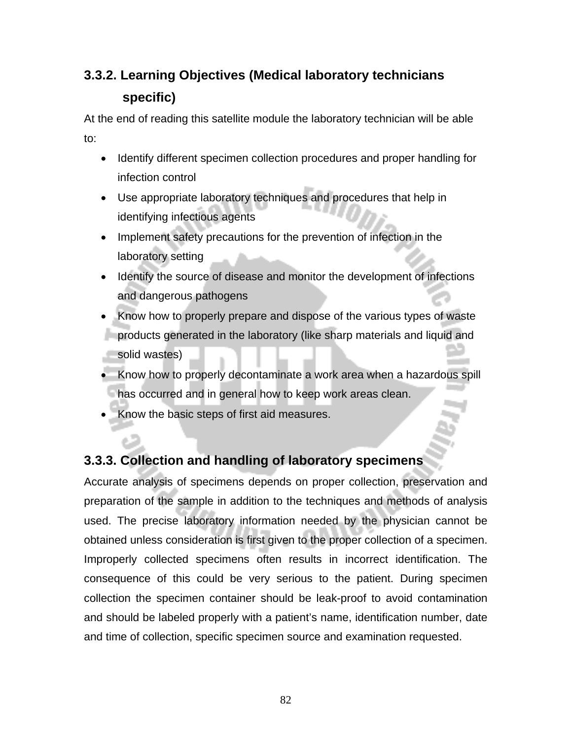# **3.3.2. Learning Objectives (Medical laboratory technicians specific)**

At the end of reading this satellite module the laboratory technician will be able to:

- Identify different specimen collection procedures and proper handling for infection control
- Use appropriate laboratory techniques and procedures that help in identifying infectious agents
- Implement safety precautions for the prevention of infection in the laboratory setting
- Identify the source of disease and monitor the development of infections and dangerous pathogens
- Know how to properly prepare and dispose of the various types of waste products generated in the laboratory (like sharp materials and liquid and solid wastes)
- Know how to properly decontaminate a work area when a hazardous spill has occurred and in general how to keep work areas clean.
- Know the basic steps of first aid measures.

# **3.3.3. Collection and handling of laboratory specimens**

Accurate analysis of specimens depends on proper collection, preservation and preparation of the sample in addition to the techniques and methods of analysis used. The precise laboratory information needed by the physician cannot be obtained unless consideration is first given to the proper collection of a specimen. Improperly collected specimens often results in incorrect identification. The consequence of this could be very serious to the patient. During specimen collection the specimen container should be leak-proof to avoid contamination and should be labeled properly with a patient's name, identification number, date and time of collection, specific specimen source and examination requested.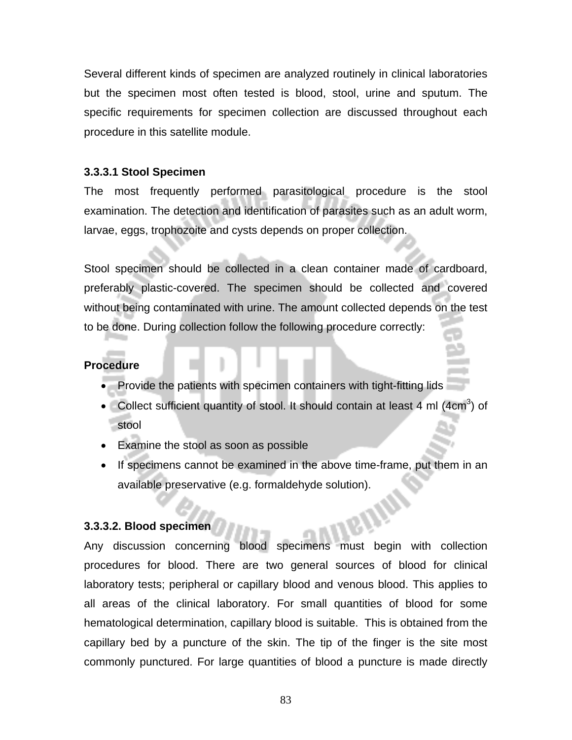Several different kinds of specimen are analyzed routinely in clinical laboratories but the specimen most often tested is blood, stool, urine and sputum. The specific requirements for specimen collection are discussed throughout each procedure in this satellite module.

#### **3.3.3.1 Stool Specimen**

The most frequently performed parasitological procedure is the stool examination. The detection and identification of parasites such as an adult worm, larvae, eggs, trophozoite and cysts depends on proper collection.

Stool specimen should be collected in a clean container made of cardboard, preferably plastic-covered. The specimen should be collected and covered without being contaminated with urine. The amount collected depends on the test to be done. During collection follow the following procedure correctly:

#### **Procedure**

- Provide the patients with specimen containers with tight-fitting lids
- Collect sufficient quantity of stool. It should contain at least 4 ml  $(4cm<sup>3</sup>)$  of stool
- Examine the stool as soon as possible
- If specimens cannot be examined in the above time-frame, put them in an available preservative (e.g. formaldehyde solution).

#### **3.3.3.2. Blood specimen**

Any discussion concerning blood specimens must begin with collection procedures for blood. There are two general sources of blood for clinical laboratory tests; peripheral or capillary blood and venous blood. This applies to all areas of the clinical laboratory. For small quantities of blood for some hematological determination, capillary blood is suitable. This is obtained from the capillary bed by a puncture of the skin. The tip of the finger is the site most commonly punctured. For large quantities of blood a puncture is made directly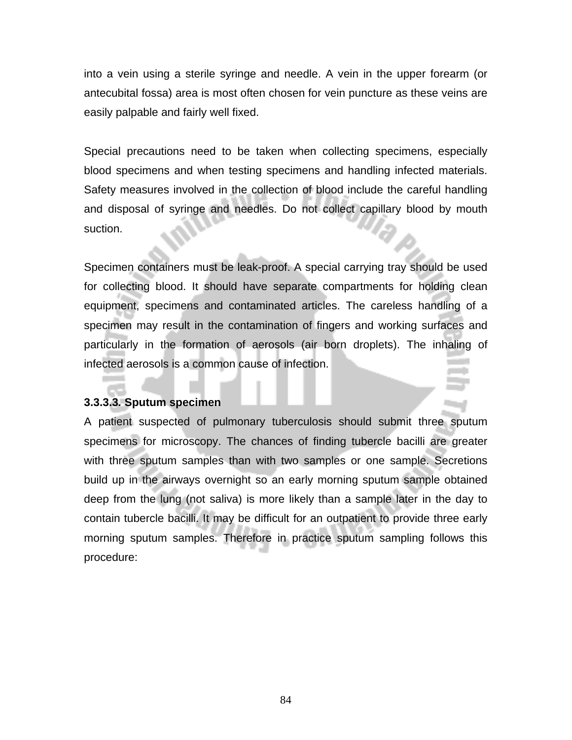into a vein using a sterile syringe and needle. A vein in the upper forearm (or antecubital fossa) area is most often chosen for vein puncture as these veins are easily palpable and fairly well fixed.

Special precautions need to be taken when collecting specimens, especially blood specimens and when testing specimens and handling infected materials. Safety measures involved in the collection of blood include the careful handling and disposal of syringe and needles. Do not collect capillary blood by mouth suction.

Specimen containers must be leak-proof. A special carrying tray should be used for collecting blood. It should have separate compartments for holding clean equipment, specimens and contaminated articles. The careless handling of a specimen may result in the contamination of fingers and working surfaces and particularly in the formation of aerosols (air born droplets). The inhaling of infected aerosols is a common cause of infection.

#### **3.3.3.3***.* **Sputum specimen**

A patient suspected of pulmonary tuberculosis should submit three sputum specimens for microscopy. The chances of finding tubercle bacilli are greater with three sputum samples than with two samples or one sample. Secretions build up in the airways overnight so an early morning sputum sample obtained deep from the lung (not saliva) is more likely than a sample later in the day to contain tubercle bacilli. It may be difficult for an outpatient to provide three early morning sputum samples. Therefore in practice sputum sampling follows this procedure: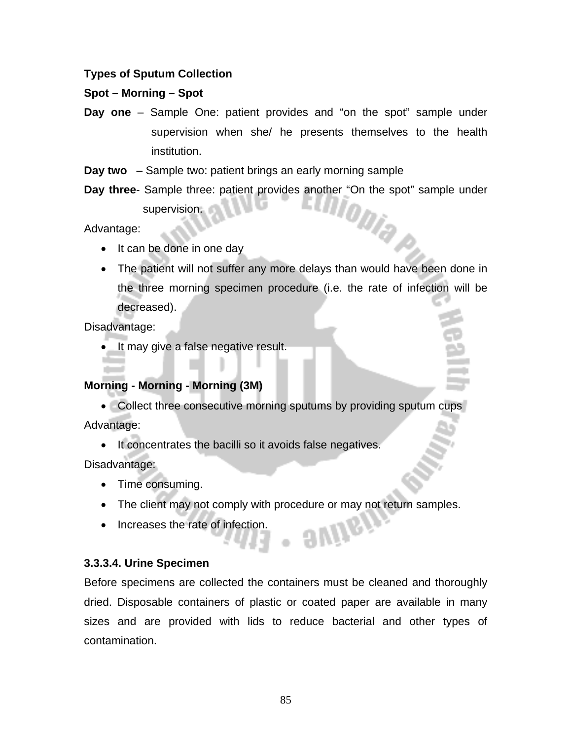#### **Types of Sputum Collection**

#### **Spot – Morning – Spot**

- **Day one** Sample One: patient provides and "on the spot" sample under supervision when she/ he presents themselves to the health institution.
- **Day two** Sample two: patient brings an early morning sample
- **Day three** Sample three: patient provides another "On the spot" sample under supervision. supervision.

Advantage:

- It can be done in one day
- The patient will not suffer any more delays than would have been done in the three morning specimen procedure (i.e. the rate of infection will be decreased).

Disadvantage:

• It may give a false negative result.

#### **Morning - Morning - Morning (3M)**

• Collect three consecutive morning sputums by providing sputum cups Advantage:

• It concentrates the bacilli so it avoids false negatives.

Disadvantage:

- Time consuming.
- The client may not comply with procedure or may not return samples.

. avite,

• Increases the rate of infection.

#### **3.3.3.4. Urine Specimen**

Before specimens are collected the containers must be cleaned and thoroughly dried. Disposable containers of plastic or coated paper are available in many sizes and are provided with lids to reduce bacterial and other types of contamination.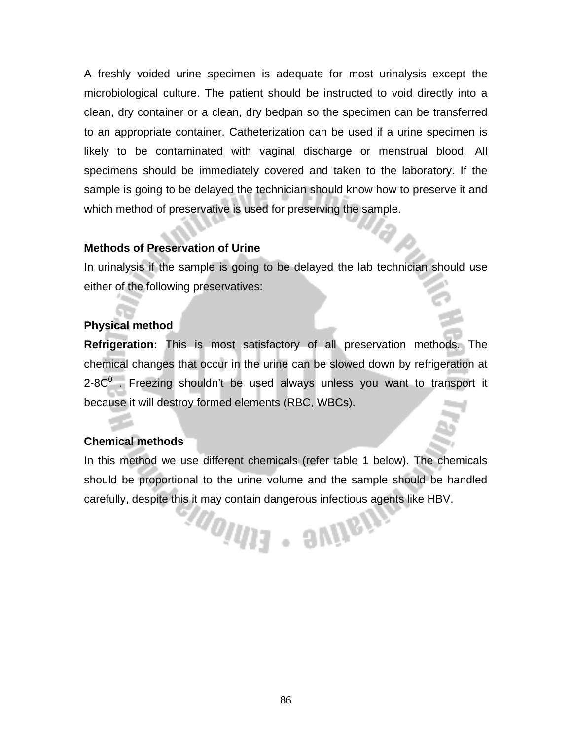A freshly voided urine specimen is adequate for most urinalysis except the microbiological culture. The patient should be instructed to void directly into a clean, dry container or a clean, dry bedpan so the specimen can be transferred to an appropriate container. Catheterization can be used if a urine specimen is likely to be contaminated with vaginal discharge or menstrual blood. All specimens should be immediately covered and taken to the laboratory. If the sample is going to be delayed the technician should know how to preserve it and which method of preservative is used for preserving the sample.

#### **Methods of Preservation of Urine**

In urinalysis if the sample is going to be delayed the lab technician should use either of the following preservatives:

#### **Physical method**

**Refrigeration:** This is most satisfactory of all preservation methods. The chemical changes that occur in the urine can be slowed down by refrigeration at 2-8 $C<sup>0</sup>$  . Freezing shouldn't be used always unless you want to transport it because it will destroy formed elements (RBC, WBCs).

#### **Chemical methods**

In this method we use different chemicals (refer table 1 below). The chemicals should be proportional to the urine volume and the sample should be handled carefully, despite this it may contain dangerous infectious agents like HBV.

**MONTER** SUNGIN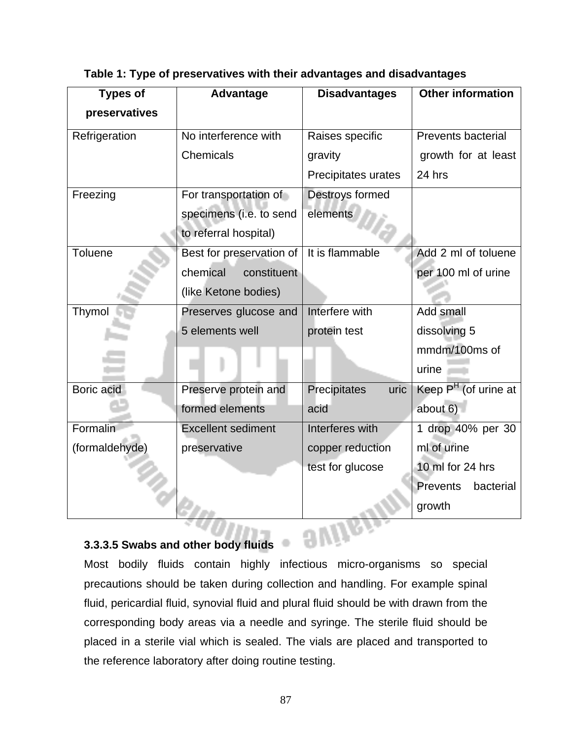| <b>Types of</b> | Advantage                 | <b>Disadvantages</b> | Other information                |
|-----------------|---------------------------|----------------------|----------------------------------|
| preservatives   |                           |                      |                                  |
| Refrigeration   | No interference with      | Raises specific      | <b>Prevents bacterial</b>        |
|                 | Chemicals                 | gravity              | growth for at least              |
|                 |                           | Precipitates urates  | 24 hrs                           |
| Freezing        | For transportation of     | Destroys formed      |                                  |
|                 | specimens (i.e. to send   | elements             |                                  |
|                 | to referral hospital)     |                      |                                  |
| <b>Toluene</b>  | Best for preservation of  | It is flammable      | Add 2 ml of toluene              |
|                 | chemical<br>constituent   |                      | per 100 ml of urine              |
|                 | (like Ketone bodies)      |                      |                                  |
| Thymol          | Preserves glucose and     | Interfere with       | Add small                        |
|                 | 5 elements well           | protein test         | dissolving 5                     |
|                 |                           |                      | mmdm/100ms of                    |
|                 |                           |                      | urine                            |
| Boric acid      | Preserve protein and      | Precipitates<br>uric | Keep P <sup>H</sup> (of urine at |
|                 | formed elements           | acid                 | about $6$ )                      |
| Formalin        | <b>Excellent sediment</b> | Interferes with      | 1 drop 40% per 30                |
| (formaldehyde)  | preservative              | copper reduction     | ml of urine                      |
|                 |                           | test for glucose     | 10 ml for 24 hrs                 |
|                 |                           |                      | <b>Prevents</b><br>bacterial     |
|                 |                           |                      | growth                           |

**Table 1: Type of preservatives with their advantages and disadvantages** 

**3.3.3.5 Swabs and other body fluids** Most bodily fluids contain highly infectious micro-organisms so special precautions should be taken during collection and handling. For example spinal fluid, pericardial fluid, synovial fluid and plural fluid should be with drawn from the corresponding body areas via a needle and syringe. The sterile fluid should be placed in a sterile vial which is sealed. The vials are placed and transported to the reference laboratory after doing routine testing.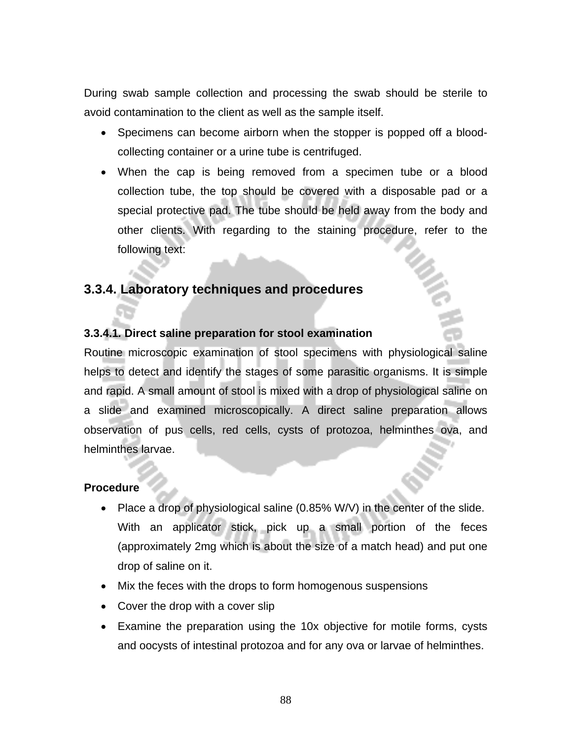During swab sample collection and processing the swab should be sterile to avoid contamination to the client as well as the sample itself.

- Specimens can become airborn when the stopper is popped off a bloodcollecting container or a urine tube is centrifuged.
- When the cap is being removed from a specimen tube or a blood collection tube, the top should be covered with a disposable pad or a special protective pad. The tube should be held away from the body and other clients. With regarding to the staining procedure, refer to the following text:

# **3.3.4. Laboratory techniques and procedures**

#### **3.3.4.1***.* **Direct saline preparation for stool examination**

Routine microscopic examination of stool specimens with physiological saline helps to detect and identify the stages of some parasitic organisms. It is simple and rapid. A small amount of stool is mixed with a drop of physiological saline on a slide and examined microscopically. A direct saline preparation allows observation of pus cells, red cells, cysts of protozoa, helminthes ova, and helminthes larvae.

#### **Procedure**

- Place a drop of physiological saline (0.85% W/V) in the center of the slide. With an applicator stick, pick up a small portion of the feces (approximately 2mg which is about the size of a match head) and put one drop of saline on it.
- Mix the feces with the drops to form homogenous suspensions
- Cover the drop with a cover slip
- Examine the preparation using the 10x objective for motile forms, cysts and oocysts of intestinal protozoa and for any ova or larvae of helminthes.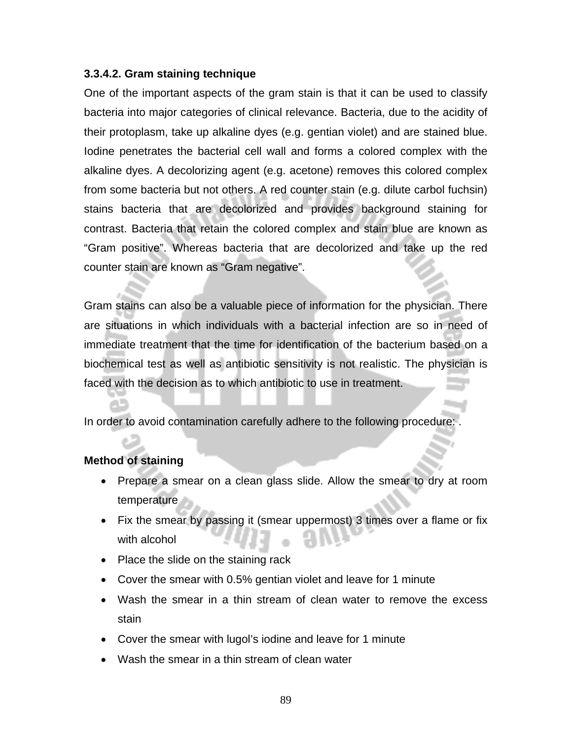#### **3.3.4.2. Gram staining technique**

One of the important aspects of the gram stain is that it can be used to classify bacteria into major categories of clinical relevance. Bacteria, due to the acidity of their protoplasm, take up alkaline dyes (e.g. gentian violet) and are stained blue. Iodine penetrates the bacterial cell wall and forms a colored complex with the alkaline dyes. A decolorizing agent (e.g. acetone) removes this colored complex from some bacteria but not others. A red counter stain (e.g. dilute carbol fuchsin) stains bacteria that are decolorized and provides background staining for contrast. Bacteria that retain the colored complex and stain blue are known as "Gram positive". Whereas bacteria that are decolorized and take up the red counter stain are known as "Gram negative".

Gram stains can also be a valuable piece of information for the physician. There are situations in which individuals with a bacterial infection are so in need of immediate treatment that the time for identification of the bacterium based on a biochemical test as well as antibiotic sensitivity is not realistic. The physician is faced with the decision as to which antibiotic to use in treatment.

In order to avoid contamination carefully adhere to the following procedure:

#### **Method of staining**

- Prepare a smear on a clean glass slide. Allow the smear to dry at room temperature
- Fix the smear by passing it (smear uppermost) 3 times over a flame or fix with alcohol
- Place the slide on the staining rack
- Cover the smear with 0.5% gentian violet and leave for 1 minute
- Wash the smear in a thin stream of clean water to remove the excess stain
- Cover the smear with lugol's iodine and leave for 1 minute
- Wash the smear in a thin stream of clean water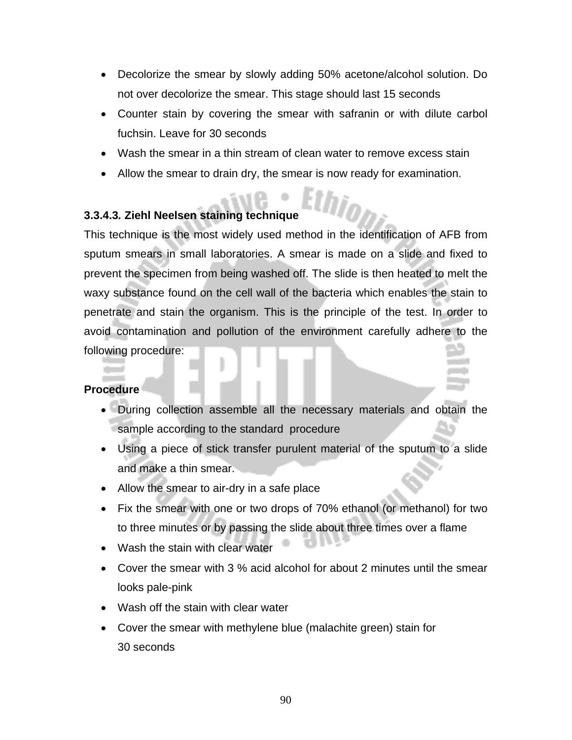- Decolorize the smear by slowly adding 50% acetone/alcohol solution. Do not over decolorize the smear. This stage should last 15 seconds
- Counter stain by covering the smear with safranin or with dilute carbol fuchsin. Leave for 30 seconds
- Wash the smear in a thin stream of clean water to remove excess stain
- Allow the smear to drain dry, the smear is now ready for examination.

#### **3.3.4.3***.* **Ziehl Neelsen staining technique**

This technique is the most widely used method in the identification of AFB from sputum smears in small laboratories. A smear is made on a slide and fixed to prevent the specimen from being washed off. The slide is then heated to melt the waxy substance found on the cell wall of the bacteria which enables the stain to penetrate and stain the organism. This is the principle of the test. In order to avoid contamination and pollution of the environment carefully adhere to the following procedure:

#### **Procedure**

- During collection assemble all the necessary materials and obtain the sample according to the standard procedure
- Using a piece of stick transfer purulent material of the sputum to a slide and make a thin smear.
- Allow the smear to air-dry in a safe place
- Fix the smear with one or two drops of 70% ethanol (or methanol) for two to three minutes or by passing the slide about three times over a flame
- Wash the stain with clear water
- Cover the smear with 3 % acid alcohol for about 2 minutes until the smear looks pale-pink
- Wash off the stain with clear water
- Cover the smear with methylene blue (malachite green) stain for 30 seconds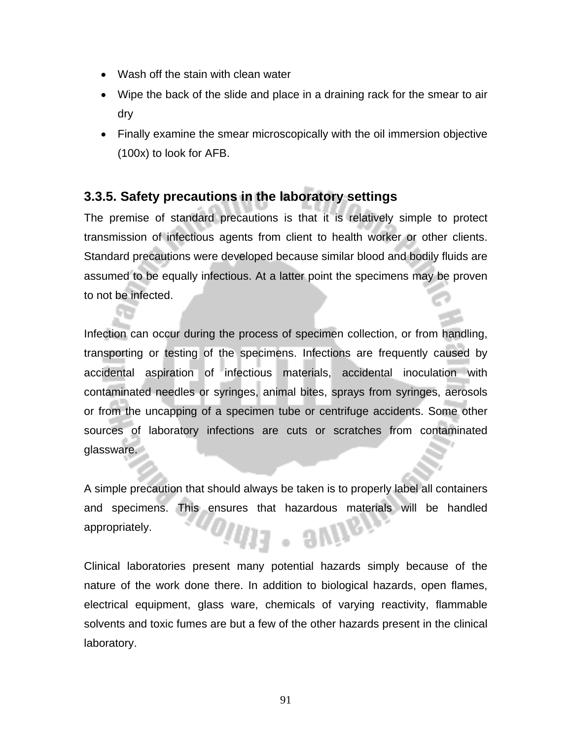- Wash off the stain with clean water
- Wipe the back of the slide and place in a draining rack for the smear to air dry
- Finally examine the smear microscopically with the oil immersion objective (100x) to look for AFB.

# **3.3.5. Safety precautions in the laboratory settings**

The premise of standard precautions is that it is relatively simple to protect transmission of infectious agents from client to health worker or other clients. Standard precautions were developed because similar blood and bodily fluids are assumed to be equally infectious. At a latter point the specimens may be proven to not be infected.

Infection can occur during the process of specimen collection, or from handling, transporting or testing of the specimens. Infections are frequently caused by accidental aspiration of infectious materials, accidental inoculation with contaminated needles or syringes, animal bites, sprays from syringes, aerosols or from the uncapping of a specimen tube or centrifuge accidents. Some other sources of laboratory infections are cuts or scratches from contaminated glassware.

A simple precaution that should always be taken is to properly label all containers and specimens. This ensures that hazardous materials will be handled appropriately. /11 . aN

Clinical laboratories present many potential hazards simply because of the nature of the work done there. In addition to biological hazards, open flames, electrical equipment, glass ware, chemicals of varying reactivity, flammable solvents and toxic fumes are but a few of the other hazards present in the clinical laboratory.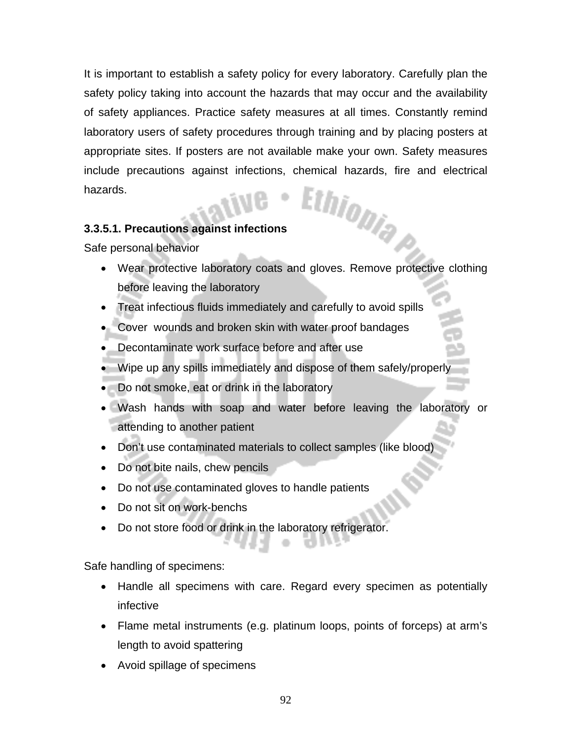It is important to establish a safety policy for every laboratory. Carefully plan the safety policy taking into account the hazards that may occur and the availability of safety appliances. Practice safety measures at all times. Constantly remind laboratory users of safety procedures through training and by placing posters at appropriate sites. If posters are not available make your own. Safety measures include precautions against infections, chemical hazards, fire and electrical hazards. hazards.

#### **3.3.5.1. Precautions against infections**

Safe personal behavior

- Wear protective laboratory coats and gloves. Remove protective clothing before leaving the laboratory
- Treat infectious fluids immediately and carefully to avoid spills
- Cover wounds and broken skin with water proof bandages
- Decontaminate work surface before and after use
- Wipe up any spills immediately and dispose of them safely/properly
- Do not smoke, eat or drink in the laboratory
- Wash hands with soap and water before leaving the laboratory or attending to another patient
- Don't use contaminated materials to collect samples (like blood)
- Do not bite nails, chew pencils
- Do not use contaminated gloves to handle patients
- Do not sit on work-benchs
- Do not store food or drink in the laboratory refrigerator.

Safe handling of specimens:

- Handle all specimens with care. Regard every specimen as potentially infective
- Flame metal instruments (e.g. platinum loops, points of forceps) at arm's length to avoid spattering
- Avoid spillage of specimens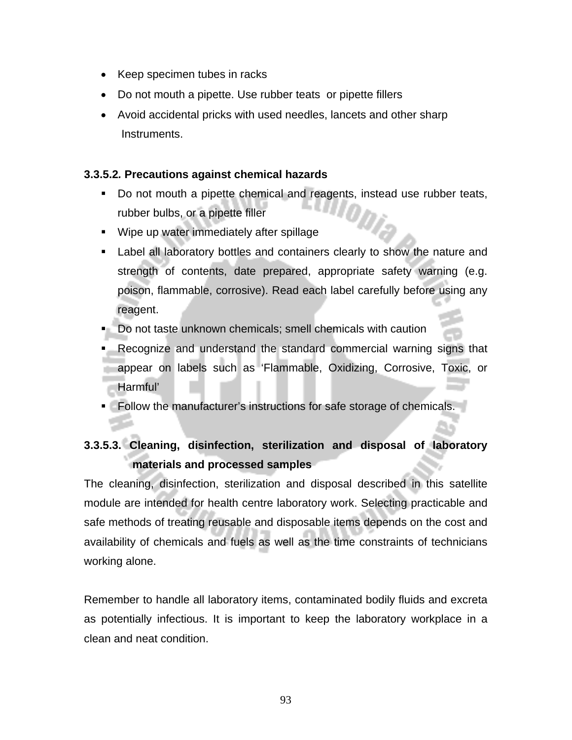- Keep specimen tubes in racks
- Do not mouth a pipette. Use rubber teats or pipette fillers
- Avoid accidental pricks with used needles, lancets and other sharp Instruments.

#### **3.3.5.2***.* **Precautions against chemical hazards**

- Do not mouth a pipette chemical and reagents, instead use rubber teats, rubber bulbs, or a pipette filler
- **Wipe up water immediately after spillage**
- Label all laboratory bottles and containers clearly to show the nature and strength of contents, date prepared, appropriate safety warning (e.g. poison, flammable, corrosive). Read each label carefully before using any reagent.
- Do not taste unknown chemicals; smell chemicals with caution
- Recognize and understand the standard commercial warning signs that appear on labels such as 'Flammable, Oxidizing, Corrosive, Toxic, or Harmful'
- Follow the manufacturer's instructions for safe storage of chemicals.

# **3.3.5.3. Cleaning, disinfection, sterilization and disposal of laboratory materials and processed samples**

The cleaning, disinfection, sterilization and disposal described in this satellite module are intended for health centre laboratory work. Selecting practicable and safe methods of treating reusable and disposable items depends on the cost and availability of chemicals and fuels as well as the time constraints of technicians working alone.

Remember to handle all laboratory items, contaminated bodily fluids and excreta as potentially infectious. It is important to keep the laboratory workplace in a clean and neat condition.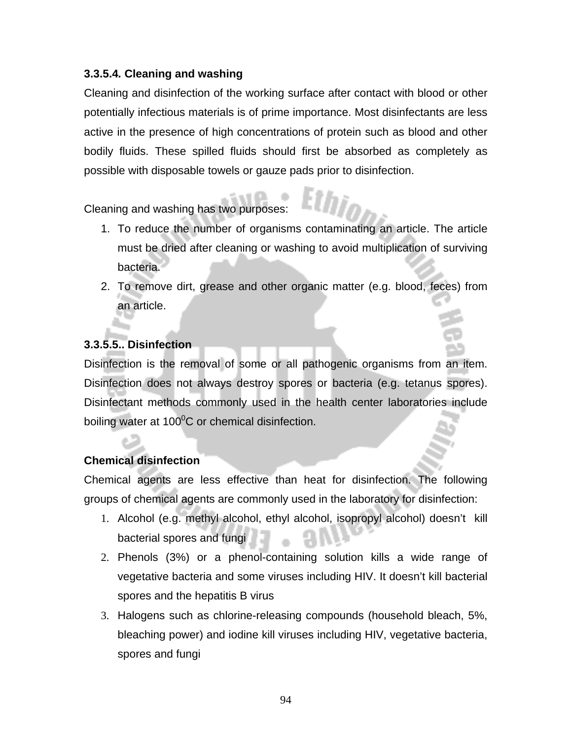#### **3.3.5.4***.* **Cleaning and washing**

Cleaning and disinfection of the working surface after contact with blood or other potentially infectious materials is of prime importance. Most disinfectants are less active in the presence of high concentrations of protein such as blood and other bodily fluids. These spilled fluids should first be absorbed as completely as possible with disposable towels or gauze pads prior to disinfection.

Cleaning and washing has two purposes:

- 1. To reduce the number of organisms contaminating an article. The article must be dried after cleaning or washing to avoid multiplication of surviving bacteria.
- 2. To remove dirt, grease and other organic matter (e.g. blood, feces) from an article.

### **3.3.5.5.. Disinfection**

Disinfection is the removal of some or all pathogenic organisms from an item. Disinfection does not always destroy spores or bacteria (e.g. tetanus spores). Disinfectant methods commonly used in the health center laboratories include boiling water at 100 $\mathrm{^0C}$  or chemical disinfection.

#### **Chemical disinfection**

Chemical agents are less effective than heat for disinfection. The following groups of chemical agents are commonly used in the laboratory for disinfection:

- 1. Alcohol (e.g. methyl alcohol, ethyl alcohol, isopropyl alcohol) doesn't kill bacterial spores and fungi
- 2. Phenols (3%) or a phenol-containing solution kills a wide range of vegetative bacteria and some viruses including HIV. It doesn't kill bacterial spores and the hepatitis B virus
- 3. Halogens such as chlorine-releasing compounds (household bleach, 5%, bleaching power) and iodine kill viruses including HIV, vegetative bacteria, spores and fungi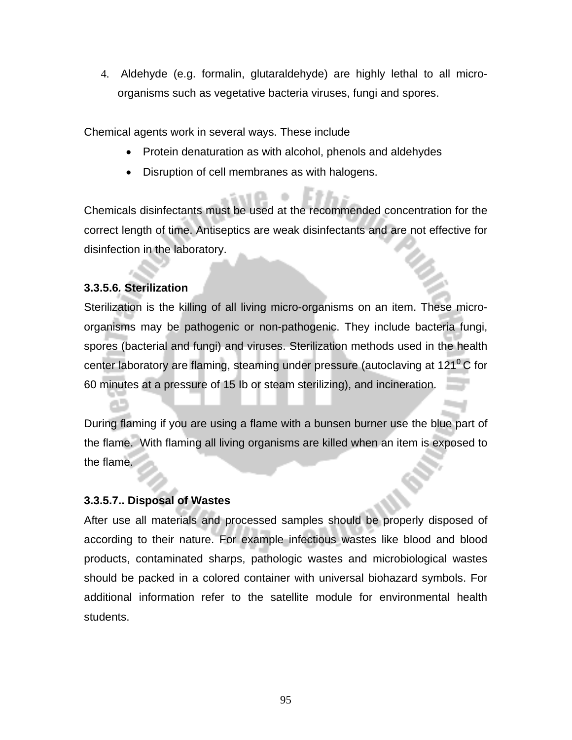4. Aldehyde (e.g. formalin, glutaraldehyde) are highly lethal to all microorganisms such as vegetative bacteria viruses, fungi and spores.

Chemical agents work in several ways. These include

- Protein denaturation as with alcohol, phenols and aldehydes
- Disruption of cell membranes as with halogens.

Chemicals disinfectants must be used at the recommended concentration for the correct length of time. Antiseptics are weak disinfectants and are not effective for disinfection in the laboratory.

#### **3.3.5.6***.* **Sterilization**

Sterilization is the killing of all living micro-organisms on an item. These microorganisms may be pathogenic or non-pathogenic. They include bacteria fungi, spores (bacterial and fungi) and viruses. Sterilization methods used in the health center laboratory are flaming, steaming under pressure (autoclaving at  $121^{\circ}$ C for 60 minutes at a pressure of 15 Ib or steam sterilizing), and incineration.

During flaming if you are using a flame with a bunsen burner use the blue part of the flame. With flaming all living organisms are killed when an item is exposed to the flame.

#### **3.3.5.7.. Disposal of Wastes**

After use all materials and processed samples should be properly disposed of according to their nature. For example infectious wastes like blood and blood products, contaminated sharps, pathologic wastes and microbiological wastes should be packed in a colored container with universal biohazard symbols. For additional information refer to the satellite module for environmental health students.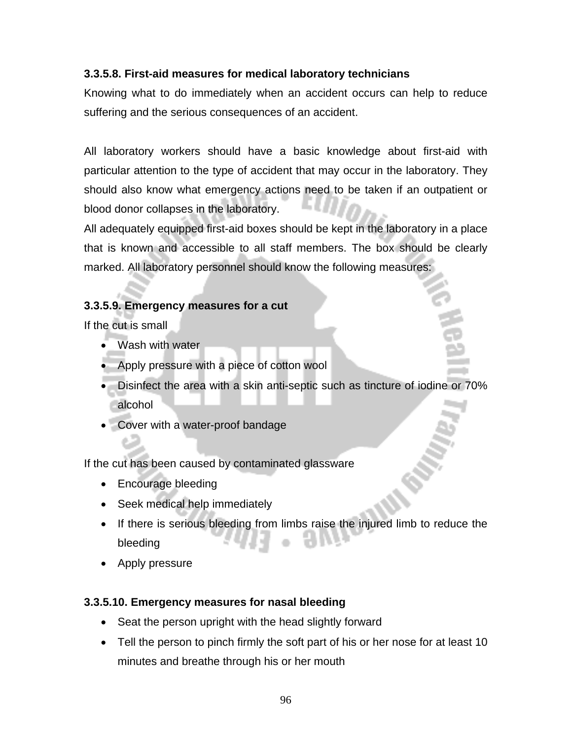#### **3.3.5.8. First-aid measures for medical laboratory technicians**

Knowing what to do immediately when an accident occurs can help to reduce suffering and the serious consequences of an accident.

All laboratory workers should have a basic knowledge about first-aid with particular attention to the type of accident that may occur in the laboratory. They should also know what emergency actions need to be taken if an outpatient or blood donor collapses in the laboratory.

All adequately equipped first-aid boxes should be kept in the laboratory in a place that is known and accessible to all staff members. The box should be clearly marked. All laboratory personnel should know the following measures:

#### **3.3.5.9. Emergency measures for a cut**

If the cut is small

- Wash with water
- Apply pressure with a piece of cotton wool
- Disinfect the area with a skin anti-septic such as tincture of iodine or 70% alcohol
- Cover with a water-proof bandage

If the cut has been caused by contaminated glassware

- Encourage bleeding
- Seek medical help immediately
- If there is serious bleeding from limbs raise the injured limb to reduce the bleeding
- Apply pressure

#### **3.3.5.10. Emergency measures for nasal bleeding**

- Seat the person upright with the head slightly forward
- Tell the person to pinch firmly the soft part of his or her nose for at least 10 minutes and breathe through his or her mouth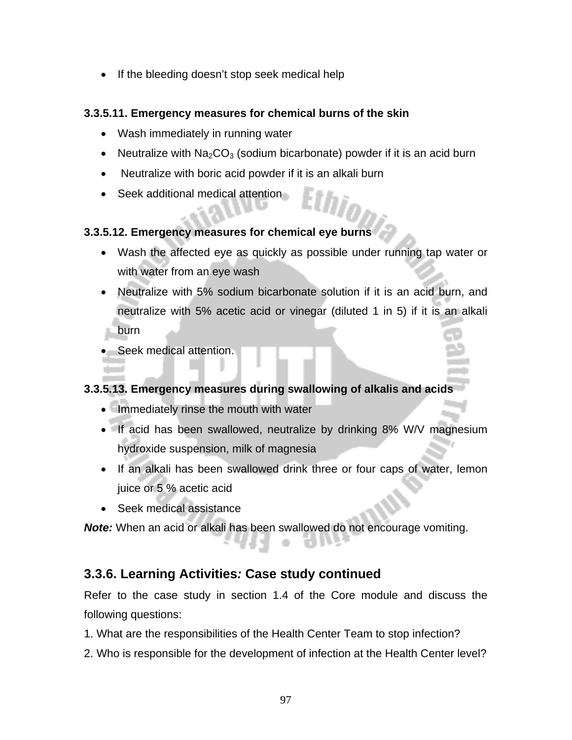• If the bleeding doesn't stop seek medical help

#### **3.3.5.11. Emergency measures for chemical burns of the skin**

- Wash immediately in running water
- Neutralize with  $Na<sub>2</sub>CO<sub>3</sub>$  (sodium bicarbonate) powder if it is an acid burn
- Neutralize with boric acid powder if it is an alkali burn
- Seek additional medical attention

#### **3.3.5.12. Emergency measures for chemical eye burns**

- Wash the affected eye as quickly as possible under running tap water or with water from an eye wash
- Neutralize with 5% sodium bicarbonate solution if it is an acid burn, and neutralize with 5% acetic acid or vinegar (diluted 1 in 5) if it is an alkali burn
- Seek medical attention.

#### **3.3.5.13. Emergency measures during swallowing of alkalis and acids**

- Immediately rinse the mouth with water
- If acid has been swallowed, neutralize by drinking 8% W/V magnesium hydroxide suspension, milk of magnesia
- If an alkali has been swallowed drink three or four caps of water, lemon juice or 5 % acetic acid
- Seek medical assistance

*Note:* When an acid or alkali has been swallowed do not encourage vomiting.

# **3.3.6. Learning Activities***:* **Case study continued**

Refer to the case study in section 1.4 of the Core module and discuss the following questions:

- 1. What are the responsibilities of the Health Center Team to stop infection?
- 2. Who is responsible for the development of infection at the Health Center level?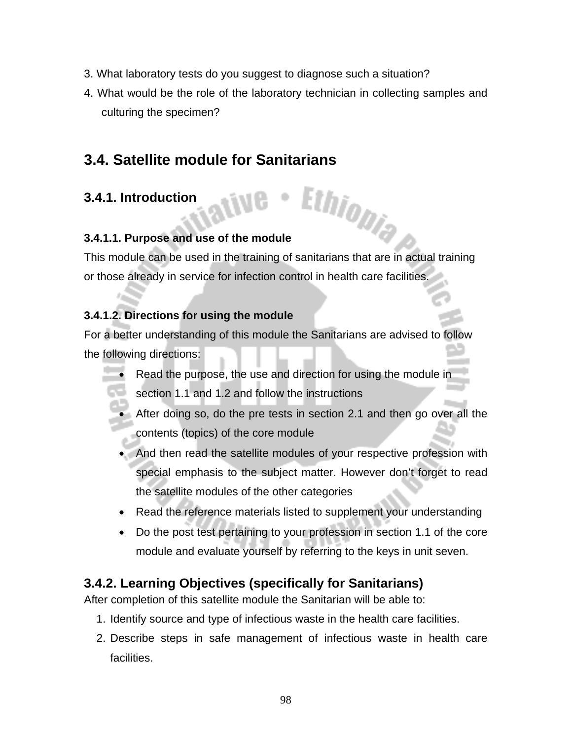- 3. What laboratory tests do you suggest to diagnose such a situation?
- 4. What would be the role of the laboratory technician in collecting samples and culturing the specimen?

# **3.4. Satellite module for Sanitarians**

# **3.4.1. Introduction**

#### **3.4.1.1. Purpose and use of the module**

This module can be used in the training of sanitarians that are in actual training or those already in service for infection control in health care facilities.

Ethiopia

#### **3.4.1.2. Directions for using the module**

For a better understanding of this module the Sanitarians are advised to follow the following directions:

- Read the purpose, the use and direction for using the module in section 1.1 and 1.2 and follow the instructions
- After doing so, do the pre tests in section 2.1 and then go over all the contents (topics) of the core module
- And then read the satellite modules of your respective profession with special emphasis to the subject matter. However don't forget to read the satellite modules of the other categories
- Read the reference materials listed to supplement your understanding
- Do the post test pertaining to your profession in section 1.1 of the core module and evaluate yourself by referring to the keys in unit seven.

# **3.4.2. Learning Objectives (specifically for Sanitarians)**

After completion of this satellite module the Sanitarian will be able to:

- 1. Identify source and type of infectious waste in the health care facilities.
- 2. Describe steps in safe management of infectious waste in health care facilities.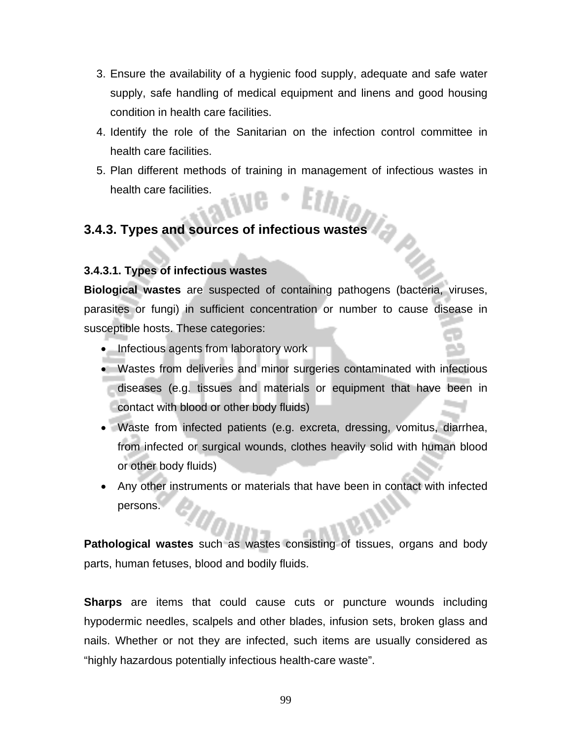- 3. Ensure the availability of a hygienic food supply, adequate and safe water supply, safe handling of medical equipment and linens and good housing condition in health care facilities.
- 4. Identify the role of the Sanitarian on the infection control committee in health care facilities.
- 5. Plan different methods of training in management of infectious wastes in health care facilities.

# **3.4.3. Types and sources of infectious wastes**

#### **3.4.3.1. Types of infectious wastes**

**Biological wastes** are suspected of containing pathogens (bacteria, viruses, parasites or fungi) in sufficient concentration or number to cause disease in susceptible hosts. These categories:

- Infectious agents from laboratory work
- Wastes from deliveries and minor surgeries contaminated with infectious diseases (e.g. tissues and materials or equipment that have been in contact with blood or other body fluids)
- Waste from infected patients (e.g. excreta, dressing, vomitus, diarrhea, from infected or surgical wounds, clothes heavily solid with human blood or other body fluids)
- Any other instruments or materials that have been in contact with infected persons.

**Pathological wastes** such as wastes consisting of tissues, organs and body parts, human fetuses, blood and bodily fluids.

**Sharps** are items that could cause cuts or puncture wounds including hypodermic needles, scalpels and other blades, infusion sets, broken glass and nails. Whether or not they are infected, such items are usually considered as "highly hazardous potentially infectious health-care waste".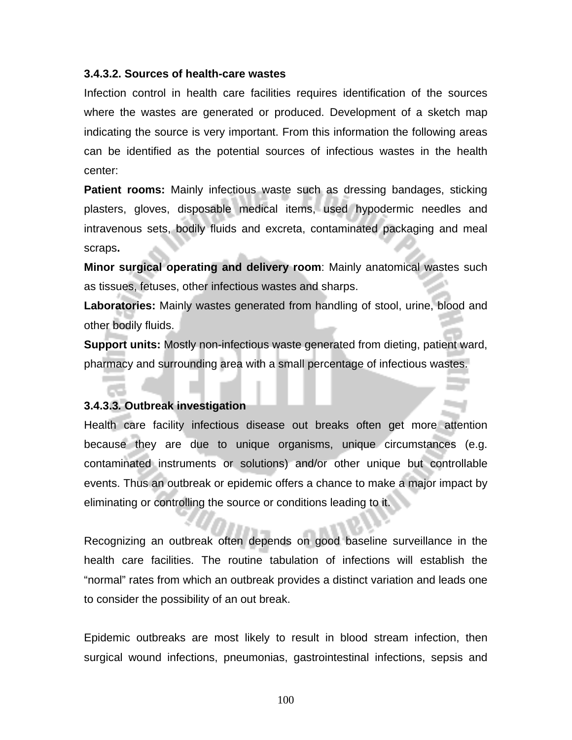#### **3.4.3.2. Sources of health***-***care wastes**

Infection control in health care facilities requires identification of the sources where the wastes are generated or produced. Development of a sketch map indicating the source is very important. From this information the following areas can be identified as the potential sources of infectious wastes in the health center:

**Patient rooms:** Mainly infectious waste such as dressing bandages, sticking plasters, gloves, disposable medical items, used hypodermic needles and intravenous sets, bodily fluids and excreta, contaminated packaging and meal scraps**.** 

**Minor surgical operating and delivery room**: Mainly anatomical wastes such as tissues, fetuses, other infectious wastes and sharps.

**Laboratories:** Mainly wastes generated from handling of stool, urine, blood and other bodily fluids.

**Support units:** Mostly non-infectious waste generated from dieting, patient ward, pharmacy and surrounding area with a small percentage of infectious wastes.

#### **3.4.3.3***.* **Outbreak investigation**

Health care facility infectious disease out breaks often get more attention because they are due to unique organisms, unique circumstances (e.g. contaminated instruments or solutions) and/or other unique but controllable events. Thus an outbreak or epidemic offers a chance to make a major impact by eliminating or controlling the source or conditions leading to it.

Recognizing an outbreak often depends on good baseline surveillance in the health care facilities. The routine tabulation of infections will establish the "normal" rates from which an outbreak provides a distinct variation and leads one to consider the possibility of an out break.

Epidemic outbreaks are most likely to result in blood stream infection, then surgical wound infections, pneumonias, gastrointestinal infections, sepsis and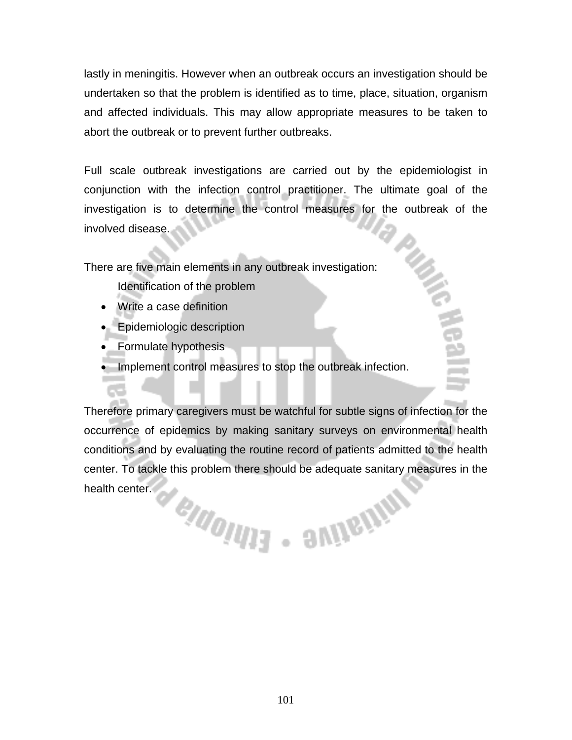lastly in meningitis. However when an outbreak occurs an investigation should be undertaken so that the problem is identified as to time, place, situation, organism and affected individuals. This may allow appropriate measures to be taken to abort the outbreak or to prevent further outbreaks.

Full scale outbreak investigations are carried out by the epidemiologist in conjunction with the infection control practitioner. The ultimate goal of the investigation is to determine the control measures for the outbreak of the involved disease.

There are five main elements in any outbreak investigation:

- Identification of the problem
- Write a case definition
- Epidemiologic description
- Formulate hypothesis
- Implement control measures to stop the outbreak infection.

Therefore primary caregivers must be watchful for subtle signs of infection for the occurrence of epidemics by making sanitary surveys on environmental health conditions and by evaluating the routine record of patients admitted to the health center. To tackle this problem there should be adequate sanitary measures in the health center. PRINCIPAL SUITE (NV)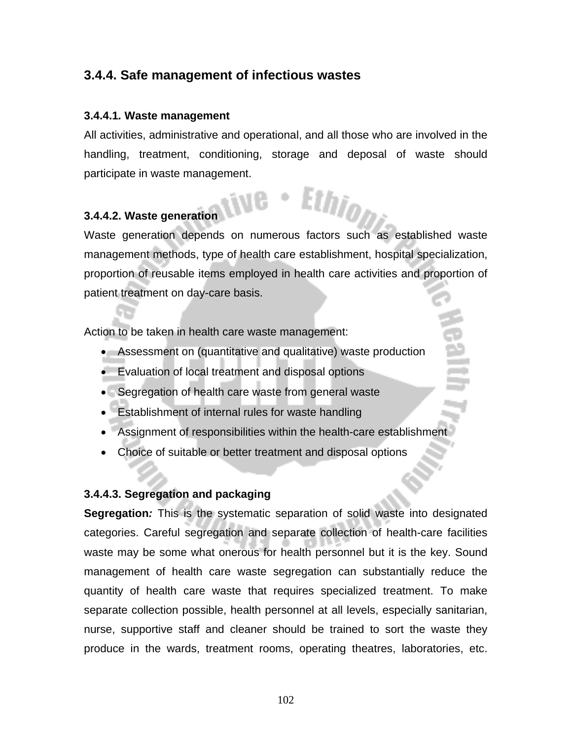# **3.4.4. Safe management of infectious wastes**

#### **3.4.4.1***.* **Waste management**

All activities, administrative and operational, and all those who are involved in the handling, treatment, conditioning, storage and deposal of waste should participate in waste management.

#### **3.4.4.2. Waste generation**

Waste generation depends on numerous factors such as established waste management methods, type of health care establishment, hospital specialization, proportion of reusable items employed in health care activities and proportion of patient treatment on day-care basis.

Action to be taken in health care waste management:

- Assessment on (quantitative and qualitative) waste production
- Evaluation of local treatment and disposal options
- Segregation of health care waste from general waste
- Establishment of internal rules for waste handling
- Assignment of responsibilities within the health-care establishment
- Choice of suitable or better treatment and disposal options

#### **3.4.4.3. Segregation and packaging**

**Segregation***:* This is the systematic separation of solid waste into designated categories. Careful segregation and separate collection of health-care facilities waste may be some what onerous for health personnel but it is the key. Sound management of health care waste segregation can substantially reduce the quantity of health care waste that requires specialized treatment. To make separate collection possible, health personnel at all levels, especially sanitarian, nurse, supportive staff and cleaner should be trained to sort the waste they produce in the wards, treatment rooms, operating theatres, laboratories, etc.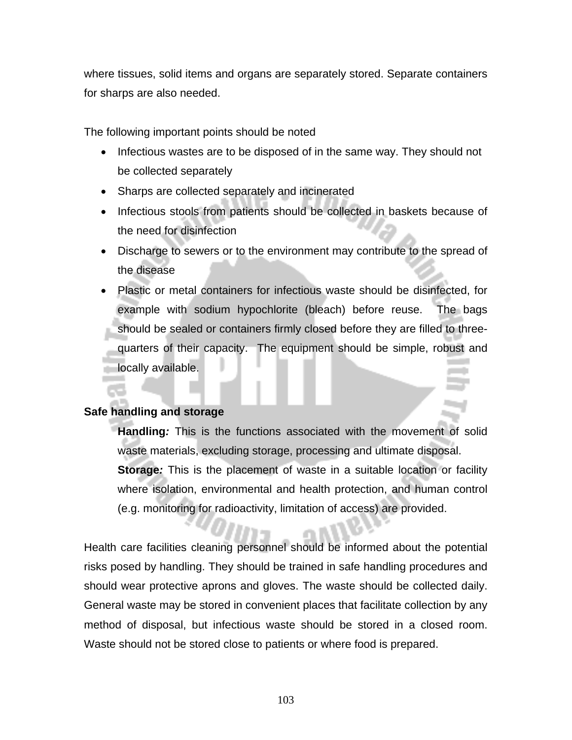where tissues, solid items and organs are separately stored. Separate containers for sharps are also needed.

The following important points should be noted

- Infectious wastes are to be disposed of in the same way. They should not be collected separately
- Sharps are collected separately and incinerated
- Infectious stools from patients should be collected in baskets because of the need for disinfection
- Discharge to sewers or to the environment may contribute to the spread of the disease
- Plastic or metal containers for infectious waste should be disinfected, for example with sodium hypochlorite (bleach) before reuse. The bags should be sealed or containers firmly closed before they are filled to threequarters of their capacity. The equipment should be simple, robust and locally available.

#### **Safe handling and storage**

**Handling***:* This is the functions associated with the movement of solid waste materials, excluding storage, processing and ultimate disposal. **Storage***:* This is the placement of waste in a suitable location or facility where isolation, environmental and health protection, and human control (e.g. monitoring for radioactivity, limitation of access) are provided.

Health care facilities cleaning personnel should be informed about the potential risks posed by handling. They should be trained in safe handling procedures and should wear protective aprons and gloves. The waste should be collected daily. General waste may be stored in convenient places that facilitate collection by any method of disposal, but infectious waste should be stored in a closed room. Waste should not be stored close to patients or where food is prepared.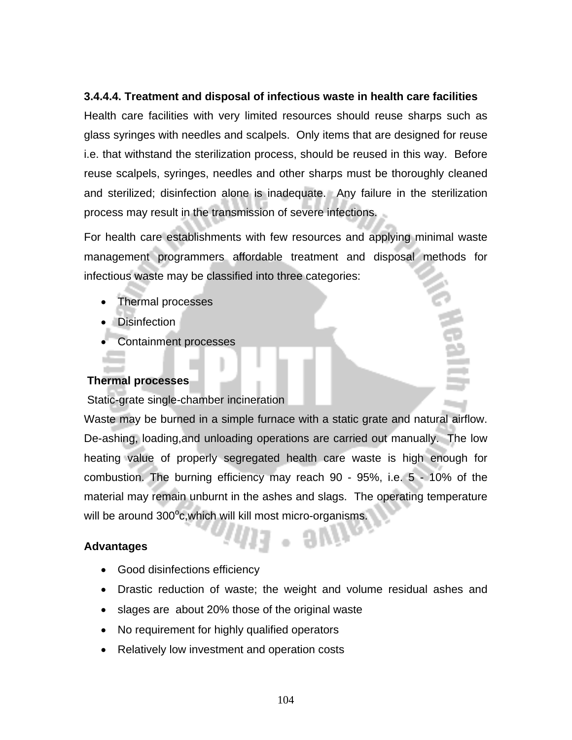#### **3.4.4.4. Treatment and disposal of infectious waste in health care facilities**

Health care facilities with very limited resources should reuse sharps such as glass syringes with needles and scalpels. Only items that are designed for reuse i.e. that withstand the sterilization process, should be reused in this way. Before reuse scalpels, syringes, needles and other sharps must be thoroughly cleaned and sterilized; disinfection alone is inadequate. Any failure in the sterilization process may result in the transmission of severe infections.

For health care establishments with few resources and applying minimal waste management programmers affordable treatment and disposal methods for infectious waste may be classified into three categories:

- Thermal processes
- Disinfection
- Containment processes

#### **Thermal processes**

Static*-*grate single*-*chamber incineration

Waste may be burned in a simple furnace with a static grate and natural airflow. De-ashing, loading,and unloading operations are carried out manually. The low heating value of properly segregated health care waste is high enough for combustion. The burning efficiency may reach 90 - 95%, i.e. 5 - 10% of the material may remain unburnt in the ashes and slags. The operating temperature will be around 300°c,which will kill most micro-organisms.

#### **Advantages**

- Good disinfections efficiency
- Drastic reduction of waste; the weight and volume residual ashes and
- slages are about 20% those of the original waste
- No requirement for highly qualified operators
- Relatively low investment and operation costs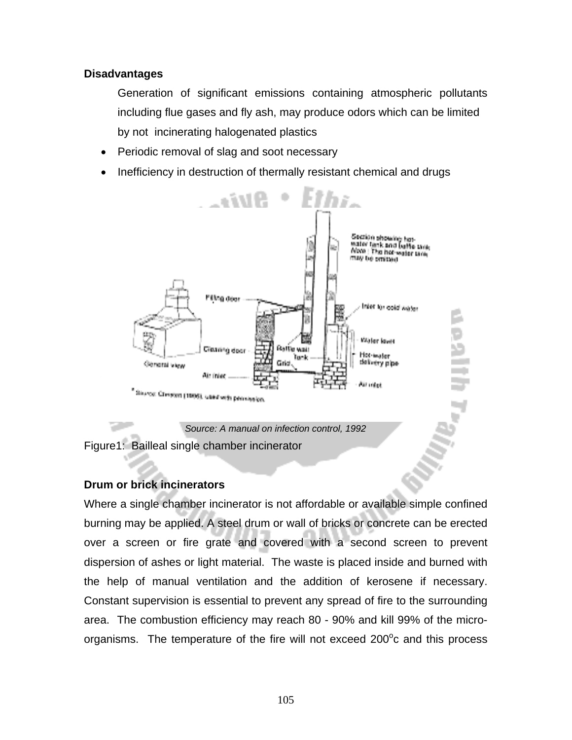#### **Disadvantages**

Generation of significant emissions containing atmospheric pollutants including flue gases and fly ash, may produce odors which can be limited by not incinerating halogenated plastics

- Periodic removal of slag and soot necessary
- Inefficiency in destruction of thermally resistant chemical and drugs



Figure1: Bailleal single chamber incinerator

#### **Drum or brick incinerators**

Where a single chamber incinerator is not affordable or available simple confined burning may be applied. A steel drum or wall of bricks or concrete can be erected over a screen or fire grate and covered with a second screen to prevent dispersion of ashes or light material. The waste is placed inside and burned with the help of manual ventilation and the addition of kerosene if necessary. Constant supervision is essential to prevent any spread of fire to the surrounding area. The combustion efficiency may reach 80 - 90% and kill 99% of the microorganisms. The temperature of the fire will not exceed 200 $^{\circ}$ c and this process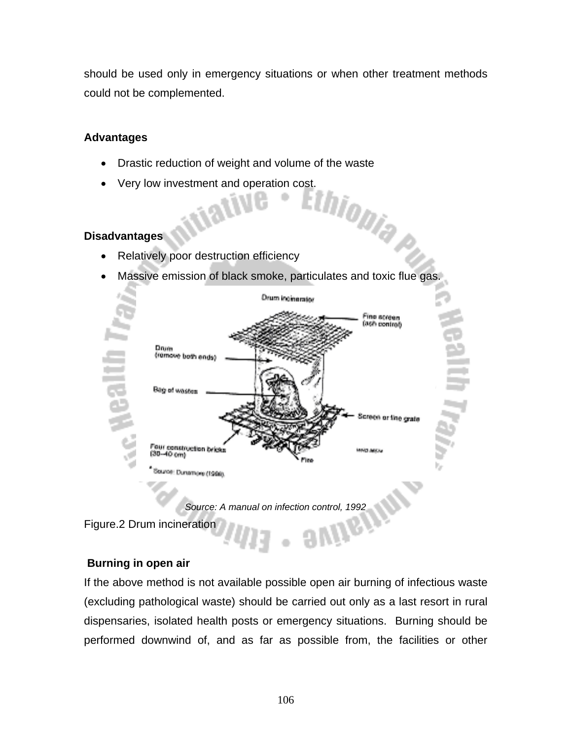should be used only in emergency situations or when other treatment methods could not be complemented.

#### **Advantages**

- Drastic reduction of weight and volume of the waste
- Very low investment and operation cost.

#### **Disadvantages**

- Relatively poor destruction efficiency
- Massive emission of black smoke, particulates and toxic flue gas.





Figure.2 Drum incineration

#### **Burning in open air**

If the above method is not available possible open air burning of infectious waste (excluding pathological waste) should be carried out only as a last resort in rural dispensaries, isolated health posts or emergency situations. Burning should be performed downwind of, and as far as possible from, the facilities or other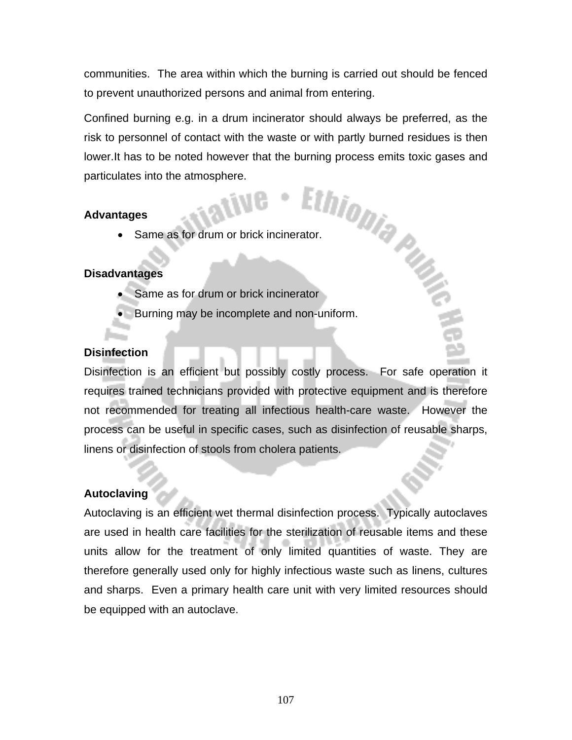communities. The area within which the burning is carried out should be fenced to prevent unauthorized persons and animal from entering.

Confined burning e.g. in a drum incinerator should always be preferred, as the risk to personnel of contact with the waste or with partly burned residues is then lower.It has to be noted however that the burning process emits toxic gases and<br>particulates into the atmosphere.<br><br>**The particulates**<br>**The particulates**<br>**The particulates**<br>**The particulates**<br>**The particulates**<br>**The particu** particulates into the atmosphere.

#### **Advantages**

• Same as for drum or brick incinerator.

#### **Disadvantages**

- Same as for drum or brick incinerator
- Burning may be incomplete and non-uniform.

#### **Disinfection**

Disinfection is an efficient but possibly costly process. For safe operation it requires trained technicians provided with protective equipment and is therefore not recommended for treating all infectious health-care waste. However the process can be useful in specific cases, such as disinfection of reusable sharps, linens or disinfection of stools from cholera patients.

#### **Autoclaving**

Autoclaving is an efficient wet thermal disinfection process. Typically autoclaves are used in health care facilities for the sterilization of reusable items and these units allow for the treatment of only limited quantities of waste. They are therefore generally used only for highly infectious waste such as linens, cultures and sharps. Even a primary health care unit with very limited resources should be equipped with an autoclave.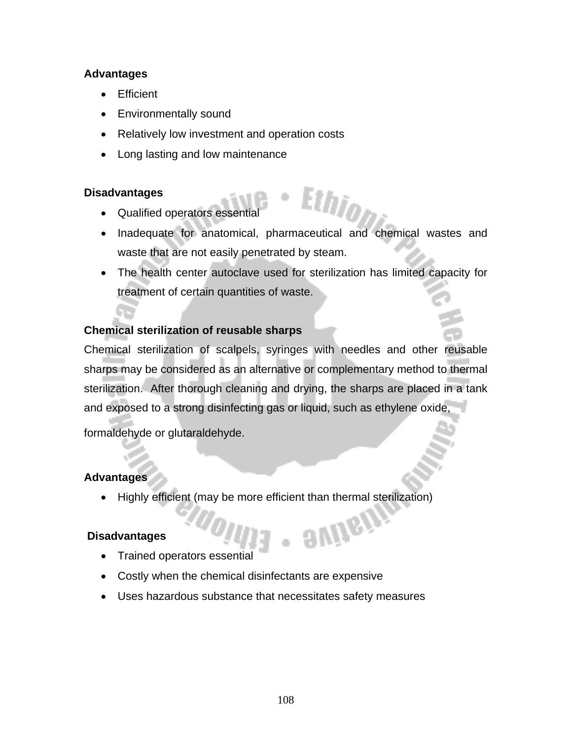#### **Advantages**

- Efficient
- Environmentally sound
- Relatively low investment and operation costs
- Long lasting and low maintenance

#### **Disadvantages**

- Qualified operators essential
- Inadequate for anatomical, pharmaceutical and chemical wastes and waste that are not easily penetrated by steam.
- The health center autoclave used for sterilization has limited capacity for treatment of certain quantities of waste.

#### **Chemical sterilization of reusable sharps**

Chemical sterilization of scalpels, syringes with needles and other reusable sharps may be considered as an alternative or complementary method to thermal sterilization. After thorough cleaning and drying, the sharps are placed in a tank and exposed to a strong disinfecting gas or liquid, such as ethylene oxide,

formaldehyde or glutaraldehyde.

#### **Advantages**

• Highly efficient (may be more efficient than thermal sterilization)

avinein

#### **Disadvantages**

- Trained operators essential
- Costly when the chemical disinfectants are expensive
- Uses hazardous substance that necessitates safety measures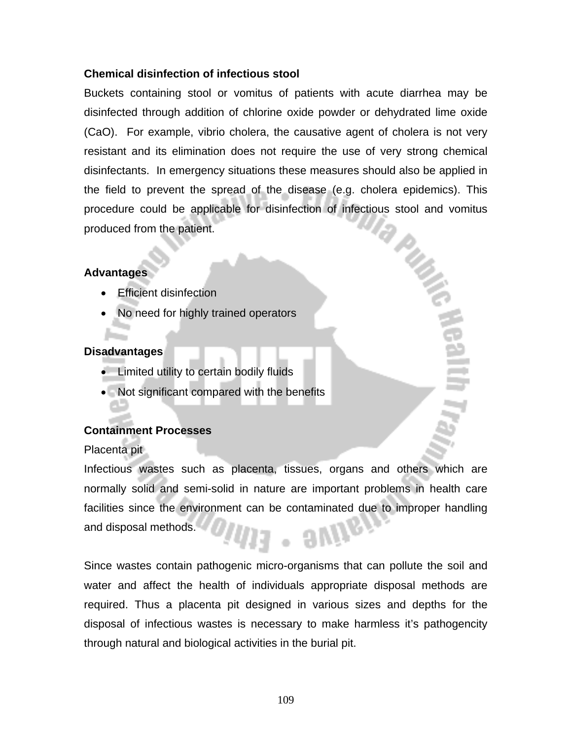#### **Chemical disinfection of infectious stool**

Buckets containing stool or vomitus of patients with acute diarrhea may be disinfected through addition of chlorine oxide powder or dehydrated lime oxide (CaO). For example, vibrio cholera, the causative agent of cholera is not very resistant and its elimination does not require the use of very strong chemical disinfectants. In emergency situations these measures should also be applied in the field to prevent the spread of the disease (e.g. cholera epidemics). This procedure could be applicable for disinfection of infectious stool and vomitus produced from the patient. **PUG** 

#### **Advantages**

- Efficient disinfection
- No need for highly trained operators

#### **Disadvantages**

- Limited utility to certain bodily fluids
- Not significant compared with the benefits

#### **Containment Processes**

Placenta pit

Infectious wastes such as placenta, tissues, organs and others which are normally solid and semi-solid in nature are important problems in health care facilities since the environment can be contaminated due to improper handling and disposal methods.

Since wastes contain pathogenic micro-organisms that can pollute the soil and water and affect the health of individuals appropriate disposal methods are required. Thus a placenta pit designed in various sizes and depths for the disposal of infectious wastes is necessary to make harmless it's pathogencity through natural and biological activities in the burial pit.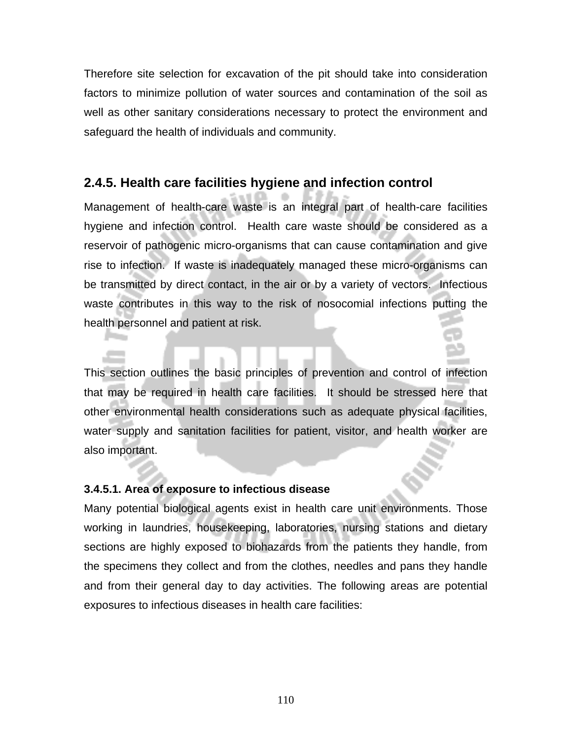Therefore site selection for excavation of the pit should take into consideration factors to minimize pollution of water sources and contamination of the soil as well as other sanitary considerations necessary to protect the environment and safeguard the health of individuals and community.

### **2.4.5. Health care facilities hygiene and infection control**

Management of health-care waste is an integral part of health-care facilities hygiene and infection control. Health care waste should be considered as a reservoir of pathogenic micro-organisms that can cause contamination and give rise to infection. If waste is inadequately managed these micro-organisms can be transmitted by direct contact, in the air or by a variety of vectors. Infectious waste contributes in this way to the risk of nosocomial infections putting the health personnel and patient at risk.

This section outlines the basic principles of prevention and control of infection that may be required in health care facilities. It should be stressed here that other environmental health considerations such as adequate physical facilities, water supply and sanitation facilities for patient, visitor, and health worker are also important.

#### **3.4.5.1. Area of exposure to infectious disease**

Many potential biological agents exist in health care unit environments. Those working in laundries, housekeeping, laboratories, nursing stations and dietary sections are highly exposed to biohazards from the patients they handle, from the specimens they collect and from the clothes, needles and pans they handle and from their general day to day activities. The following areas are potential exposures to infectious diseases in health care facilities: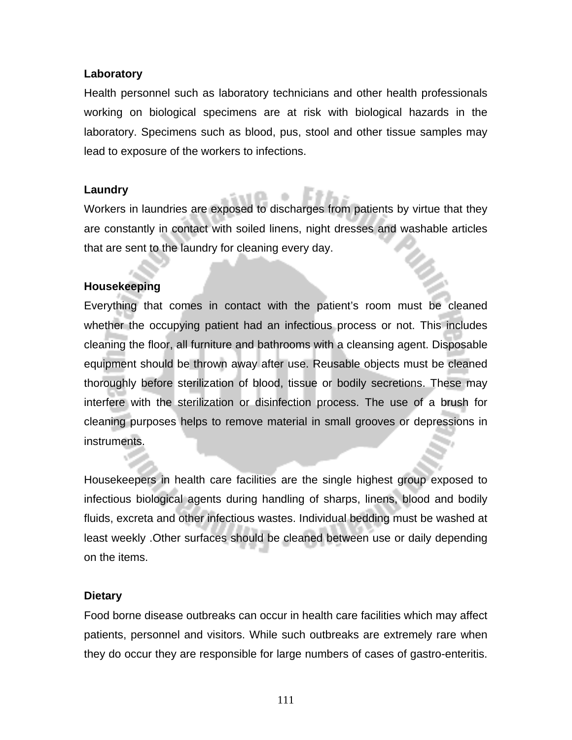#### **Laboratory**

Health personnel such as laboratory technicians and other health professionals working on biological specimens are at risk with biological hazards in the laboratory. Specimens such as blood, pus, stool and other tissue samples may lead to exposure of the workers to infections.

#### **Laundry**

Workers in laundries are exposed to discharges from patients by virtue that they are constantly in contact with soiled linens, night dresses and washable articles that are sent to the laundry for cleaning every day.

#### **Housekeeping**

Everything that comes in contact with the patient's room must be cleaned whether the occupying patient had an infectious process or not. This includes cleaning the floor, all furniture and bathrooms with a cleansing agent. Disposable equipment should be thrown away after use. Reusable objects must be cleaned thoroughly before sterilization of blood, tissue or bodily secretions. These may interfere with the sterilization or disinfection process. The use of a brush for cleaning purposes helps to remove material in small grooves or depressions in instruments.

Housekeepers in health care facilities are the single highest group exposed to infectious biological agents during handling of sharps, linens, blood and bodily fluids, excreta and other infectious wastes. Individual bedding must be washed at least weekly .Other surfaces should be cleaned between use or daily depending on the items.

#### **Dietary**

Food borne disease outbreaks can occur in health care facilities which may affect patients, personnel and visitors. While such outbreaks are extremely rare when they do occur they are responsible for large numbers of cases of gastro-enteritis.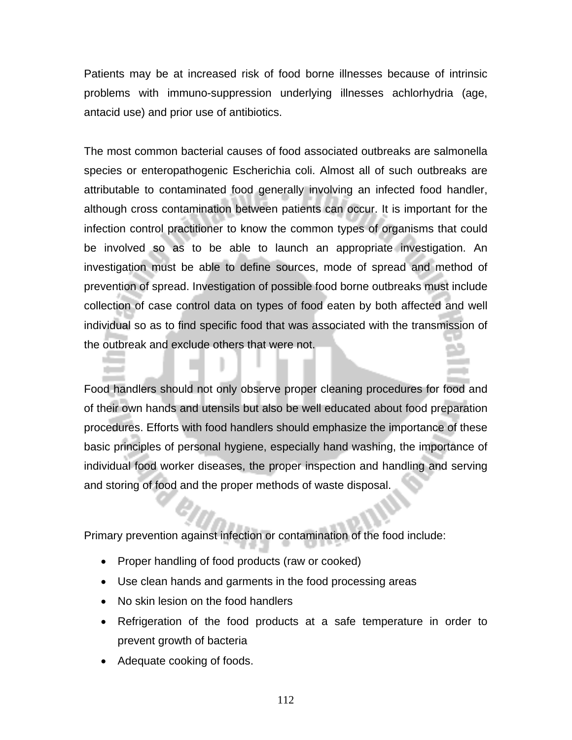Patients may be at increased risk of food borne illnesses because of intrinsic problems with immuno-suppression underlying illnesses achlorhydria (age, antacid use) and prior use of antibiotics.

The most common bacterial causes of food associated outbreaks are salmonella species or enteropathogenic Escherichia coli. Almost all of such outbreaks are attributable to contaminated food generally involving an infected food handler, although cross contamination between patients can occur. It is important for the infection control practitioner to know the common types of organisms that could be involved so as to be able to launch an appropriate investigation. An investigation must be able to define sources, mode of spread and method of prevention of spread. Investigation of possible food borne outbreaks must include collection of case control data on types of food eaten by both affected and well individual so as to find specific food that was associated with the transmission of the outbreak and exclude others that were not.

Food handlers should not only observe proper cleaning procedures for food and of their own hands and utensils but also be well educated about food preparation procedures. Efforts with food handlers should emphasize the importance of these basic principles of personal hygiene, especially hand washing, the importance of individual food worker diseases, the proper inspection and handling and serving and storing of food and the proper methods of waste disposal.

Primary prevention against infection or contamination of the food include:

- Proper handling of food products (raw or cooked)
- Use clean hands and garments in the food processing areas
- No skin lesion on the food handlers
- Refrigeration of the food products at a safe temperature in order to prevent growth of bacteria
- Adequate cooking of foods.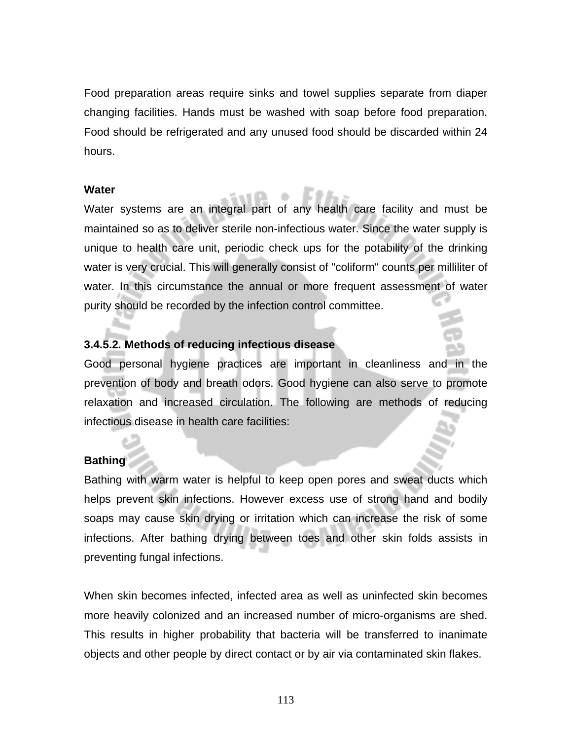Food preparation areas require sinks and towel supplies separate from diaper changing facilities. Hands must be washed with soap before food preparation. Food should be refrigerated and any unused food should be discarded within 24 hours.

#### **Water**

Water systems are an integral part of any health care facility and must be maintained so as to deliver sterile non-infectious water. Since the water supply is unique to health care unit, periodic check ups for the potability of the drinking water is very crucial. This will generally consist of "coliform" counts per milliliter of water. In this circumstance the annual or more frequent assessment of water purity should be recorded by the infection control committee.

#### **3.4.5.2***.* **Methods of reducing infectious disease**

Good personal hygiene practices are important in cleanliness and in the prevention of body and breath odors. Good hygiene can also serve to promote relaxation and increased circulation. The following are methods of reducing infectious disease in health care facilities:

#### **Bathing**

Bathing with warm water is helpful to keep open pores and sweat ducts which helps prevent skin infections. However excess use of strong hand and bodily soaps may cause skin drying or irritation which can increase the risk of some infections. After bathing drying between toes and other skin folds assists in preventing fungal infections.

When skin becomes infected, infected area as well as uninfected skin becomes more heavily colonized and an increased number of micro-organisms are shed. This results in higher probability that bacteria will be transferred to inanimate objects and other people by direct contact or by air via contaminated skin flakes.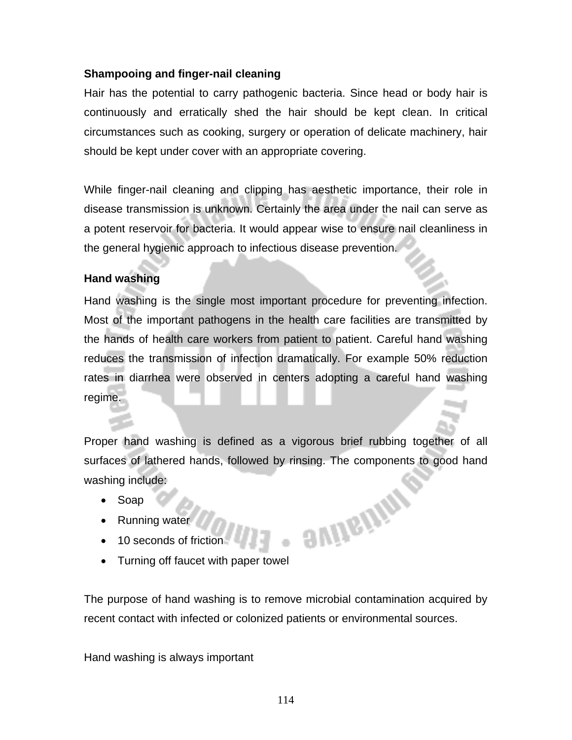#### **Shampooing and finger-nail cleaning**

Hair has the potential to carry pathogenic bacteria. Since head or body hair is continuously and erratically shed the hair should be kept clean. In critical circumstances such as cooking, surgery or operation of delicate machinery, hair should be kept under cover with an appropriate covering.

While finger-nail cleaning and clipping has aesthetic importance, their role in disease transmission is unknown. Certainly the area under the nail can serve as a potent reservoir for bacteria. It would appear wise to ensure nail cleanliness in the general hygienic approach to infectious disease prevention.

#### **Hand washing**

Hand washing is the single most important procedure for preventing infection. Most of the important pathogens in the health care facilities are transmitted by the hands of health care workers from patient to patient. Careful hand washing reduces the transmission of infection dramatically. For example 50% reduction rates in diarrhea were observed in centers adopting a careful hand washing regime.

Proper hand washing is defined as a vigorous brief rubbing together of all surfaces of lathered hands, followed by rinsing. The components to good hand washing include: **BUILEIMA** 

- Soap
- Running water
- 10 seconds of friction
- Turning off faucet with paper towel

The purpose of hand washing is to remove microbial contamination acquired by recent contact with infected or colonized patients or environmental sources.

Hand washing is always important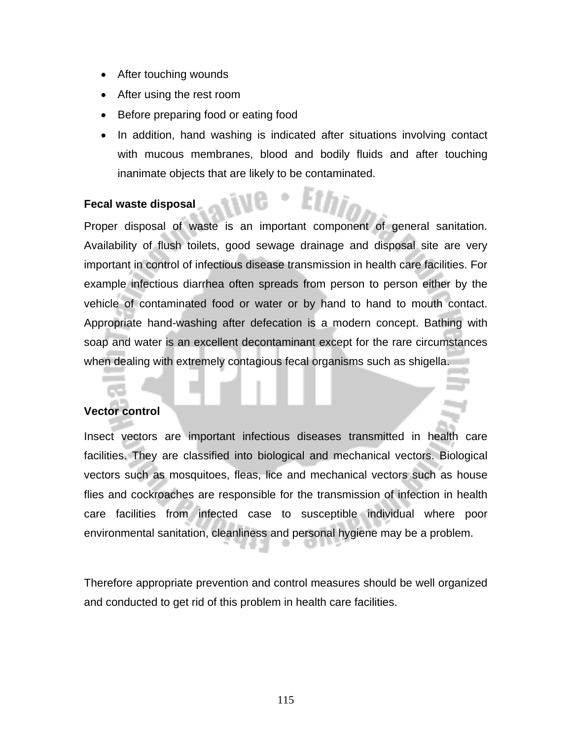- After touching wounds
- After using the rest room
- Before preparing food or eating food
- In addition, hand washing is indicated after situations involving contact with mucous membranes, blood and bodily fluids and after touching inanimate objects that are likely to be contaminated.

#### **Fecal waste disposal**

Proper disposal of waste is an important component of general sanitation. Availability of flush toilets, good sewage drainage and disposal site are very important in control of infectious disease transmission in health care facilities. For example infectious diarrhea often spreads from person to person either by the vehicle of contaminated food or water or by hand to hand to mouth contact. Appropriate hand-washing after defecation is a modern concept. Bathing with soap and water is an excellent decontaminant except for the rare circumstances when dealing with extremely contagious fecal organisms such as shigella.

#### **Vector control**

Insect vectors are important infectious diseases transmitted in health care facilities. They are classified into biological and mechanical vectors. Biological vectors such as mosquitoes, fleas, lice and mechanical vectors such as house flies and cockroaches are responsible for the transmission of infection in health care facilities from infected case to susceptible individual where poor environmental sanitation, cleanliness and personal hygiene may be a problem.

Therefore appropriate prevention and control measures should be well organized and conducted to get rid of this problem in health care facilities.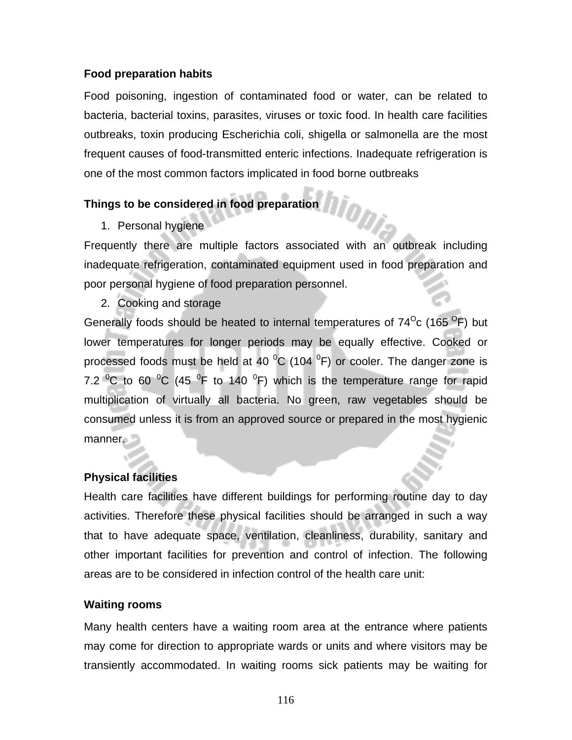#### **Food preparation habits**

Food poisoning, ingestion of contaminated food or water, can be related to bacteria, bacterial toxins, parasites, viruses or toxic food. In health care facilities outbreaks, toxin producing Escherichia coli, shigella or salmonella are the most frequent causes of food-transmitted enteric infections. Inadequate refrigeration is one of the most common factors implicated in food borne outbreaks

#### **Things to be considered in food preparation**

1. Personal hygiene

Frequently there are multiple factors associated with an outbreak including inadequate refrigeration, contaminated equipment used in food preparation and poor personal hygiene of food preparation personnel.

2. Cooking and storage

Generally foods should be heated to internal temperatures of  $74^{\circ}$ c (165 $^{\circ}$ F) but lower temperatures for longer periods may be equally effective. Cooked or processed foods must be held at 40  $^{0}$ C (104  $^{0}$ F) or cooler. The danger zone is 7.2  $\mathrm{^0C}$  to 60  $\mathrm{^0C}$  (45  $\mathrm{^0F}$  to 140  $\mathrm{^0F}$ ) which is the temperature range for rapid multiplication of virtually all bacteria. No green, raw vegetables should be consumed unless it is from an approved source or prepared in the most hygienic manner.

#### **Physical facilities**

Health care facilities have different buildings for performing routine day to day activities. Therefore these physical facilities should be arranged in such a way that to have adequate space, ventilation, cleanliness, durability, sanitary and other important facilities for prevention and control of infection. The following areas are to be considered in infection control of the health care unit:

#### **Waiting rooms**

Many health centers have a waiting room area at the entrance where patients may come for direction to appropriate wards or units and where visitors may be transiently accommodated. In waiting rooms sick patients may be waiting for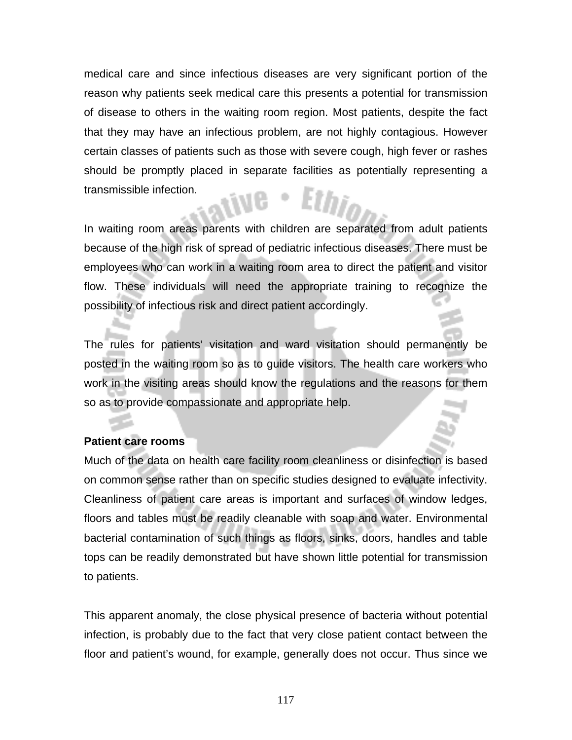medical care and since infectious diseases are very significant portion of the reason why patients seek medical care this presents a potential for transmission of disease to others in the waiting room region. Most patients, despite the fact that they may have an infectious problem, are not highly contagious. However certain classes of patients such as those with severe cough, high fever or rashes should be promptly placed in separate facilities as potentially representing a transmissible infection.

In waiting room areas parents with children are separated from adult patients because of the high risk of spread of pediatric infectious diseases. There must be employees who can work in a waiting room area to direct the patient and visitor flow. These individuals will need the appropriate training to recognize the possibility of infectious risk and direct patient accordingly.

The rules for patients' visitation and ward visitation should permanently be posted in the waiting room so as to guide visitors. The health care workers who work in the visiting areas should know the regulations and the reasons for them so as to provide compassionate and appropriate help.

#### **Patient care rooms**

Much of the data on health care facility room cleanliness or disinfection is based on common sense rather than on specific studies designed to evaluate infectivity. Cleanliness of patient care areas is important and surfaces of window ledges, floors and tables must be readily cleanable with soap and water. Environmental bacterial contamination of such things as floors, sinks, doors, handles and table tops can be readily demonstrated but have shown little potential for transmission to patients.

This apparent anomaly, the close physical presence of bacteria without potential infection, is probably due to the fact that very close patient contact between the floor and patient's wound, for example, generally does not occur. Thus since we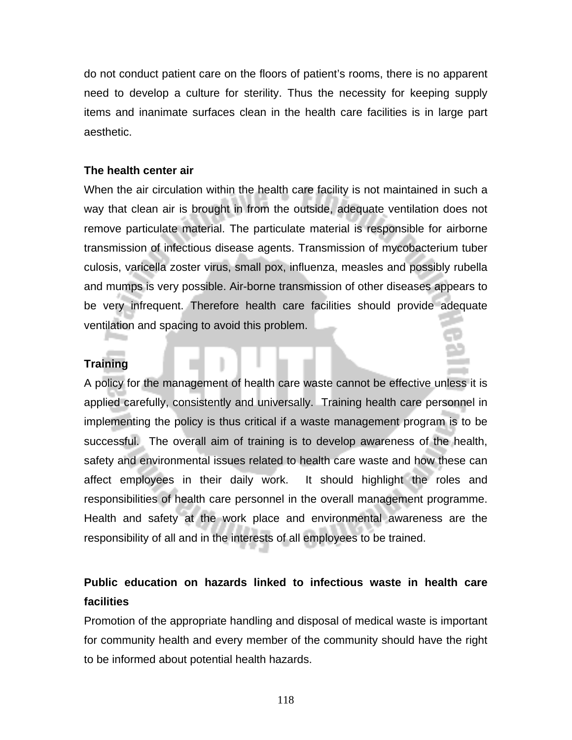do not conduct patient care on the floors of patient's rooms, there is no apparent need to develop a culture for sterility. Thus the necessity for keeping supply items and inanimate surfaces clean in the health care facilities is in large part aesthetic.

#### **The health center air**

When the air circulation within the health care facility is not maintained in such a way that clean air is brought in from the outside, adequate ventilation does not remove particulate material. The particulate material is responsible for airborne transmission of infectious disease agents. Transmission of mycobacterium tuber culosis, varicella zoster virus, small pox, influenza, measles and possibly rubella and mumps is very possible. Air-borne transmission of other diseases appears to be very infrequent. Therefore health care facilities should provide adequate ventilation and spacing to avoid this problem.

#### **Training**

A policy for the management of health care waste cannot be effective unless it is applied carefully, consistently and universally. Training health care personnel in implementing the policy is thus critical if a waste management program is to be successful. The overall aim of training is to develop awareness of the health, safety and environmental issues related to health care waste and how these can affect employees in their daily work. It should highlight the roles and responsibilities of health care personnel in the overall management programme. Health and safety at the work place and environmental awareness are the responsibility of all and in the interests of all employees to be trained.

# **Public education on hazards linked to infectious waste in health care facilities**

Promotion of the appropriate handling and disposal of medical waste is important for community health and every member of the community should have the right to be informed about potential health hazards.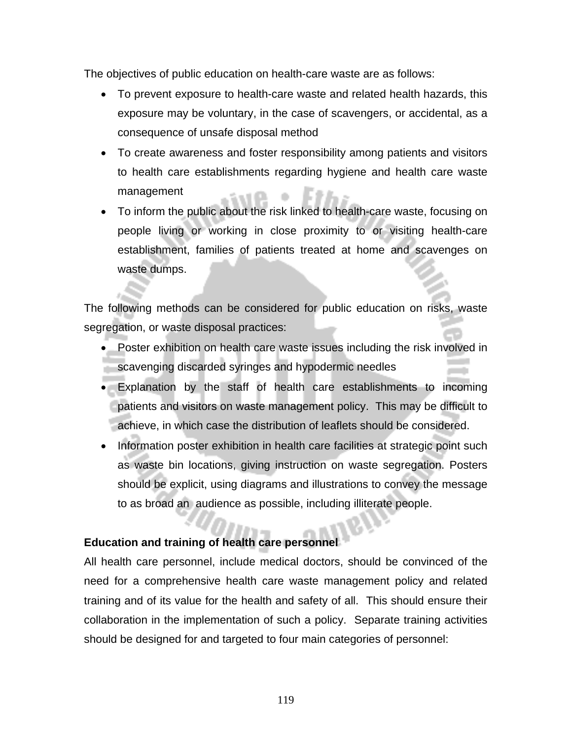The objectives of public education on health-care waste are as follows:

- To prevent exposure to health-care waste and related health hazards, this exposure may be voluntary, in the case of scavengers, or accidental, as a consequence of unsafe disposal method
- To create awareness and foster responsibility among patients and visitors to health care establishments regarding hygiene and health care waste management
- To inform the public about the risk linked to health-care waste, focusing on people living or working in close proximity to or visiting health-care establishment, families of patients treated at home and scavenges on waste dumps.

The following methods can be considered for public education on risks, waste segregation, or waste disposal practices:

- Poster exhibition on health care waste issues including the risk involved in scavenging discarded syringes and hypodermic needles
- Explanation by the staff of health care establishments to incoming patients and visitors on waste management policy. This may be difficult to achieve, in which case the distribution of leaflets should be considered.
- Information poster exhibition in health care facilities at strategic point such as waste bin locations, giving instruction on waste segregation. Posters should be explicit, using diagrams and illustrations to convey the message to as broad an audience as possible, including illiterate people.

#### **Education and training of health care personnel**

All health care personnel, include medical doctors, should be convinced of the need for a comprehensive health care waste management policy and related training and of its value for the health and safety of all. This should ensure their collaboration in the implementation of such a policy. Separate training activities should be designed for and targeted to four main categories of personnel: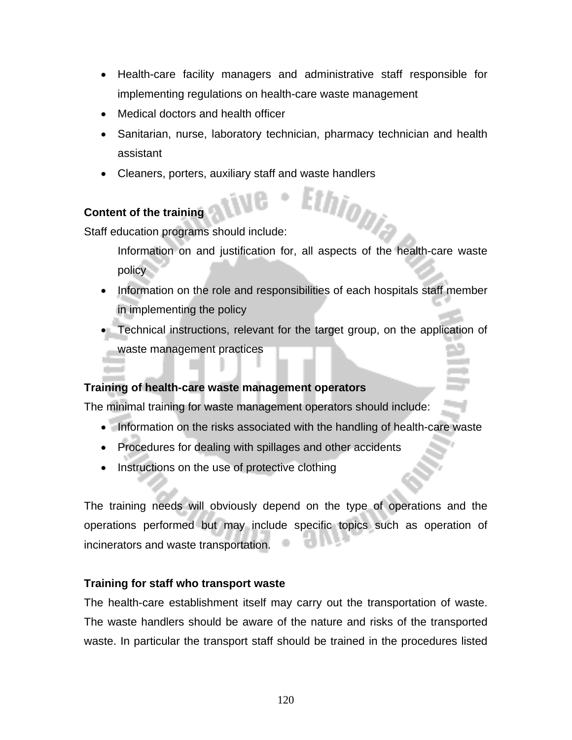- Health-care facility managers and administrative staff responsible for implementing regulations on health-care waste management
- Medical doctors and health officer
- Sanitarian, nurse, laboratory technician, pharmacy technician and health assistant
- Cleaners, porters, auxiliary staff and waste handlers

#### **Content of the training**

Staff education programs should include:

Information on and justification for, all aspects of the health-care waste policy

- Information on the role and responsibilities of each hospitals staff member in implementing the policy
- Technical instructions, relevant for the target group, on the application of waste management practices

#### **Training of health-care waste management operators**

The minimal training for waste management operators should include:

- Information on the risks associated with the handling of health-care waste
- Procedures for dealing with spillages and other accidents
- Instructions on the use of protective clothing

The training needs will obviously depend on the type of operations and the operations performed but may include specific topics such as operation of incinerators and waste transportation.

#### **Training for staff who transport waste**

The health-care establishment itself may carry out the transportation of waste. The waste handlers should be aware of the nature and risks of the transported waste. In particular the transport staff should be trained in the procedures listed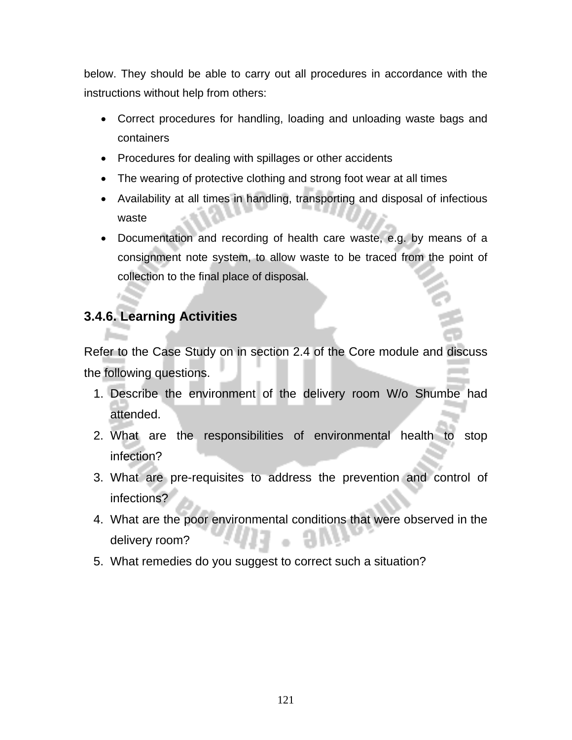below. They should be able to carry out all procedures in accordance with the instructions without help from others:

- Correct procedures for handling, loading and unloading waste bags and containers
- Procedures for dealing with spillages or other accidents
- The wearing of protective clothing and strong foot wear at all times
- Availability at all times in handling, transporting and disposal of infectious waste
- Documentation and recording of health care waste, e.g. by means of a consignment note system, to allow waste to be traced from the point of collection to the final place of disposal.

# **3.4.6. Learning Activities**

Refer to the Case Study on in section 2.4 of the Core module and discuss the following questions.

- 1. Describe the environment of the delivery room W/o Shumbe had attended.
- 2. What are the responsibilities of environmental health to stop infection?
- 3. What are pre-requisites to address the prevention and control of infections?
- 4. What are the poor environmental conditions that were observed in the delivery room?
- 5. What remedies do you suggest to correct such a situation?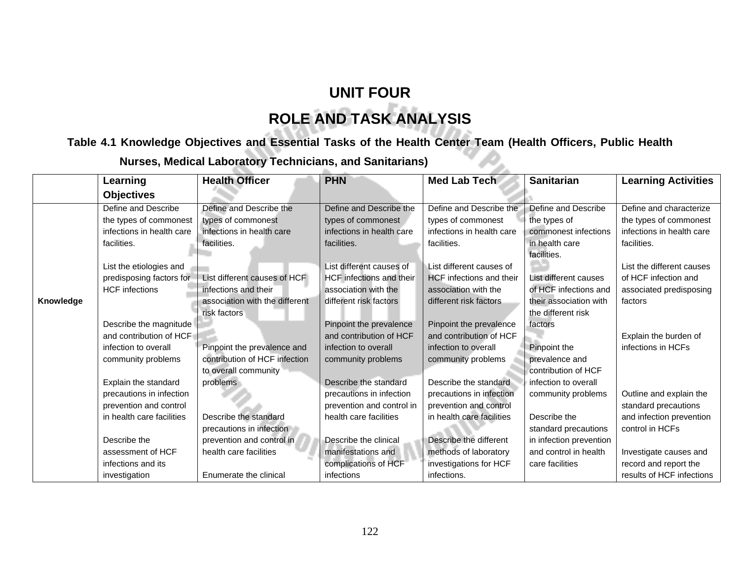# **UNIT FOUR ROLE AND TASK ANALYSIS**

# **Table 4.1 Knowledge Objectives and Essential Tasks of the Health Center Team (Health Officers, Public Health**

| <b>Nurses, Medical Laboratory Technicians, and Sanitarians)</b> |                           |                                |                           |                                 |                               |                            |  |
|-----------------------------------------------------------------|---------------------------|--------------------------------|---------------------------|---------------------------------|-------------------------------|----------------------------|--|
|                                                                 | Learning                  | <b>Health Officer</b>          | <b>PHN</b>                | <b>Med Lab Tech</b>             | <b>Sanitarian</b>             | <b>Learning Activities</b> |  |
|                                                                 | <b>Objectives</b>         |                                |                           |                                 |                               |                            |  |
|                                                                 | Define and Describe       | Define and Describe the        | Define and Describe the   | Define and Describe the         | Define and Describe           | Define and characterize    |  |
|                                                                 | the types of commonest    | types of commonest             | types of commonest        | types of commonest              | the types of                  | the types of commonest     |  |
|                                                                 | infections in health care | infections in health care      | infections in health care | infections in health care       | commonest infections          | infections in health care  |  |
|                                                                 | facilities.               | facilities.                    | facilities.               | facilities.                     | in health care<br>facilities. | facilities.                |  |
|                                                                 | List the etiologies and   |                                | List different causes of  | List different causes of        |                               | List the different causes  |  |
|                                                                 | predisposing factors for  | List different causes of HCF   | HCF infections and their  | <b>HCF</b> infections and their | List different causes         | of HCF infection and       |  |
|                                                                 | <b>HCF</b> infections     | infections and their           | association with the      | association with the            | of HCF infections and         | associated predisposing    |  |
| Knowledge                                                       |                           | association with the different | different risk factors    | different risk factors          | their association with        | factors                    |  |
|                                                                 |                           | risk factors                   |                           |                                 | the different risk            |                            |  |
|                                                                 | Describe the magnitude    |                                | Pinpoint the prevalence   | Pinpoint the prevalence         | factors                       |                            |  |
|                                                                 | and contribution of HCF   |                                | and contribution of HCF   | and contribution of HCF         |                               | Explain the burden of      |  |
|                                                                 | infection to overall      | Pinpoint the prevalence and    | infection to overall      | infection to overall            | Pinpoint the                  | infections in HCFs         |  |
|                                                                 | community problems        | contribution of HCF infection  | community problems        | community problems              | prevalence and                |                            |  |
|                                                                 |                           | to overall community           |                           |                                 | contribution of HCF           |                            |  |
|                                                                 | Explain the standard      | problems                       | Describe the standard     | Describe the standard           | infection to overall          |                            |  |
|                                                                 | precautions in infection  |                                | precautions in infection  | precautions in infection        | community problems            | Outline and explain the    |  |
|                                                                 | prevention and control    |                                | prevention and control in | prevention and control          |                               | standard precautions       |  |
|                                                                 | in health care facilities | Describe the standard          | health care facilities    | in health care facilities       | Describe the                  | and infection prevention   |  |
|                                                                 |                           | precautions in infection       |                           |                                 | standard precautions          | control in HCFs            |  |
|                                                                 | Describe the              | prevention and control in      | Describe the clinical     | Describe the different          | in infection prevention       |                            |  |
|                                                                 | assessment of HCF         | health care facilities         | manifestations and        | methods of laboratory           | and control in health         | Investigate causes and     |  |
|                                                                 | infections and its        |                                | complications of HCF      | investigations for HCF          | care facilities               | record and report the      |  |
|                                                                 | investigation             | Enumerate the clinical         | infections                | infections.                     |                               | results of HCF infections  |  |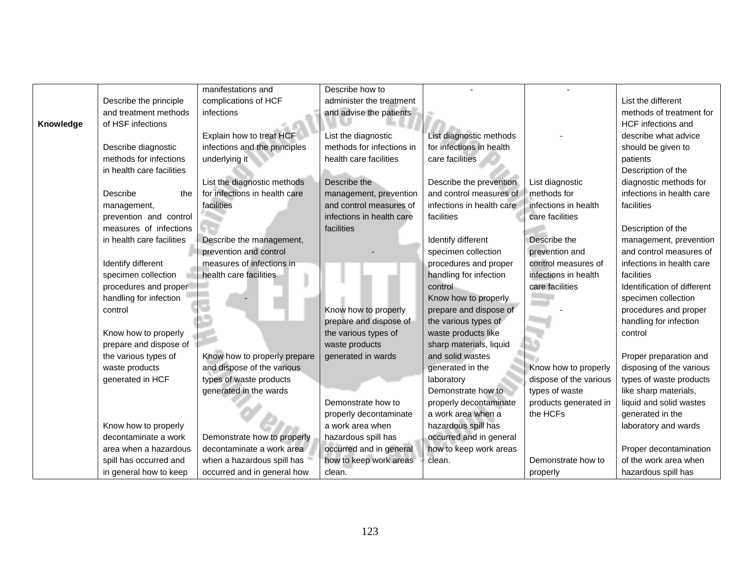|           |                           | manifestations and            | Describe how to           |                           |                        |                             |
|-----------|---------------------------|-------------------------------|---------------------------|---------------------------|------------------------|-----------------------------|
|           | Describe the principle    | complications of HCF          | administer the treatment  |                           |                        | List the different          |
|           | and treatment methods     | infections                    | and advise the patients   |                           |                        | methods of treatment for    |
| Knowledge | of HSF infections         |                               |                           |                           |                        | HCF infections and          |
|           |                           | Explain how to treat HCF      | List the diagnostic       | List diagnostic methods   |                        | describe what advice        |
|           | Describe diagnostic       | infections and the principles | methods for infections in | for infections in health  |                        | should be given to          |
|           | methods for infections    | underlying it                 | health care facilities    | care facilities           |                        | patients                    |
|           | in health care facilities |                               |                           |                           |                        | Description of the          |
|           |                           | List the diagnostic methods   | Describe the              | Describe the prevention   | List diagnostic        | diagnostic methods for      |
|           | Describe<br>the           | for infections in health care | management, prevention    | and control measures of   | methods for            | infections in health care   |
|           | management,               | facilities                    | and control measures of   | infections in health care | infections in health   | facilities                  |
|           | prevention and control    |                               | infections in health care | facilities                | care facilities        |                             |
|           | measures of infections    |                               | facilities                |                           |                        | Description of the          |
|           | in health care facilities | Describe the management,      |                           | Identify different        | Describe the           | management, prevention      |
|           |                           | prevention and control        |                           | specimen collection       | prevention and         | and control measures of     |
|           | Identify different        | measures of infections in     |                           | procedures and proper     | control measures of    | infections in health care   |
|           | specimen collection       | health care facilities        |                           | handling for infection    | infections in health   | facilities                  |
|           | procedures and proper!    |                               |                           | control                   | care facilities        | Identification of different |
|           | handling for infection    |                               |                           | Know how to properly      |                        | specimen collection         |
|           | control                   |                               | Know how to properly      | prepare and dispose of    |                        | procedures and proper       |
|           |                           |                               | prepare and dispose of    | the various types of      |                        | handling for infection      |
|           | Know how to properly      |                               | the various types of      | waste products like       |                        | control                     |
|           | prepare and dispose of    |                               | waste products            | sharp materials, liquid   |                        |                             |
|           | the various types of      | Know how to properly prepare  | generated in wards        | and solid wastes          |                        | Proper preparation and      |
|           | waste products            | and dispose of the various    |                           | generated in the          | Know how to properly   | disposing of the various    |
|           | generated in HCF          | types of waste products       |                           | laboratory                | dispose of the various | types of waste products     |
|           |                           | generated in the wards        |                           | Demonstrate how to        | types of waste         | like sharp materials,       |
|           |                           |                               | Demonstrate how to        | properly decontaminate    | products generated in  | liquid and solid wastes     |
|           |                           |                               | properly decontaminate    | a work area when a        | the HCFs               | generated in the            |
|           | Know how to properly      |                               | a work area when          | hazardous spill has       |                        | laboratory and wards        |
|           | decontaminate a work      | Demonstrate how to properly   | hazardous spill has       | occurred and in general   |                        |                             |
|           | area when a hazardous     | decontaminate a work area     | occurred and in general   | how to keep work areas    |                        | Proper decontamination      |
|           | spill has occurred and    | when a hazardous spill has    | how to keep work areas    | clean.                    | Demonstrate how to     | of the work area when       |
|           | in general how to keep    | occurred and in general how   | clean.                    |                           | properly               | hazardous spill has         |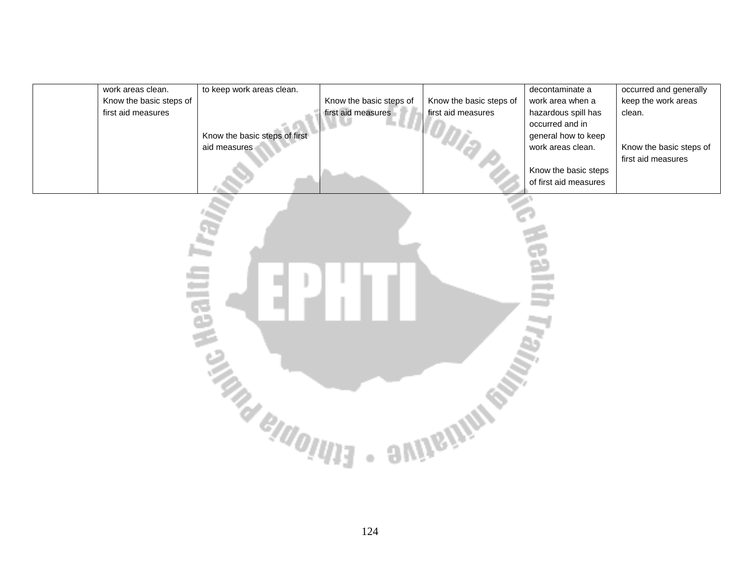| work areas clean.       | to keep work areas clean.     |                         |                         | decontaminate a       | occurred and generally  |
|-------------------------|-------------------------------|-------------------------|-------------------------|-----------------------|-------------------------|
| Know the basic steps of |                               | Know the basic steps of | Know the basic steps of | work area when a      | keep the work areas     |
| first aid measures      |                               | first aid measures      | first aid measures      | hazardous spill has   | clean.                  |
|                         |                               |                         |                         | occurred and in       |                         |
|                         | Know the basic steps of first |                         |                         | general how to keep   |                         |
|                         | aid measures                  |                         |                         | work areas clean.     | Know the basic steps of |
|                         |                               |                         |                         |                       | first aid measures      |
|                         |                               |                         |                         | Know the basic steps  |                         |
|                         |                               |                         |                         | of first aid measures |                         |

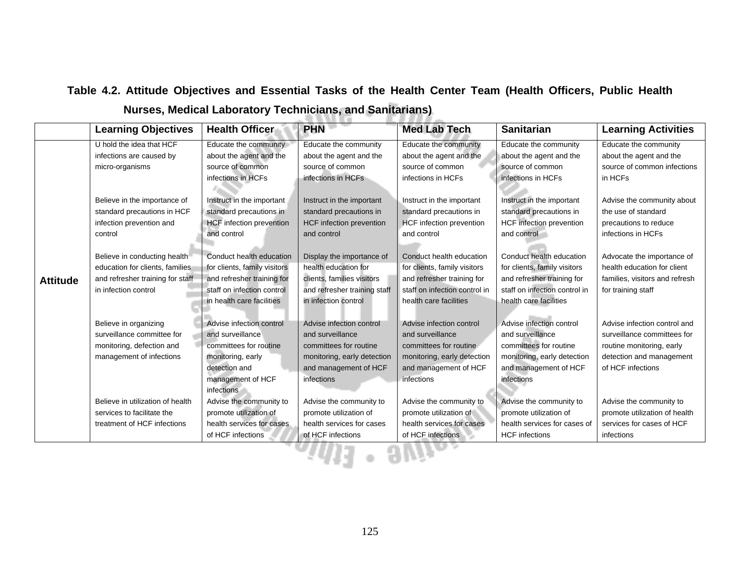## **Table 4.2. Attitude Objectives and Essential Tasks of the Health Center Team (Health Officers, Public Health Nurses, Medical Laboratory Technicians, and Sanitarians)**

|                 | <b>Learning Objectives</b>       | <b>Health Officer</b>           | <b>PHN</b>                      | <b>Med Lab Tech</b>             | <b>Sanitarian</b>             | <b>Learning Activities</b>     |  |
|-----------------|----------------------------------|---------------------------------|---------------------------------|---------------------------------|-------------------------------|--------------------------------|--|
|                 | U hold the idea that HCF         | Educate the community           | Educate the community           | Educate the community           | Educate the community         | Educate the community          |  |
|                 | infections are caused by         | about the agent and the         | about the agent and the         | about the agent and the         | about the agent and the       | about the agent and the        |  |
|                 | micro-organisms                  | source of common                | source of common                | source of common                | source of common              | source of common infections    |  |
|                 |                                  | infections in HCFs              | infections in HCFs              | infections in HCFs              | infections in HCFs            | in HCFs                        |  |
|                 |                                  |                                 |                                 |                                 |                               |                                |  |
|                 | Believe in the importance of     | Instruct in the important       | Instruct in the important       | Instruct in the important       | Instruct in the important     | Advise the community about     |  |
|                 | standard precautions in HCF      | standard precautions in         | standard precautions in         | standard precautions in         | standard precautions in       | the use of standard            |  |
|                 | infection prevention and         | <b>HCF</b> infection prevention | <b>HCF</b> infection prevention | <b>HCF</b> infection prevention | HCF infection prevention      | precautions to reduce          |  |
|                 | control                          | and control                     | and control                     | and control                     | and control                   | infections in HCFs             |  |
|                 |                                  |                                 |                                 |                                 |                               |                                |  |
|                 | Believe in conducting health     | Conduct health education        | Display the importance of       | Conduct health education        | Conduct health education      | Advocate the importance of     |  |
| <b>Attitude</b> | education for clients, families  | for clients, family visitors    | health education for            | for clients, family visitors    | for clients, family visitors  | health education for client    |  |
|                 | and refresher training for staff | and refresher training for      | clients, families visitors      | and refresher training for      | and refresher training for    | families, visitors and refresh |  |
|                 | in infection control             | staff on infection control      | and refresher training staff    | staff on infection control in   | staff on infection control in | for training staff             |  |
|                 |                                  | in health care facilities       | in infection control            | health care facilities          | health care facilities        |                                |  |
|                 |                                  |                                 |                                 |                                 |                               |                                |  |
|                 | Believe in organizing            | Advise infection control        | Advise infection control        | Advise infection control        | Advise infection control      | Advise infection control and   |  |
|                 | surveillance committee for       | and surveillance                | and surveillance                | and surveillance                | and surveillance              | surveillance committees for    |  |
|                 | monitoring, defection and        | committees for routine          | committees for routine          | committees for routine          | committees for routine        | routine monitoring, early      |  |
|                 | management of infections         | monitoring, early               | monitoring, early detection     | monitoring, early detection     | monitoring, early detection   | detection and management       |  |
|                 |                                  | detection and                   | and management of HCF           | and management of HCF           | and management of HCF         | of HCF infections              |  |
|                 |                                  | management of HCF               | infections                      | infections                      | infections                    |                                |  |
|                 |                                  | infections                      |                                 |                                 |                               |                                |  |
|                 | Believe in utilization of health | Advise the community to         | Advise the community to         | Advise the community to         | Advise the community to       | Advise the community to        |  |
|                 | services to facilitate the       | promote utilization of          | promote utilization of          | promote utilization of          | promote utilization of        | promote utilization of health  |  |
|                 | treatment of HCF infections      | health services for cases       | health services for cases       | health services for cases       | health services for cases of  | services for cases of HCF      |  |
|                 |                                  | of HCF infections               | of HCF infections               | of HCF infections               | <b>HCF</b> infections         | infections                     |  |
|                 |                                  |                                 |                                 |                                 |                               |                                |  |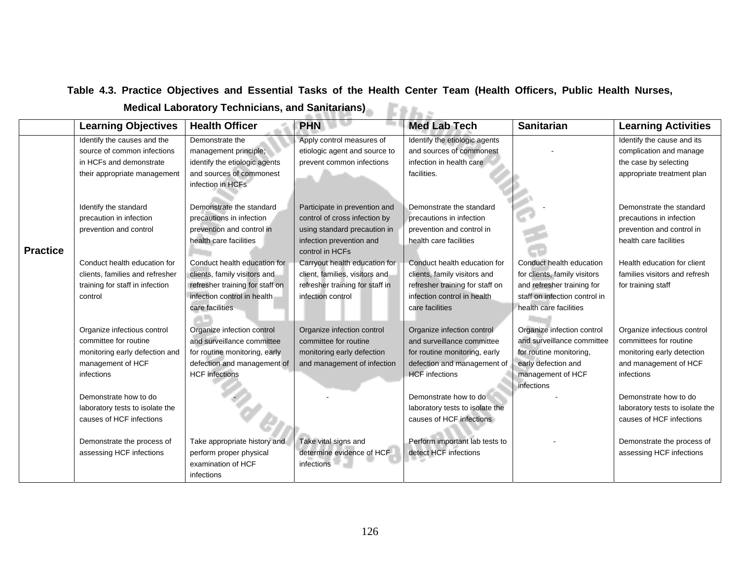#### **Table 4.3. Practice Objectives and Essential Tasks of the Health Center Team (Health Officers, Public Health Nurses,**

| <b>Medical Laboratory Technicians, and Sanitarians)</b><br><b>Sanitarians</b> |  |
|-------------------------------------------------------------------------------|--|
|                                                                               |  |

|                 | <b>Learning Objectives</b>      | <b>Health Officer</b>           | <b>PHN</b>                      | <b>Med Lab Tech</b>             | <b>Sanitarian</b>             | <b>Learning Activities</b>      |
|-----------------|---------------------------------|---------------------------------|---------------------------------|---------------------------------|-------------------------------|---------------------------------|
|                 | Identify the causes and the     | Demonstrate the                 | Apply control measures of       | Identify the etiologic agents   |                               | Identify the cause and its      |
|                 | source of common infections     | management principle;           | etiologic agent and source to   | and sources of commonest        |                               | complication and manage         |
|                 | in HCFs and demonstrate         | identify the etiologic agents   | prevent common infections       | infection in health care        |                               | the case by selecting           |
|                 | their appropriate management    | and sources of commonest        |                                 | facilities.                     |                               | appropriate treatment plan      |
|                 |                                 | infection in HCFs               |                                 |                                 |                               |                                 |
|                 |                                 |                                 |                                 |                                 |                               |                                 |
|                 | Identify the standard           | Demonstrate the standard        | Participate in prevention and   | Demonstrate the standard        |                               | Demonstrate the standard        |
|                 | precaution in infection         | precautions in infection        | control of cross infection by   | precautions in infection        |                               | precautions in infection        |
|                 | prevention and control          | prevention and control in       | using standard precaution in    | prevention and control in       |                               | prevention and control in       |
|                 |                                 | health care facilities          | infection prevention and        | health care facilities          |                               | health care facilities          |
| <b>Practice</b> |                                 |                                 | control in HCFs                 |                                 |                               |                                 |
|                 | Conduct health education for    | Conduct health education for    | Carryout health education for   | Conduct health education for    | Conduct health education      | Health education for client     |
|                 | clients, families and refresher | clients, family visitors and    | client, families, visitors and  | clients, family visitors and    | for clients, family visitors  | families visitors and refresh   |
|                 | training for staff in infection | refresher training for staff on | refresher training for staff in | refresher training for staff on | and refresher training for    | for training staff              |
|                 | control                         | infection control in health     | infection control               | infection control in health     | staff on infection control in |                                 |
|                 |                                 | care facilities                 |                                 | care facilities                 | health care facilities        |                                 |
|                 | Organize infectious control     | Organize infection control      | Organize infection control      | Organize infection control      | Organize infection control    | Organize infectious control     |
|                 | committee for routine           | and surveillance committee      | committee for routine           | and surveillance committee      | and surveillance committee    | committees for routine          |
|                 | monitoring early defection and  | for routine monitoring, early   | monitoring early defection      | for routine monitoring, early   | for routine monitoring,       | monitoring early detection      |
|                 | management of HCF               | defection and management of     | and management of infection     | defection and management of     | early defection and           | and management of HCF           |
|                 | infections                      | <b>HCF</b> infections           |                                 | <b>HCF</b> infections           | management of HCF             | infections                      |
|                 |                                 |                                 |                                 |                                 | infections                    |                                 |
|                 | Demonstrate how to do           |                                 |                                 | Demonstrate how to do           |                               | Demonstrate how to do           |
|                 | laboratory tests to isolate the |                                 |                                 | laboratory tests to isolate the |                               | laboratory tests to isolate the |
|                 | causes of HCF infections        |                                 |                                 | causes of HCF infections        |                               | causes of HCF infections        |
|                 |                                 |                                 |                                 |                                 |                               |                                 |
|                 | Demonstrate the process of      | Take appropriate history and    | Take vital signs and            | Perform important lab tests to  |                               | Demonstrate the process of      |
|                 | assessing HCF infections        | perform proper physical         | determine evidence of HCF       | detect HCF infections           |                               | assessing HCF infections        |
|                 |                                 | examination of HCF              | infections –                    |                                 |                               |                                 |
|                 |                                 | infections                      |                                 |                                 |                               |                                 |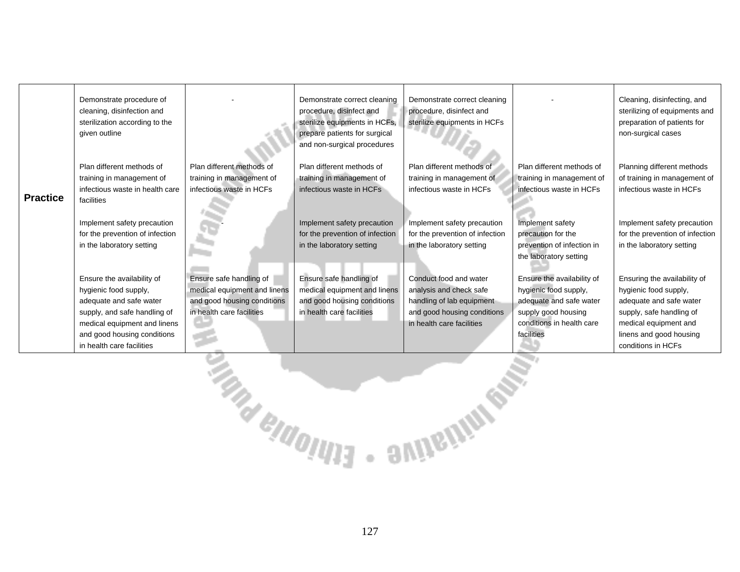| <b>Practice</b>                    | Demonstrate procedure of<br>cleaning, disinfection and<br>sterilization according to the<br>given outline<br>Plan different methods of<br>training in management of<br>infectious waste in health care<br>facilities<br>Implement safety precaution<br>for the prevention of infection<br>in the laboratory setting<br>Ensure the availability of<br>hygienic food supply, | Plan different methods of<br>training in management of<br>infectious waste in HCFs<br>Ensure safe handling of<br>medical equipment and linens | Demonstrate correct cleaning<br>procedure, disinfect and<br>sterilize equipments in HCFs,<br>prepare patients for surgical<br>and non-surgical procedures<br>Plan different methods of<br>training in management of<br>infectious waste in HCFs<br>Implement safety precaution<br>for the prevention of infection<br>in the laboratory setting<br>Ensure safe handling of<br>medical equipment and linens | Demonstrate correct cleaning<br>procedure, disinfect and<br>sterilize equipments in HCFs<br>Plan different methods of<br>training in management of<br>infectious waste in HCFs<br>Implement safety precaution<br>for the prevention of infection<br>in the laboratory setting<br>Conduct food and water<br>analysis and check safe | Plan different methods of<br>training in management of<br>infectious waste in HCFs<br>Implement safety<br>precaution for the<br>prevention of infection in<br>the laboratory setting<br>Ensure the availability of<br>hygienic food supply, | Cleaning, disinfecting, and<br>sterilizing of equipments and<br>preparation of patients for<br>non-surgical cases<br>Planning different methods<br>of training in management of<br>infectious waste in HCFs<br>Implement safety precaution<br>for the prevention of infection<br>in the laboratory setting<br>Ensuring the availability of<br>hygienic food supply, |  |
|------------------------------------|----------------------------------------------------------------------------------------------------------------------------------------------------------------------------------------------------------------------------------------------------------------------------------------------------------------------------------------------------------------------------|-----------------------------------------------------------------------------------------------------------------------------------------------|-----------------------------------------------------------------------------------------------------------------------------------------------------------------------------------------------------------------------------------------------------------------------------------------------------------------------------------------------------------------------------------------------------------|------------------------------------------------------------------------------------------------------------------------------------------------------------------------------------------------------------------------------------------------------------------------------------------------------------------------------------|---------------------------------------------------------------------------------------------------------------------------------------------------------------------------------------------------------------------------------------------|---------------------------------------------------------------------------------------------------------------------------------------------------------------------------------------------------------------------------------------------------------------------------------------------------------------------------------------------------------------------|--|
|                                    | adequate and safe water<br>supply, and safe handling of<br>medical equipment and linens<br>and good housing conditions<br>in health care facilities                                                                                                                                                                                                                        | and good housing conditions<br>in health care facilities                                                                                      | and good housing conditions<br>in health care facilities                                                                                                                                                                                                                                                                                                                                                  | handling of lab equipment<br>and good housing conditions<br>in health care facilities                                                                                                                                                                                                                                              | adequate and safe water<br>supply good housing<br>conditions in health care<br>facilities                                                                                                                                                   | adequate and safe water<br>supply, safe handling of<br>medical equipment and<br>linens and good housing<br>conditions in HCFs                                                                                                                                                                                                                                       |  |
| <b>ENGLAND IN SPIRIT STATEMENT</b> |                                                                                                                                                                                                                                                                                                                                                                            |                                                                                                                                               |                                                                                                                                                                                                                                                                                                                                                                                                           |                                                                                                                                                                                                                                                                                                                                    |                                                                                                                                                                                                                                             |                                                                                                                                                                                                                                                                                                                                                                     |  |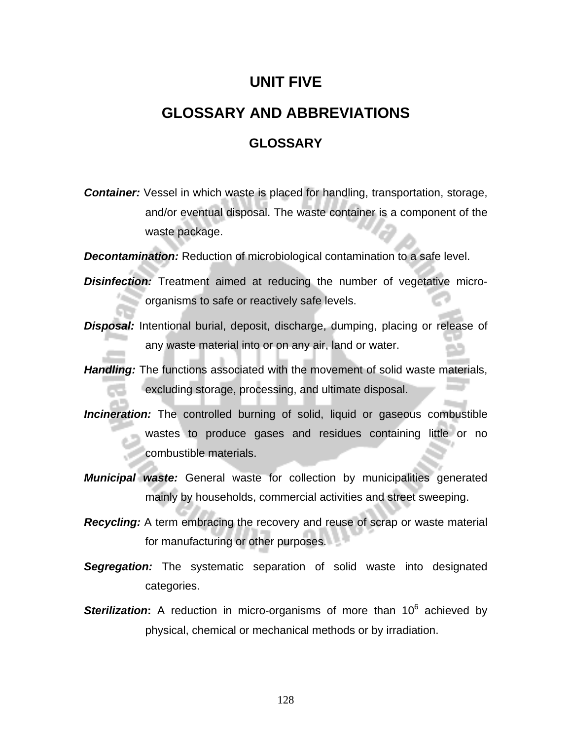# **UNIT FIVE**

# **GLOSSARY AND ABBREVIATIONS**

#### **GLOSSARY**

*Container:* Vessel in which waste is placed for handling, transportation, storage, and/or eventual disposal. The waste container is a component of the waste package.

**Decontamination:** Reduction of microbiological contamination to a safe level.

*Disinfection:* Treatment aimed at reducing the number of vegetative microorganisms to safe or reactively safe levels.

- **Disposal:** Intentional burial, deposit, discharge, dumping, placing or release of any waste material into or on any air, land or water.
- *Handling:* The functions associated with the movement of solid waste materials, excluding storage, processing, and ultimate disposal.
- *Incineration:* The controlled burning of solid, liquid or gaseous combustible wastes to produce gases and residues containing little or no combustible materials.
- *Municipal waste:* General waste for collection by municipalities generated mainly by households, commercial activities and street sweeping.
- **Recycling:** A term embracing the recovery and reuse of scrap or waste material for manufacturing or other purposes.
- *Segregation:* The systematic separation of solid waste into designated categories.
- **Sterilization:** A reduction in micro-organisms of more than 10<sup>6</sup> achieved by physical, chemical or mechanical methods or by irradiation.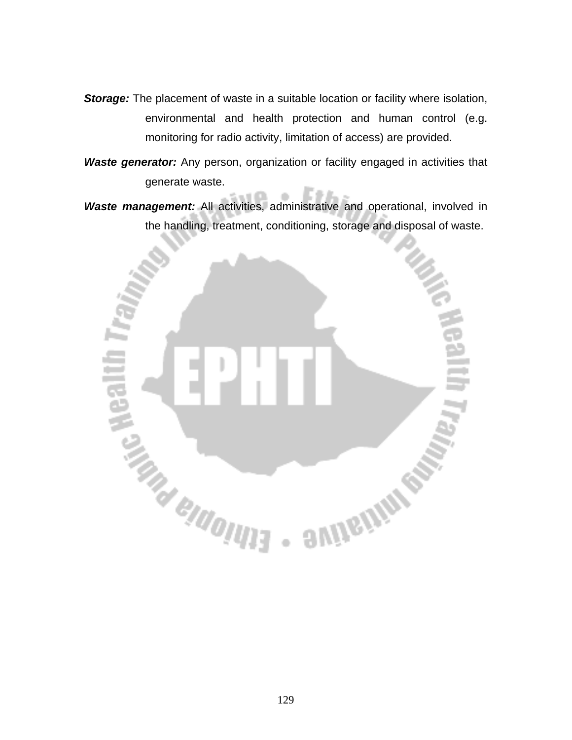**Storage:** The placement of waste in a suitable location or facility where isolation, environmental and health protection and human control (e.g. monitoring for radio activity, limitation of access) are provided.

**Waste generator:** Any person, organization or facility engaged in activities that generate waste.

*Waste management:* All activities, administrative and operational, involved in the handling, treatment, conditioning, storage and disposal of waste.

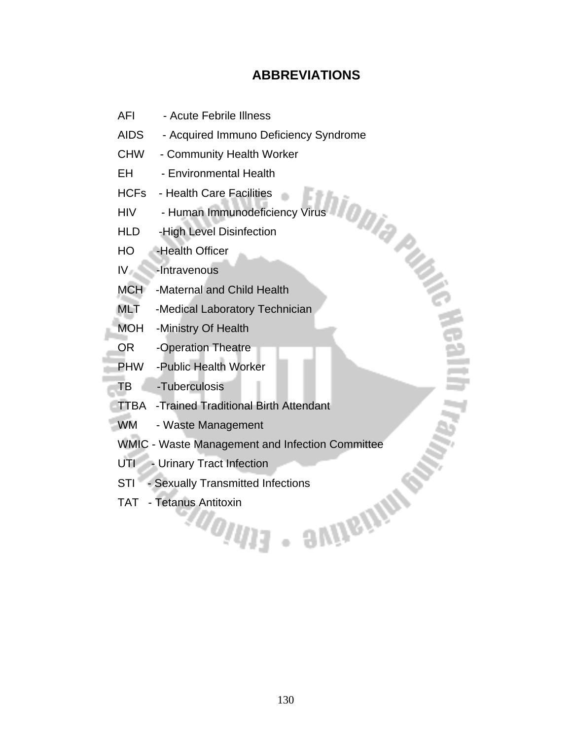# **ABBREVIATIONS**

- AFI Acute Febrile Illness
- AIDS Acquired Immuno Deficiency Syndrome
- CHW Community Health Worker
- EH Environmental Health
- HCFs Health Care Facilities
- HIV Human Immunodeficiency Virus
- HLD -High Level Disinfection
- HO -Health Officer
- IV -Intravenous
- MCH -Maternal and Child Health
- MLT -Medical Laboratory Technician
- MOH -Ministry Of Health
- OR -Operation Theatre
- PHW -Public Health Worker
- TB -Tuberculosis
- TTBA -Trained Traditional Birth Attendant
- WM Waste Management
- WMIC Waste Management and Infection Committee<br>UTI Urinary Tract Infection<br>STI Sexually Transmitted Infections<br>TAT Tetanus Antitoxin
- UTI Urinary Tract Infection
- STI Sexually Transmitted Infections
- TAT Tetanus Antitoxin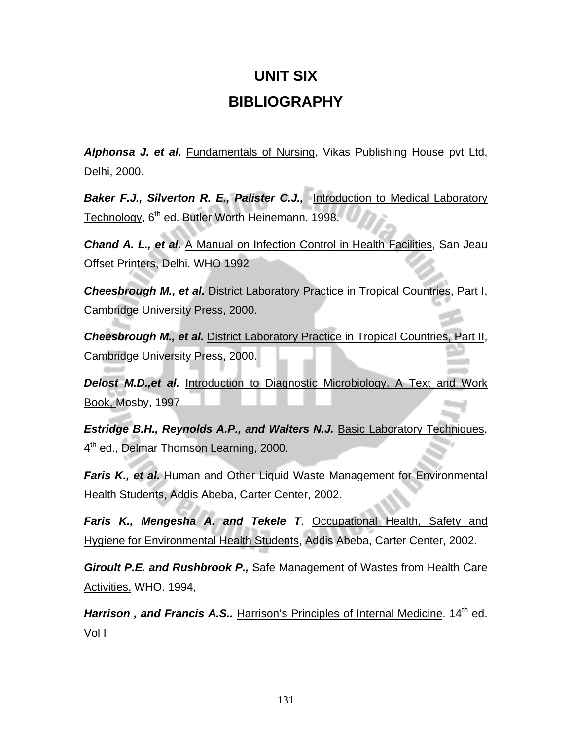# **UNIT SIX BIBLIOGRAPHY**

*Alphonsa J. et al.* Fundamentals of Nursing, Vikas Publishing House pvt Ltd, Delhi, 2000.

*Baker F.J., Silverton R. E., Palister C.J.,* Introduction to Medical Laboratory Technology, 6<sup>th</sup> ed. Butler Worth Heinemann, 1998.

*Chand A. L., et al.* A Manual on Infection Control in Health Facilities, San Jeau Offset Printers, Delhi. WHO 1992

**Cheesbrough M., et al. District Laboratory Practice in Tropical Countries, Part I,** Cambridge University Press, 2000.

**Cheesbrough M., et al.** District Laboratory Practice in Tropical Countries, Part II, Cambridge University Press, 2000.

**Delost M.D., et al.** Introduction to Diagnostic Microbiology. A Text and Work Book, Mosby, 1997

*Estridge B.H., Reynolds A.P., and Walters N.J.* Basic Laboratory Techniques, 4<sup>th</sup> ed., Delmar Thomson Learning, 2000.

*Faris K., et al.* Human and Other Liquid Waste Management for Environmental Health Students, Addis Abeba, Carter Center, 2002.

*Faris K., Mengesha A. and Tekele T*. Occupational Health, Safety and Hygiene for Environmental Health Students, Addis Abeba, Carter Center, 2002.

*Giroult P.E. and Rushbrook P.,* Safe Management of Wastes from Health Care Activities. WHO. 1994,

**Harrison, and Francis A.S..** Harrison's Principles of Internal Medicine. 14<sup>th</sup> ed. Vol I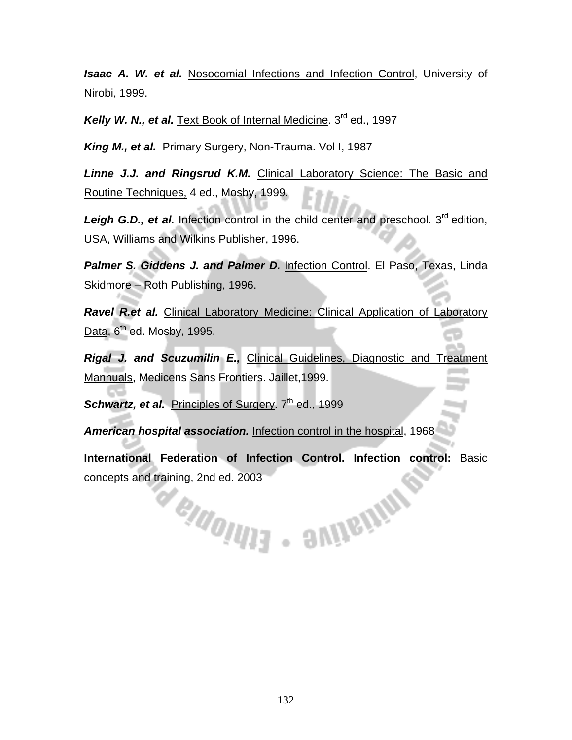*Isaac A. W. et al.* Nosocomial Infections and Infection Control, University of Nirobi, 1999.

Kelly W. N., et al. Text Book of Internal Medicine. 3<sup>rd</sup> ed., 1997

*King M., et al.* Primary Surgery, Non-Trauma. Vol I, 1987

*Linne J.J. and Ringsrud K.M.* Clinical Laboratory Science: The Basic and Routine Techniques, 4 ed., Mosby, 1999.

**Leigh G.D., et al.** Infection control in the child center and preschool. 3<sup>rd</sup> edition, USA, Williams and Wilkins Publisher, 1996.

Palmer S. Giddens J. and Palmer D. Infection Control. El Paso, Texas, Linda Skidmore – Roth Publishing, 1996.

**Ravel R.et al.** Clinical Laboratory Medicine: Clinical Application of Laboratory Data,  $6<sup>th</sup>$  ed. Mosby, 1995.

*Rigal J. and Scuzumilin E.,* Clinical Guidelines, Diagnostic and Treatment Mannuals, Medicens Sans Frontiers. Jaillet,1999.

**Schwartz, et al.** Principles of Surgery. 7<sup>th</sup> ed., 1999

*American hospital association.* Infection control in the hospital, 1968

**International Federation of Infection Control. Infection control:** Basic concepts and training, 2nd ed. 2003<br>
Manuel Manuel Manuel Manuel Manuel Manuel Manuel Manuel Manuel Manuel Manuel Manuel Manuel Manuel Manuel Manuel Manuel Manuel Manuel Manuel Manuel Manuel Manuel Manuel Manuel Manuel Man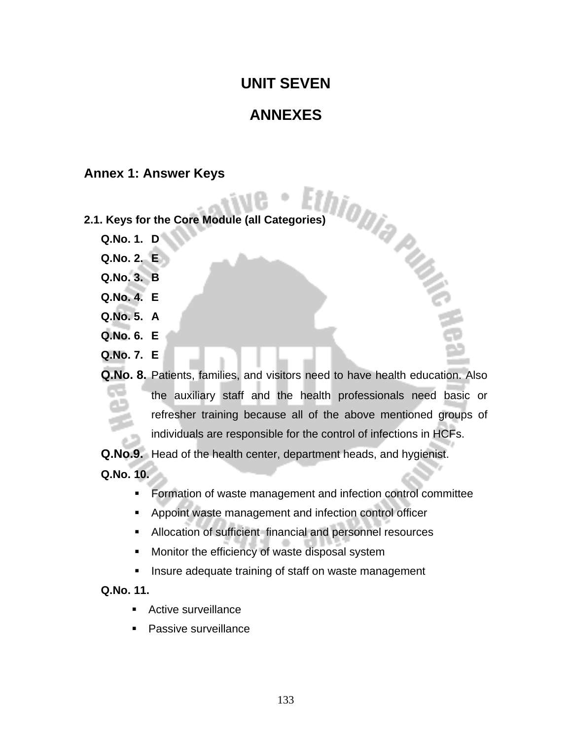# **UNIT SEVEN**

# **ANNEXES**

#### **Annex 1: Answer Keys**

- **2.1. Keys for the Core Module (all Categories)** 
	- **Q.No. 1. D**
	- **Q.No. 2. E**
	- **Q.No. 3. B**
	- **Q.No. 4. E**
	- **Q.No. 5. A**
	- **Q.No. 6. E**
	- **Q.No. 7. E**
	- **Q.No. 8.** Patients, families, and visitors need to have health education. Also the auxiliary staff and the health professionals need basic or refresher training because all of the above mentioned groups of individuals are responsible for the control of infections in HCFs.

**Q.No.9.** Head of the health center, department heads, and hygienist.

**Q.No. 10.** 

- **Formation of waste management and infection control committee**
- Appoint waste management and infection control officer
- Allocation of sufficient financial and personnel resources
- **Monitor the efficiency of waste disposal system**
- **Insure adequate training of staff on waste management**

#### **Q.No. 11.**

- **Active surveillance**
- **Passive surveillance**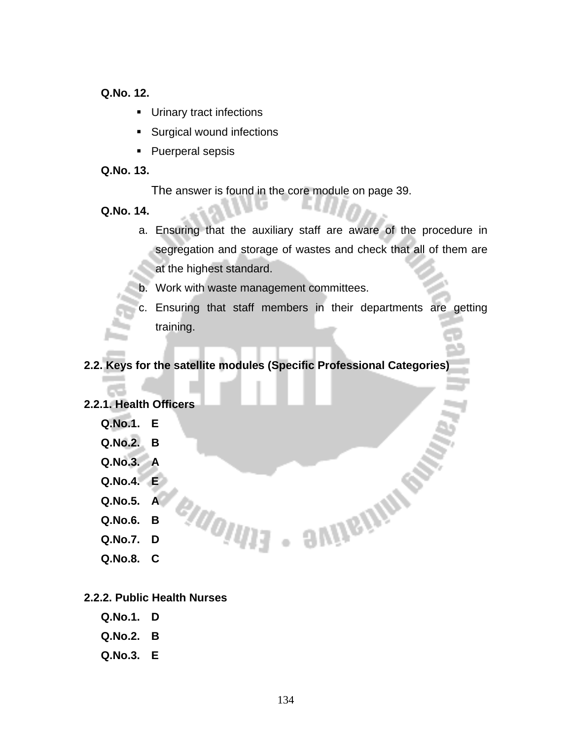**Q.No. 12.** 

- **Urinary tract infections**
- Surgical wound infections
- Puerperal sepsis

#### **Q.No. 13.**

The answer is found in the core module on page 39.

**A** 

#### **Q.No. 14.**

- a. Ensuring that the auxiliary staff are aware of the procedure in segregation and storage of wastes and check that all of them are at the highest standard.
- b. Work with waste management committees.

e<sub>ldolu</sub>ra

c. Ensuring that staff members in their departments are getting training.

**COVIDENTIAL REP** 

#### **2.2. Keys for the satellite modules (Specific Professional Categories)**

#### **2.2.1. Health Officers**

- **Q.No.1. E Q.No.2. B**
- **Q.No.3. A**
- **Q.No.4. E**
- **Q.No.5. A**
- **Q.No.6. B**
- **Q.No.7. D**
- **Q.No.8. C**

#### **2.2.2. Public Health Nurses**

- **Q.No.1. D**
- **Q.No.2. B**
- **Q.No.3. E**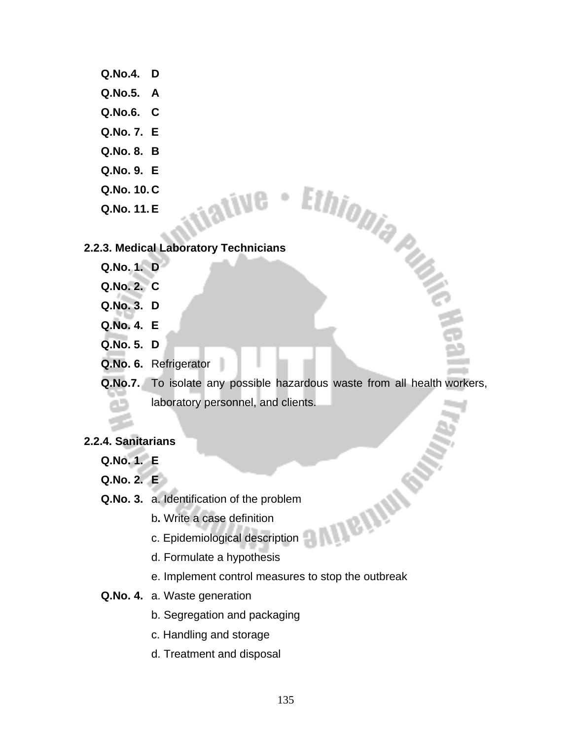# **Q.No.4. D Q.No.5. A Q.No.6. C Q.No. 7. E Q.No. 8. B Q.No. 9. E Q.No. 10. C 2.2.3. Medical Laboratory Technicians**

**Q.No. 11. E** 

ative -

- **Q.No. 1. D**
- **Q.No. 2. C**
- **Q.No. 3. D**
- **Q.No. 4. E**
- **Q.No. 5. D**
- **Q.No. 6.** Refrigerator
- **Q.No.7.** To isolate any possible hazardous waste from all health workers, laboratory personnel, and clients.

**UDGINI** 

#### **2.2.4. Sanitarians**

- **Q.No. 1. E**
- **Q.No. 2. E**
- **Q.No. 3.** a. Identification of the problem
	- b**.** Write a case definition
	- c. Epidemiological description
	- d. Formulate a hypothesis
	- e. Implement control measures to stop the outbreak
- **Q.No. 4.** a. Waste generation
	- b. Segregation and packaging
	- c. Handling and storage
	- d. Treatment and disposal